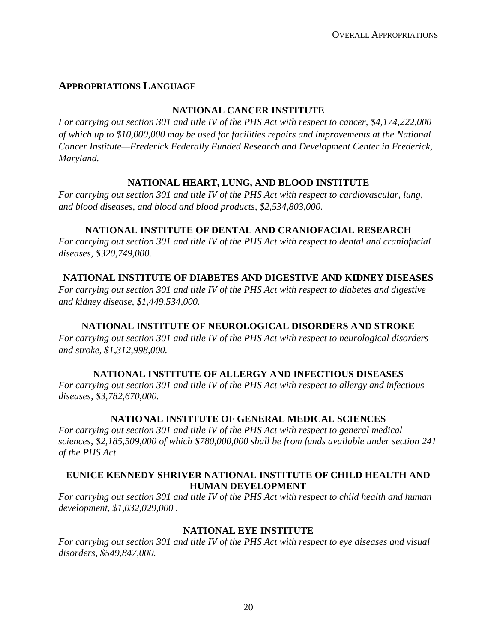# **APPROPRIATIONS LANGUAGE**

#### **NATIONAL CANCER INSTITUTE**

*For carrying out section 301 and title IV of the PHS Act with respect to cancer, \$4,174,222,000 of which up to \$10,000,000 may be used for facilities repairs and improvements at the National Cancer Institute—Frederick Federally Funded Research and Development Center in Frederick, Maryland.*

# **NATIONAL HEART, LUNG, AND BLOOD INSTITUTE**

*For carrying out section 301 and title IV of the PHS Act with respect to cardiovascular, lung, and blood diseases, and blood and blood products, \$2,534,803,000.*

#### **NATIONAL INSTITUTE OF DENTAL AND CRANIOFACIAL RESEARCH**

*For carrying out section 301 and title IV of the PHS Act with respect to dental and craniofacial diseases, \$320,749,000.* 

# **NATIONAL INSTITUTE OF DIABETES AND DIGESTIVE AND KIDNEY DISEASES**

*For carrying out section 301 and title IV of the PHS Act with respect to diabetes and digestive and kidney disease, \$1,449,534,000.* 

### **NATIONAL INSTITUTE OF NEUROLOGICAL DISORDERS AND STROKE**

*For carrying out section 301 and title IV of the PHS Act with respect to neurological disorders and stroke, \$1,312,998,000.*

### **NATIONAL INSTITUTE OF ALLERGY AND INFECTIOUS DISEASES**

*For carrying out section 301 and title IV of the PHS Act with respect to allergy and infectious diseases, \$3,782,670,000.* 

### **NATIONAL INSTITUTE OF GENERAL MEDICAL SCIENCES**

*For carrying out section 301 and title IV of the PHS Act with respect to general medical sciences, \$2,185,509,000 of which \$780,000,000 shall be from funds available under section 241 of the PHS Act.*

### **EUNICE KENNEDY SHRIVER NATIONAL INSTITUTE OF CHILD HEALTH AND HUMAN DEVELOPMENT**

*For carrying out section 301 and title IV of the PHS Act with respect to child health and human development, \$1,032,029,000 .*

### **NATIONAL EYE INSTITUTE**

*For carrying out section 301 and title IV of the PHS Act with respect to eye diseases and visual disorders, \$549,847,000.*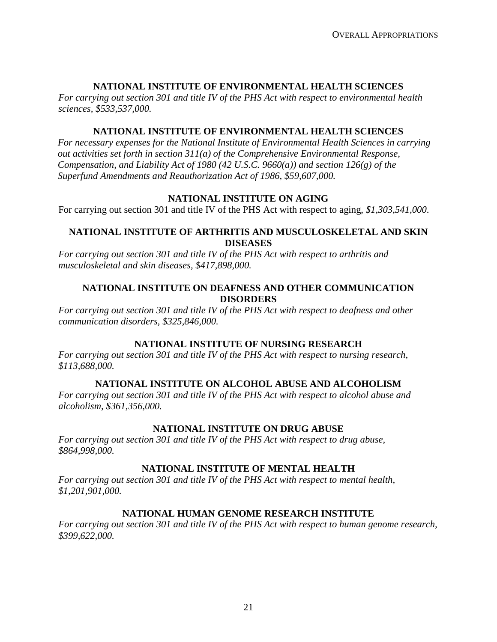### **NATIONAL INSTITUTE OF ENVIRONMENTAL HEALTH SCIENCES**

*For carrying out section 301 and title IV of the PHS Act with respect to environmental health sciences, \$533,537,000.* 

#### **NATIONAL INSTITUTE OF ENVIRONMENTAL HEALTH SCIENCES**

*For necessary expenses for the National Institute of Environmental Health Sciences in carrying out activities set forth in section 311(a) of the Comprehensive Environmental Response, Compensation, and Liability Act of 1980 (42 U.S.C. 9660(a)) and section 126(g) of the Superfund Amendments and Reauthorization Act of 1986, \$59,607,000.* 

### **NATIONAL INSTITUTE ON AGING**

For carrying out section 301 and title IV of the PHS Act with respect to aging, *\$1,303,541,000*.

#### **NATIONAL INSTITUTE OF ARTHRITIS AND MUSCULOSKELETAL AND SKIN DISEASES**

*For carrying out section 301 and title IV of the PHS Act with respect to arthritis and musculoskeletal and skin diseases, \$417,898,000.* 

#### **NATIONAL INSTITUTE ON DEAFNESS AND OTHER COMMUNICATION DISORDERS**

*For carrying out section 301 and title IV of the PHS Act with respect to deafness and other communication disorders, \$325,846,000.* 

### **NATIONAL INSTITUTE OF NURSING RESEARCH**

*For carrying out section 301 and title IV of the PHS Act with respect to nursing research, \$113,688,000.*

### **NATIONAL INSTITUTE ON ALCOHOL ABUSE AND ALCOHOLISM**

*For carrying out section 301 and title IV of the PHS Act with respect to alcohol abuse and alcoholism, \$361,356,000.* 

### **NATIONAL INSTITUTE ON DRUG ABUSE**

*For carrying out section 301 and title IV of the PHS Act with respect to drug abuse, \$864,998,000.*

### **NATIONAL INSTITUTE OF MENTAL HEALTH**

*For carrying out section 301 and title IV of the PHS Act with respect to mental health, \$1,201,901,000.*

### **NATIONAL HUMAN GENOME RESEARCH INSTITUTE**

*For carrying out section 301 and title IV of the PHS Act with respect to human genome research, \$399,622,000.*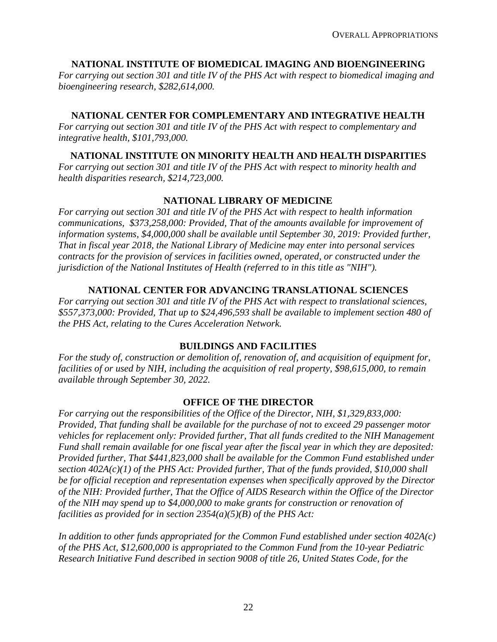# **NATIONAL INSTITUTE OF BIOMEDICAL IMAGING AND BIOENGINEERING**

*For carrying out section 301 and title IV of the PHS Act with respect to biomedical imaging and bioengineering research, \$282,614,000.* 

# **NATIONAL CENTER FOR COMPLEMENTARY AND INTEGRATIVE HEALTH**

*For carrying out section 301 and title IV of the PHS Act with respect to complementary and integrative health, \$101,793,000.* 

# **NATIONAL INSTITUTE ON MINORITY HEALTH AND HEALTH DISPARITIES**

*For carrying out section 301 and title IV of the PHS Act with respect to minority health and health disparities research, \$214,723,000.* 

# **NATIONAL LIBRARY OF MEDICINE**

*For carrying out section 301 and title IV of the PHS Act with respect to health information communications, \$373,258,000: Provided, That of the amounts available for improvement of information systems, \$4,000,000 shall be available until September 30, 2019: Provided further, That in fiscal year 2018, the National Library of Medicine may enter into personal services contracts for the provision of services in facilities owned, operated, or constructed under the jurisdiction of the National Institutes of Health (referred to in this title as "NIH").* 

# **NATIONAL CENTER FOR ADVANCING TRANSLATIONAL SCIENCES**

*For carrying out section 301 and title IV of the PHS Act with respect to translational sciences, \$557,373,000: Provided, That up to \$24,496,593 shall be available to implement section 480 of the PHS Act, relating to the Cures Acceleration Network.* 

### **BUILDINGS AND FACILITIES**

*For the study of, construction or demolition of, renovation of, and acquisition of equipment for, facilities of or used by NIH, including the acquisition of real property, \$98,615,000, to remain available through September 30, 2022.*

### **OFFICE OF THE DIRECTOR**

*For carrying out the responsibilities of the Office of the Director, NIH, \$1,329,833,000: Provided, That funding shall be available for the purchase of not to exceed 29 passenger motor vehicles for replacement only: Provided further, That all funds credited to the NIH Management Fund shall remain available for one fiscal year after the fiscal year in which they are deposited: Provided further, That \$441,823,000 shall be available for the Common Fund established under section 402A(c)(1) of the PHS Act: Provided further, That of the funds provided, \$10,000 shall be for official reception and representation expenses when specifically approved by the Director of the NIH: Provided further, That the Office of AIDS Research within the Office of the Director of the NIH may spend up to \$4,000,000 to make grants for construction or renovation of facilities as provided for in section 2354(a)(5)(B) of the PHS Act:* 

*In addition to other funds appropriated for the Common Fund established under section 402A(c) of the PHS Act, \$12,600,000 is appropriated to the Common Fund from the 10-year Pediatric Research Initiative Fund described in section 9008 of title 26, United States Code, for the*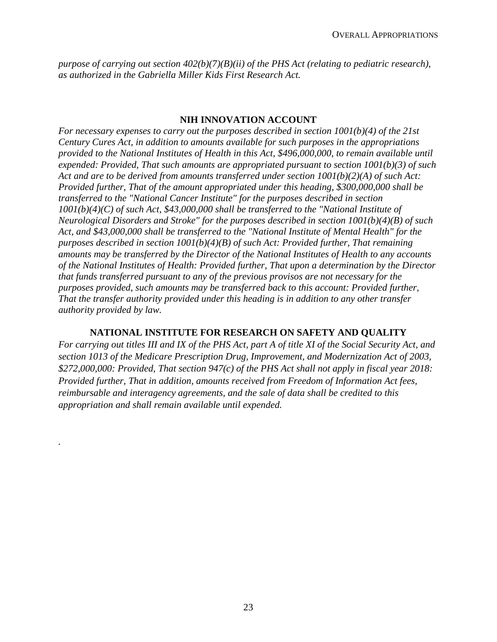*purpose of carrying out section 402(b)(7)(B)(ii) of the PHS Act (relating to pediatric research), as authorized in the Gabriella Miller Kids First Research Act.*

#### **NIH INNOVATION ACCOUNT**

*For necessary expenses to carry out the purposes described in section 1001(b)(4) of the 21st Century Cures Act, in addition to amounts available for such purposes in the appropriations provided to the National Institutes of Health in this Act, \$496,000,000, to remain available until expended: Provided, That such amounts are appropriated pursuant to section 1001(b)(3) of such Act and are to be derived from amounts transferred under section 1001(b)(2)(A) of such Act: Provided further, That of the amount appropriated under this heading, \$300,000,000 shall be transferred to the "National Cancer Institute" for the purposes described in section 1001(b)(4)(C) of such Act, \$43,000,000 shall be transferred to the "National Institute of Neurological Disorders and Stroke" for the purposes described in section 1001(b)(4)(B) of such Act, and \$43,000,000 shall be transferred to the "National Institute of Mental Health" for the purposes described in section 1001(b)(4)(B) of such Act: Provided further, That remaining amounts may be transferred by the Director of the National Institutes of Health to any accounts of the National Institutes of Health: Provided further, That upon a determination by the Director that funds transferred pursuant to any of the previous provisos are not necessary for the purposes provided, such amounts may be transferred back to this account: Provided further, That the transfer authority provided under this heading is in addition to any other transfer authority provided by law.*

#### **NATIONAL INSTITUTE FOR RESEARCH ON SAFETY AND QUALITY**

*For carrying out titles III and IX of the PHS Act, part A of title XI of the Social Security Act, and section 1013 of the Medicare Prescription Drug, Improvement, and Modernization Act of 2003, \$272,000,000: Provided, That section 947(c) of the PHS Act shall not apply in fiscal year 2018: Provided further, That in addition, amounts received from Freedom of Information Act fees, reimbursable and interagency agreements, and the sale of data shall be credited to this appropriation and shall remain available until expended.*

*.*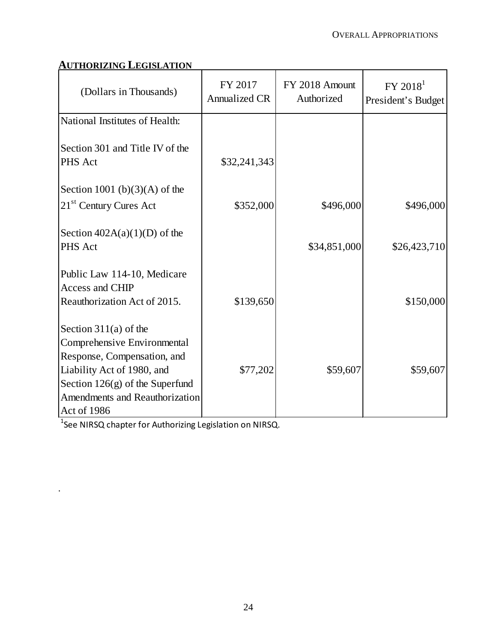# **AUTHORIZING LEGISLATION**

| (Dollars in Thousands)                                                                                           | FY 2017<br><b>Annualized CR</b> | FY 2018 Amount<br>Authorized | FY 2018 <sup>1</sup><br>President's Budget |
|------------------------------------------------------------------------------------------------------------------|---------------------------------|------------------------------|--------------------------------------------|
| National Institutes of Health:                                                                                   |                                 |                              |                                            |
| Section 301 and Title IV of the<br>PHS Act                                                                       | \$32,241,343                    |                              |                                            |
| Section 1001 (b) $(3)(A)$ of the                                                                                 |                                 |                              |                                            |
| 21 <sup>st</sup> Century Cures Act                                                                               | \$352,000                       | \$496,000                    | \$496,000                                  |
| Section $402A(a)(1)(D)$ of the<br>PHS Act                                                                        |                                 | \$34,851,000                 | \$26,423,710                               |
| Public Law 114-10, Medicare<br>Access and CHIP<br>Reauthorization Act of 2015.                                   | \$139,650                       |                              | \$150,000                                  |
| Section $311(a)$ of the<br>Comprehensive Environmental<br>Response, Compensation, and                            |                                 |                              |                                            |
| Liability Act of 1980, and<br>Section $126(g)$ of the Superfund<br>Amendments and Reauthorization<br>Act of 1986 | \$77,202                        | \$59,607                     | \$59,607                                   |

 $^1$ See NIRSQ chapter for Authorizing Legislation on NIRSQ.

*.*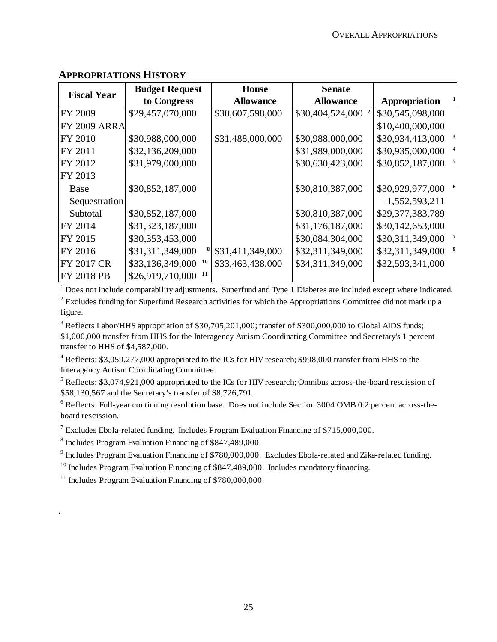| <b>Fiscal Year</b>  | <b>Budget Request</b>  | <b>House</b>     | <b>Senate</b>    |                                  |
|---------------------|------------------------|------------------|------------------|----------------------------------|
|                     | to Congress            | <b>Allowance</b> | <b>Allowance</b> | Appropriation                    |
| FY 2009             | \$29,457,070,000       | \$30,607,598,000 | \$30,404,524,000 | \$30,545,098,000                 |
| <b>FY 2009 ARRA</b> |                        |                  |                  | \$10,400,000,000                 |
| FY 2010             | \$30,988,000,000       | \$31,488,000,000 | \$30,988,000,000 | $\mathbf{3}$<br>\$30,934,413,000 |
| FY 2011             | \$32,136,209,000       |                  | \$31,989,000,000 | \$30,935,000,000                 |
| FY 2012             | \$31,979,000,000       |                  | \$30,630,423,000 | 5<br>\$30,852,187,000            |
| FY 2013             |                        |                  |                  |                                  |
| Base                | \$30,852,187,000       |                  | \$30,810,387,000 | \$30,929,977,000                 |
| Sequestration       |                        |                  |                  | $-1,552,593,211$                 |
| Subtotal            | \$30,852,187,000       |                  | \$30,810,387,000 | \$29,377,383,789                 |
| FY 2014             | \$31,323,187,000       |                  | \$31,176,187,000 | \$30,142,653,000                 |
| FY 2015             | \$30,353,453,000       |                  | \$30,084,304,000 | \$30,311,349,000                 |
| FY 2016             | \$31,311,349,000       | \$31,411,349,000 | \$32,311,349,000 | \$32,311,349,000                 |
| <b>FY 2017 CR</b>   | \$33,136,349,000<br>10 | \$33,463,438,000 | \$34,311,349,000 | \$32,593,341,000                 |
| <b>FY 2018 PB</b>   | \$26,919,710,000<br>11 |                  |                  |                                  |

# **APPROPRIATIONS HISTORY**

 $1$  Does not include comparability adjustments. Superfund and Type 1 Diabetes are included except where indicated.

 $2^{2}$  Excludes funding for Superfund Research activities for which the Appropriations Committee did not mark up a figure.

<sup>3</sup> Reflects Labor/HHS appropriation of \$30,705,201,000; transfer of \$300,000,000 to Global AIDS funds; \$1,000,000 transfer from HHS for the Interagency Autism Coordinating Committee and Secretary's 1 percent transfer to HHS of \$4,587,000.

<sup>4</sup> Reflects: \$3,059,277,000 appropriated to the ICs for HIV research; \$998,000 transfer from HHS to the Interagency Autism Coordinating Committee.

<sup>5</sup> Reflects: \$3,074,921,000 appropriated to the ICs for HIV research; Omnibus across-the-board rescission of \$58,130,567 and the Secretary's transfer of \$8,726,791.

<sup>6</sup> Reflects: Full-year continuing resolution base. Does not include Section 3004 OMB 0.2 percent across-theboard rescission.

<sup>7</sup> Excludes Ebola-related funding. Includes Program Evaluation Financing of \$715,000,000.

<sup>8</sup> Includes Program Evaluation Financing of \$847,489,000.

<sup>9</sup> Includes Program Evaluation Financing of \$780,000,000. Excludes Ebola-related and Zika-related funding.

 $10$  Includes Program Evaluation Financing of \$847,489,000. Includes mandatory financing.

 $11$  Includes Program Evaluation Financing of \$780,000,000.

*.*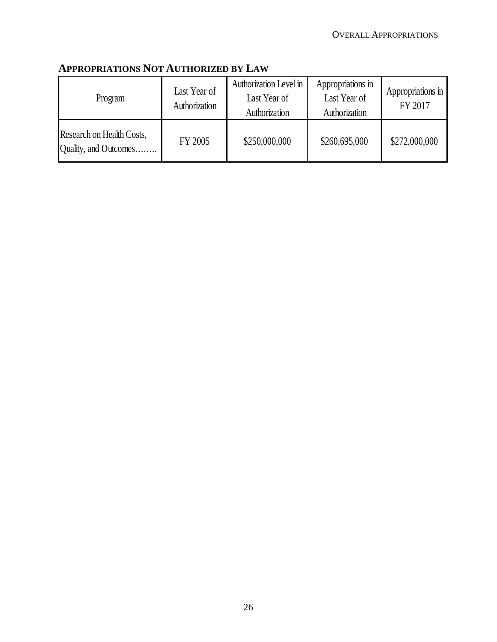| Program                                            | Last Year of<br>Authorization | Authorization Level in<br>Last Year of<br>Authorization | Appropriations in<br>Last Year of<br>Authorization | Appropriations in<br>FY 2017 |
|----------------------------------------------------|-------------------------------|---------------------------------------------------------|----------------------------------------------------|------------------------------|
| Research on Health Costs,<br>Quality, and Outcomes | FY 2005                       | \$250,000,000                                           | \$260,695,000                                      | \$272,000,000                |

# **APPROPRIATIONS NOT AUTHORIZED BY LAW**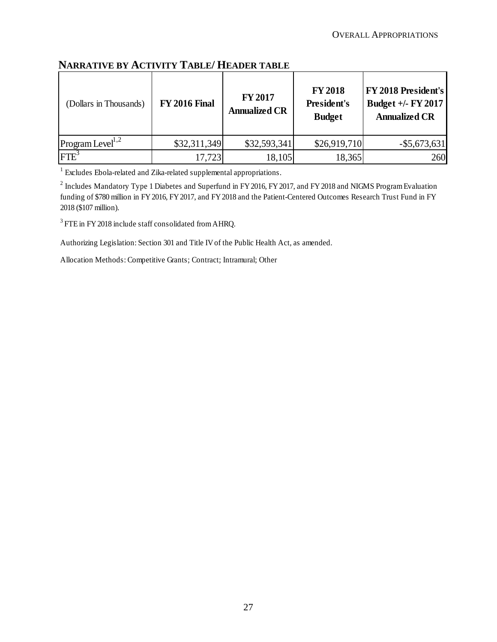# **NARRATIVE BY ACTIVITY TABLE/ HEADER TABLE**

| (Dollars in Thousands)       | <b>FY 2016 Final</b> | <b>FY 2017</b><br><b>Annualized CR</b> | <b>FY 2018</b><br><b>President's</b><br><b>Budget</b> | FY 2018 President's<br>Budget +/- FY 2017<br><b>Annualized CR</b> |
|------------------------------|----------------------|----------------------------------------|-------------------------------------------------------|-------------------------------------------------------------------|
| Program Level <sup>1,2</sup> | \$32,311,349         | \$32,593,341                           | \$26,919,710                                          | $-$ \$5,673,631                                                   |
| FTE <sup>3</sup>             | 17,723               | 18,105                                 | 18,365                                                | <b>260</b>                                                        |

<sup>1</sup> Excludes Ebola-related and Zika-related supplemental appropriations.

<sup>2</sup> Includes Mandatory Type 1 Diabetes and Superfund in FY 2016, FY 2017, and FY 2018 and NIGMS Program Evaluation funding of \$780 million in FY 2016, FY 2017, and FY 2018 and the Patient-Centered Outcomes Research Trust Fund in FY 2018 (\$107 million).

<sup>3</sup> FTE in FY 2018 include staff consolidated from AHRQ.

Authorizing Legislation: Section 301 and Title IV of the Public Health Act, as amended.

Allocation Methods: Competitive Grants; Contract; Intramural; Other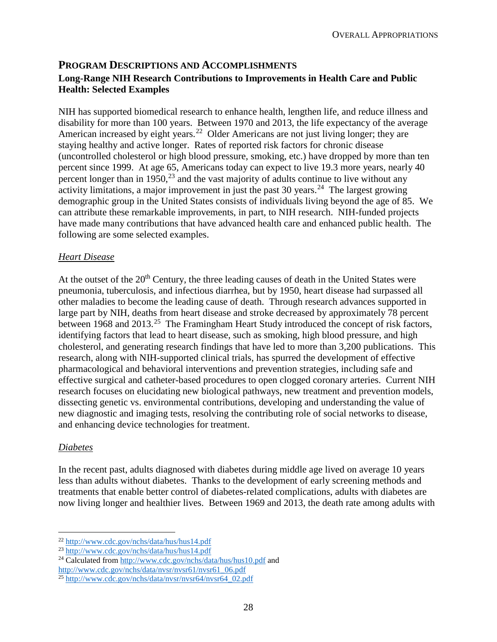# **PROGRAM DESCRIPTIONS AND ACCOMPLISHMENTS Long-Range NIH Research Contributions to Improvements in Health Care and Public Health: Selected Examples**

NIH has supported biomedical research to enhance health, lengthen life, and reduce illness and disability for more than 100 years. Between 1970 and 2013, the life expectancy of the average American increased by eight years.<sup>22</sup> Older Americans are not just living longer; they are staying healthy and active longer. Rates of reported risk factors for chronic disease (uncontrolled cholesterol or high blood pressure, smoking, etc.) have dropped by more than ten percent since 1999. At age 65, Americans today can expect to live 19.3 more years, nearly 40 percent longer than in 1950,  $^{23}$  and the vast majority of adults continue to live without any activity limitations, a major improvement in just the past 30 years.<sup>24</sup> The largest growing demographic group in the United States consists of individuals living beyond the age of 85. We can attribute these remarkable improvements, in part, to NIH research. NIH-funded projects have made many contributions that have advanced health care and enhanced public health. The following are some selected examples.

#### *Heart Disease*

At the outset of the  $20<sup>th</sup>$  Century, the three leading causes of death in the United States were pneumonia, tuberculosis, and infectious diarrhea, but by 1950, heart disease had surpassed all other maladies to become the leading cause of death. Through research advances supported in large part by NIH, deaths from heart disease and stroke decreased by approximately 78 percent between 1968 and 2013.<sup>25</sup> The Framingham Heart Study introduced the concept of risk factors, identifying factors that lead to heart disease, such as smoking, high blood pressure, and high cholesterol, and generating research findings that have led to more than 3,200 publications. This research, along with NIH-supported clinical trials, has spurred the development of effective pharmacological and behavioral interventions and prevention strategies, including safe and effective surgical and catheter-based procedures to open clogged coronary arteries. Current NIH research focuses on elucidating new biological pathways, new treatment and prevention models, dissecting genetic vs. environmental contributions, developing and understanding the value of new diagnostic and imaging tests, resolving the contributing role of social networks to disease, and enhancing device technologies for treatment.

### *Diabetes*

In the recent past, adults diagnosed with diabetes during middle age lived on average 10 years less than adults without diabetes. Thanks to the development of early screening methods and treatments that enable better control of diabetes-related complications, adults with diabetes are now living longer and healthier lives. Between 1969 and 2013, the death rate among adults with

 <sup>22</sup> http://www.cdc.gov/nchs/data/hus/hus14.pdf

<sup>23</sup> http://www.cdc.gov/nchs/data/hus/hus14.pdf

<sup>24</sup> Calculated from http://www.cdc.gov/nchs/data/hus/hus10.pdf and http://www.cdc.gov/nchs/data/nvsr/nvsr61/nvsr61\_06.pdf

<sup>25</sup> http://www.cdc.gov/nchs/data/nvsr/nvsr64/nvsr64\_02.pdf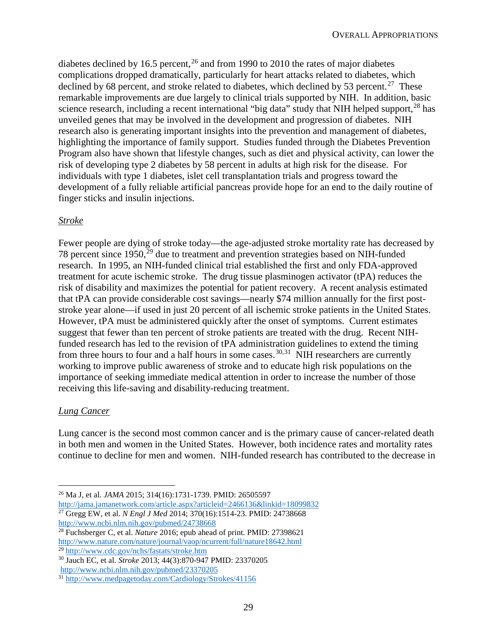diabetes declined by 16.5 percent,  $2<sup>6</sup>$  and from 1990 to 2010 the rates of major diabetes complications dropped dramatically, particularly for heart attacks related to diabetes, which declined by 68 percent, and stroke related to diabetes, which declined by 53 percent.<sup>27</sup> These remarkable improvements are due largely to clinical trials supported by NIH. In addition, basic science research, including a recent international "big data" study that NIH helped support,  $^{28}$  has unveiled genes that may be involved in the development and progression of diabetes. NIH research also is generating important insights into the prevention and management of diabetes, highlighting the importance of family support. Studies funded through the Diabetes Prevention Program also have shown that lifestyle changes, such as diet and physical activity, can lower the risk of developing type 2 diabetes by 58 percent in adults at high risk for the disease. For individuals with type 1 diabetes, islet cell transplantation trials and progress toward the development of a fully reliable artificial pancreas provide hope for an end to the daily routine of finger sticks and insulin injections.

#### *Stroke*

Fewer people are dying of stroke today—the age-adjusted stroke mortality rate has decreased by 78 percent since  $1950$ ,  $^{29}$  due to treatment and prevention strategies based on NIH-funded research. In 1995, an NIH-funded clinical trial established the first and only FDA-approved treatment for acute ischemic stroke. The drug tissue plasminogen activator (tPA) reduces the risk of disability and maximizes the potential for patient recovery. A recent analysis estimated that tPA can provide considerable cost savings—nearly \$74 million annually for the first poststroke year alone—if used in just 20 percent of all ischemic stroke patients in the United States. However, tPA must be administered quickly after the onset of symptoms. Current estimates suggest that fewer than ten percent of stroke patients are treated with the drug. Recent NIHfunded research has led to the revision of tPA administration guidelines to extend the timing from three hours to four and a half hours in some cases.<sup>30,31</sup> NIH researchers are currently working to improve public awareness of stroke and to educate high risk populations on the importance of seeking immediate medical attention in order to increase the number of those receiving this life-saving and disability-reducing treatment.

#### *Lung Cancer*

Lung cancer is the second most common cancer and is the primary cause of cancer-related death in both men and women in the United States. However, both incidence rates and mortality rates continue to decline for men and women. NIH-funded research has contributed to the decrease in

 <sup>26</sup> Ma J, et al. *JAMA* 2015; 314(16):1731-1739. PMID: 26505597 http://jama.jamanetwork.com/article.aspx?articleid=2466136&linkid=18099832

<sup>&</sup>lt;sup>27</sup> Gregg EW, et al. *N Engl J Med* 2014; 370(16):1514-23. PMID: 24738668 http://www.ncbi.nlm.nih.gov/pubmed/24738668

<sup>28</sup> Fuchsberger C, et al. *Nature* 2016; epub ahead of print. PMID: 27398621 http://www.nature.com/nature/journal/vaop/ncurrent/full/nature18642.html <sup>29</sup> http://www.cdc.gov/nchs/fastats/stroke.htm

<sup>30</sup> Jauch EC, et al. *Stroke* 2013; 44(3):870-947 PMID: 23370205

http://www.ncbi.nlm.nih.gov/pubmed/23370205

<sup>31</sup> http://www.medpagetoday.com/Cardiology/Strokes/41156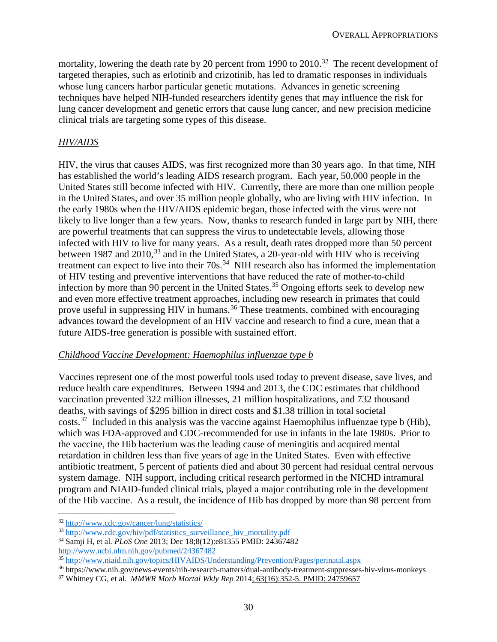mortality, lowering the death rate by 20 percent from 1990 to 2010.<sup>32</sup> The recent development of targeted therapies, such as erlotinib and crizotinib, has led to dramatic responses in individuals whose lung cancers harbor particular genetic mutations. Advances in genetic screening techniques have helped NIH-funded researchers identify genes that may influence the risk for lung cancer development and genetic errors that cause lung cancer, and new precision medicine clinical trials are targeting some types of this disease.

# *HIV/AIDS*

HIV, the virus that causes AIDS, was first recognized more than 30 years ago. In that time, NIH has established the world's leading AIDS research program. Each year, 50,000 people in the United States still become infected with HIV. Currently, there are more than one million people in the United States, and over 35 million people globally, who are living with HIV infection. In the early 1980s when the HIV/AIDS epidemic began, those infected with the virus were not likely to live longer than a few years. Now, thanks to research funded in large part by NIH, there are powerful treatments that can suppress the virus to undetectable levels, allowing those infected with HIV to live for many years. As a result, death rates dropped more than 50 percent between 1987 and  $2010$ ,<sup>33</sup> and in the United States, a 20-year-old with HIV who is receiving treatment can expect to live into their 70s.<sup>34</sup> NIH research also has informed the implementation of HIV testing and preventive interventions that have reduced the rate of mother-to-child infection by more than 90 percent in the United States.<sup>35</sup> Ongoing efforts seek to develop new and even more effective treatment approaches, including new research in primates that could prove useful in suppressing HIV in humans.<sup>36</sup> These treatments, combined with encouraging advances toward the development of an HIV vaccine and research to find a cure, mean that a future AIDS-free generation is possible with sustained effort.

### *Childhood Vaccine Development: Haemophilus influenzae type b*

Vaccines represent one of the most powerful tools used today to prevent disease, save lives, and reduce health care expenditures. Between 1994 and 2013, the CDC estimates that childhood vaccination prevented 322 million illnesses, 21 million hospitalizations, and 732 thousand deaths, with savings of \$295 billion in direct costs and \$1.38 trillion in total societal costs.<sup>37</sup> Included in this analysis was the vaccine against Haemophilus influenzae type b (Hib), which was FDA-approved and CDC-recommended for use in infants in the late 1980s. Prior to the vaccine, the Hib bacterium was the leading cause of meningitis and acquired mental retardation in children less than five years of age in the United States. Even with effective antibiotic treatment, 5 percent of patients died and about 30 percent had residual central nervous system damage. NIH support, including critical research performed in the NICHD intramural program and NIAID-funded clinical trials, played a major contributing role in the development of the Hib vaccine. As a result, the incidence of Hib has dropped by more than 98 percent from

 <sup>32</sup> http://www.cdc.gov/cancer/lung/statistics/

<sup>&</sup>lt;sup>33</sup> http://www.cdc.gov/hiv/pdf/statistics\_surveillance\_hiv\_mortality.pdf

<sup>34</sup> Samji H, et al. *PLoS One* 2013; Dec 18;8(12):e81355 PMID: 24367482 http://www.ncbi.nlm.nih.gov/pubmed/24367482

<sup>&</sup>lt;sup>35</sup> http://www.niaid.nih.gov/topics/HIVAIDS/Understanding/Prevention/Pages/perinatal.aspx

<sup>36</sup> https://www.nih.gov/news-events/nih-research-matters/dual-antibody-treatment-suppresses-hiv-virus-monkeys

<sup>37</sup> Whitney CG, et al. *MMWR Morb Mortal Wkly Rep* 2014; 63(16):352-5. PMID: 24759657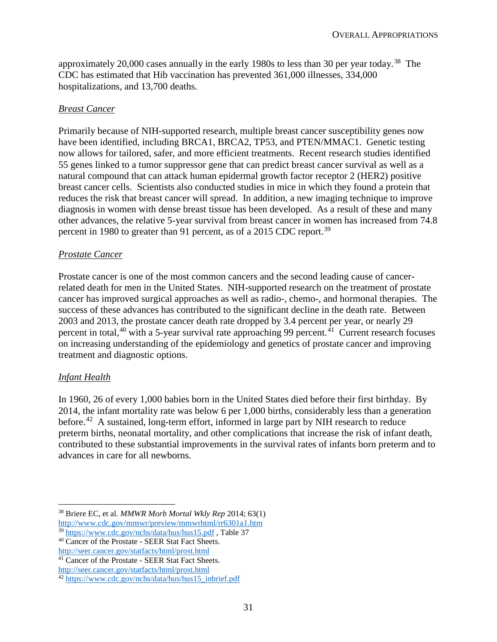approximately 20,000 cases annually in the early 1980s to less than 30 per year today.<sup>38</sup> The CDC has estimated that Hib vaccination has prevented 361,000 illnesses, 334,000 hospitalizations, and 13,700 deaths.

#### *Breast Cancer*

Primarily because of NIH-supported research, multiple breast cancer susceptibility genes now have been identified, including BRCA1, BRCA2, TP53, and PTEN/MMAC1. Genetic testing now allows for tailored, safer, and more efficient treatments. Recent research studies identified 55 genes linked to a tumor suppressor gene that can predict breast cancer survival as well as a natural compound that can attack human epidermal growth factor receptor 2 (HER2) positive breast cancer cells. Scientists also conducted studies in mice in which they found a protein that reduces the risk that breast cancer will spread. In addition, a new imaging technique to improve diagnosis in women with dense breast tissue has been developed. As a result of these and many other advances, the relative 5-year survival from breast cancer in women has increased from 74.8 percent in 1980 to greater than 91 percent, as of a 2015 CDC report.<sup>39</sup>

### *Prostate Cancer*

Prostate cancer is one of the most common cancers and the second leading cause of cancerrelated death for men in the United States. NIH-supported research on the treatment of prostate cancer has improved surgical approaches as well as radio-, chemo-, and hormonal therapies. The success of these advances has contributed to the significant decline in the death rate. Between 2003 and 2013, the prostate cancer death rate dropped by 3.4 percent per year, or nearly 29 percent in total,<sup>40</sup> with a 5-year survival rate approaching 99 percent.<sup>41</sup> Current research focuses on increasing understanding of the epidemiology and genetics of prostate cancer and improving treatment and diagnostic options.

### *Infant Health*

In 1960, 26 of every 1,000 babies born in the United States died before their first birthday. By 2014, the infant mortality rate was below 6 per 1,000 births, considerably less than a generation before.<sup>42</sup> A sustained, long-term effort, informed in large part by NIH research to reduce preterm births, neonatal mortality, and other complications that increase the risk of infant death, contributed to these substantial improvements in the survival rates of infants born preterm and to advances in care for all newborns.

<sup>41</sup> Cancer of the Prostate - SEER Stat Fact Sheets.

 <sup>38</sup> Briere EC, et al. *MMWR Morb Mortal Wkly Rep* 2014; 63(1) http://www.cdc.gov/mmwr/preview/mmwrhtml/rr6301a1.htm <sup>39</sup> https://www.cdc.gov/nchs/data/hus/hus15.pdf , Table 37

<sup>40</sup> Cancer of the Prostate - SEER Stat Fact Sheets. http://seer.cancer.gov/statfacts/html/prost.html

http://seer.cancer.gov/statfacts/html/prost.html

<sup>42</sup> https://www.cdc.gov/nchs/data/hus/hus15\_inbrief.pdf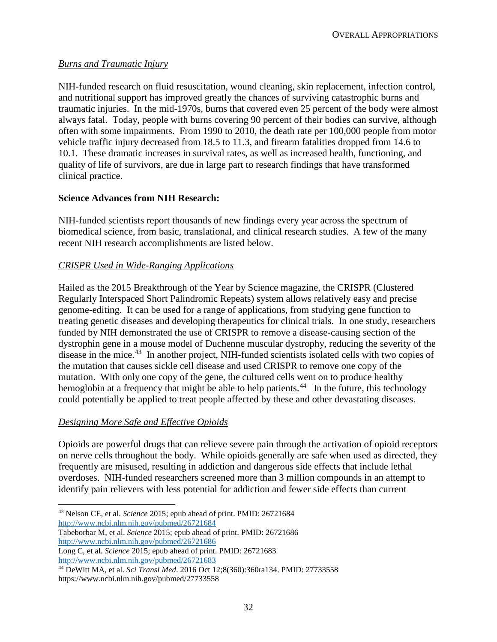### *Burns and Traumatic Injury*

NIH-funded research on fluid resuscitation, wound cleaning, skin replacement, infection control, and nutritional support has improved greatly the chances of surviving catastrophic burns and traumatic injuries. In the mid-1970s, burns that covered even 25 percent of the body were almost always fatal. Today, people with burns covering 90 percent of their bodies can survive, although often with some impairments. From 1990 to 2010, the death rate per 100,000 people from motor vehicle traffic injury decreased from 18.5 to 11.3, and firearm fatalities dropped from 14.6 to 10.1. These dramatic increases in survival rates, as well as increased health, functioning, and quality of life of survivors, are due in large part to research findings that have transformed clinical practice.

### **Science Advances from NIH Research:**

NIH-funded scientists report thousands of new findings every year across the spectrum of biomedical science, from basic, translational, and clinical research studies. A few of the many recent NIH research accomplishments are listed below.

# *CRISPR Used in Wide-Ranging Applications*

Hailed as the 2015 Breakthrough of the Year by Science magazine, the CRISPR (Clustered Regularly Interspaced Short Palindromic Repeats) system allows relatively easy and precise genome-editing. It can be used for a range of applications, from studying gene function to treating genetic diseases and developing therapeutics for clinical trials. In one study, researchers funded by NIH demonstrated the use of CRISPR to remove a disease-causing section of the dystrophin gene in a mouse model of Duchenne muscular dystrophy, reducing the severity of the disease in the mice.<sup>43</sup> In another project, NIH-funded scientists isolated cells with two copies of the mutation that causes sickle cell disease and used CRISPR to remove one copy of the mutation. With only one copy of the gene, the cultured cells went on to produce healthy hemoglobin at a frequency that might be able to help patients.<sup>44</sup> In the future, this technology could potentially be applied to treat people affected by these and other devastating diseases.

# *Designing More Safe and Effective Opioids*

Opioids are powerful drugs that can relieve severe pain through the activation of opioid receptors on nerve cells throughout the body. While opioids generally are safe when used as directed, they frequently are misused, resulting in addiction and dangerous side effects that include lethal overdoses. NIH-funded researchers screened more than 3 million compounds in an attempt to identify pain relievers with less potential for addiction and fewer side effects than current

http://www.ncbi.nlm.nih.gov/pubmed/26721684

Tabeborbar M, et al. *Science* 2015; epub ahead of print. PMID: 26721686 http://www.ncbi.nlm.nih.gov/pubmed/26721686

 <sup>43</sup> Nelson CE, et al. *Science* 2015; epub ahead of print. PMID: 26721684

Long C, et al. *Science* 2015; epub ahead of print. PMID: 26721683 http://www.ncbi.nlm.nih.gov/pubmed/26721683

<sup>44</sup> DeWitt MA, et al. *Sci Transl Med*. 2016 Oct 12;8(360):360ra134. PMID: 27733558 https://www.ncbi.nlm.nih.gov/pubmed/27733558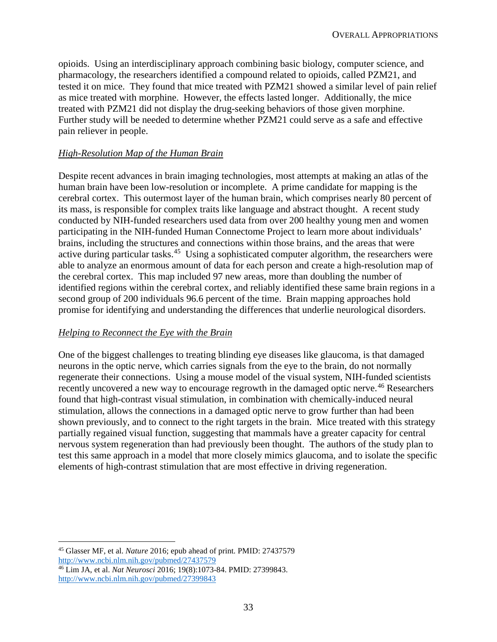opioids. Using an interdisciplinary approach combining basic biology, computer science, and pharmacology, the researchers identified a compound related to opioids, called PZM21, and tested it on mice. They found that mice treated with PZM21 showed a similar level of pain relief as mice treated with morphine. However, the effects lasted longer. Additionally, the mice treated with PZM21 did not display the drug-seeking behaviors of those given morphine. Further study will be needed to determine whether PZM21 could serve as a safe and effective pain reliever in people.

#### *High-Resolution Map of the Human Brain*

Despite recent advances in brain imaging technologies, most attempts at making an atlas of the human brain have been low-resolution or incomplete. A prime candidate for mapping is the cerebral cortex. This outermost layer of the human brain, which comprises nearly 80 percent of its mass, is responsible for complex traits like language and abstract thought. A recent study conducted by NIH-funded researchers used data from over 200 healthy young men and women participating in the NIH-funded Human Connectome Project to learn more about individuals' brains, including the structures and connections within those brains, and the areas that were active during particular tasks.<sup>45</sup> Using a sophisticated computer algorithm, the researchers were able to analyze an enormous amount of data for each person and create a high-resolution map of the cerebral cortex. This map included 97 new areas, more than doubling the number of identified regions within the cerebral cortex, and reliably identified these same brain regions in a second group of 200 individuals 96.6 percent of the time. Brain mapping approaches hold promise for identifying and understanding the differences that underlie neurological disorders.

### *Helping to Reconnect the Eye with the Brain*

One of the biggest challenges to treating blinding eye diseases like glaucoma, is that damaged neurons in the optic nerve, which carries signals from the eye to the brain, do not normally regenerate their connections. Using a mouse model of the visual system, NIH-funded scientists recently uncovered a new way to encourage regrowth in the damaged optic nerve.<sup>46</sup> Researchers found that high-contrast visual stimulation, in combination with chemically-induced neural stimulation, allows the connections in a damaged optic nerve to grow further than had been shown previously, and to connect to the right targets in the brain. Mice treated with this strategy partially regained visual function, suggesting that mammals have a greater capacity for central nervous system regeneration than had previously been thought. The authors of the study plan to test this same approach in a model that more closely mimics glaucoma, and to isolate the specific elements of high-contrast stimulation that are most effective in driving regeneration.

 <sup>45</sup> Glasser MF, et al. *Nature* 2016; epub ahead of print. PMID: 27437579 http://www.ncbi.nlm.nih.gov/pubmed/27437579

<sup>46</sup> Lim JA, et al. *Nat Neurosci* 2016; 19(8):1073-84. PMID: 27399843. http://www.ncbi.nlm.nih.gov/pubmed/27399843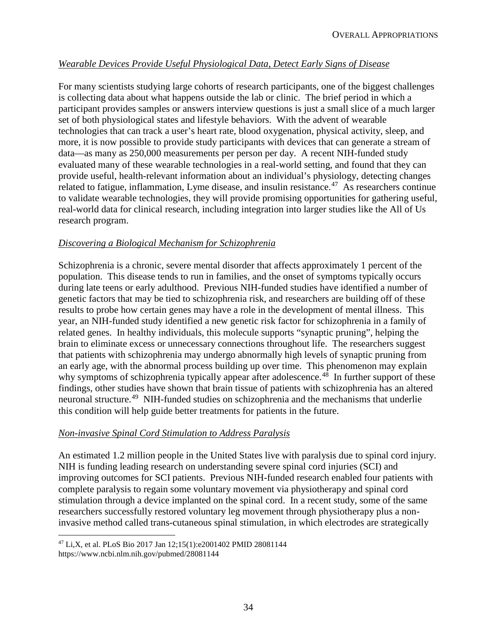# *Wearable Devices Provide Useful Physiological Data, Detect Early Signs of Disease*

For many scientists studying large cohorts of research participants, one of the biggest challenges is collecting data about what happens outside the lab or clinic. The brief period in which a participant provides samples or answers interview questions is just a small slice of a much larger set of both physiological states and lifestyle behaviors. With the advent of wearable technologies that can track a user's heart rate, blood oxygenation, physical activity, sleep, and more, it is now possible to provide study participants with devices that can generate a stream of data—as many as 250,000 measurements per person per day. A recent NIH-funded study evaluated many of these wearable technologies in a real-world setting, and found that they can provide useful, health-relevant information about an individual's physiology, detecting changes related to fatigue, inflammation, Lyme disease, and insulin resistance.<sup>47</sup> As researchers continue to validate wearable technologies, they will provide promising opportunities for gathering useful, real-world data for clinical research, including integration into larger studies like the All of Us research program.

#### *Discovering a Biological Mechanism for Schizophrenia*

Schizophrenia is a chronic, severe mental disorder that affects approximately 1 percent of the population. This disease tends to run in families, and the onset of symptoms typically occurs during late teens or early adulthood. Previous NIH-funded studies have identified a number of genetic factors that may be tied to schizophrenia risk, and researchers are building off of these results to probe how certain genes may have a role in the development of mental illness. This year, an NIH-funded study identified a new genetic risk factor for schizophrenia in a family of related genes. In healthy individuals, this molecule supports "synaptic pruning", helping the brain to eliminate excess or unnecessary connections throughout life. The researchers suggest that patients with schizophrenia may undergo abnormally high levels of synaptic pruning from an early age, with the abnormal process building up over time. This phenomenon may explain why symptoms of schizophrenia typically appear after adolescence.<sup>48</sup> In further support of these findings, other studies have shown that brain tissue of patients with schizophrenia has an altered neuronal structure.<sup>49</sup> NIH-funded studies on schizophrenia and the mechanisms that underlie this condition will help guide better treatments for patients in the future.

### *Non-invasive Spinal Cord Stimulation to Address Paralysis*

An estimated 1.2 million people in the United States live with paralysis due to spinal cord injury. NIH is funding leading research on understanding severe spinal cord injuries (SCI) and improving outcomes for SCI patients. Previous NIH-funded research enabled four patients with complete paralysis to regain some voluntary movement via physiotherapy and spinal cord stimulation through a device implanted on the spinal cord. In a recent study, some of the same researchers successfully restored voluntary leg movement through physiotherapy plus a noninvasive method called trans-cutaneous spinal stimulation, in which electrodes are strategically

 <sup>47</sup> Li,X, et al. PLoS Bio 2017 Jan 12;15(1):e2001402 PMID 28081144 https://www.ncbi.nlm.nih.gov/pubmed/28081144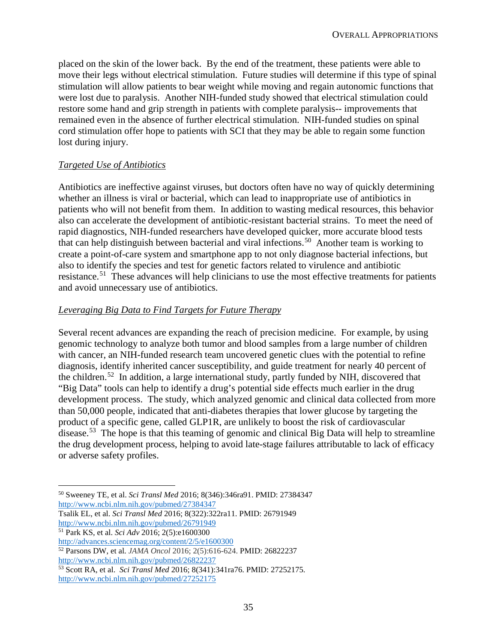placed on the skin of the lower back. By the end of the treatment, these patients were able to move their legs without electrical stimulation. Future studies will determine if this type of spinal stimulation will allow patients to bear weight while moving and regain autonomic functions that were lost due to paralysis. Another NIH-funded study showed that electrical stimulation could restore some hand and grip strength in patients with complete paralysis-- improvements that remained even in the absence of further electrical stimulation. NIH-funded studies on spinal cord stimulation offer hope to patients with SCI that they may be able to regain some function lost during injury.

# *Targeted Use of Antibiotics*

Antibiotics are ineffective against viruses, but doctors often have no way of quickly determining whether an illness is viral or bacterial, which can lead to inappropriate use of antibiotics in patients who will not benefit from them. In addition to wasting medical resources, this behavior also can accelerate the development of antibiotic-resistant bacterial strains. To meet the need of rapid diagnostics, NIH-funded researchers have developed quicker, more accurate blood tests that can help distinguish between bacterial and viral infections.<sup>50</sup> Another team is working to create a point-of-care system and smartphone app to not only diagnose bacterial infections, but also to identify the species and test for genetic factors related to virulence and antibiotic resistance.<sup>51</sup> These advances will help clinicians to use the most effective treatments for patients and avoid unnecessary use of antibiotics.

# *Leveraging Big Data to Find Targets for Future Therapy*

Several recent advances are expanding the reach of precision medicine. For example, by using genomic technology to analyze both tumor and blood samples from a large number of children with cancer, an NIH-funded research team uncovered genetic clues with the potential to refine diagnosis, identify inherited cancer susceptibility, and guide treatment for nearly 40 percent of the children.52 In addition, a large international study, partly funded by NIH, discovered that "Big Data" tools can help to identify a drug's potential side effects much earlier in the drug development process. The study, which analyzed genomic and clinical data collected from more than 50,000 people, indicated that anti-diabetes therapies that lower glucose by targeting the product of a specific gene, called GLP1R, are unlikely to boost the risk of cardiovascular disease.<sup>53</sup> The hope is that this teaming of genomic and clinical Big Data will help to streamline the drug development process, helping to avoid late-stage failures attributable to lack of efficacy or adverse safety profiles.

<sup>51</sup> Park KS, et al. *Sci Adv* 2016; 2(5):e1600300

http://www.ncbi.nlm.nih.gov/pubmed/26822237

 <sup>50</sup> Sweeney TE, et al. *Sci Transl Med* 2016; 8(346):346ra91. PMID: 27384347 http://www.ncbi.nlm.nih.gov/pubmed/27384347

Tsalik EL, et al. *Sci Transl Med* 2016; 8(322):322ra11. PMID: 26791949 http://www.ncbi.nlm.nih.gov/pubmed/26791949

http://advances.sciencemag.org/content/2/5/e1600300

<sup>52</sup> Parsons DW, et al. *JAMA Oncol* 2016; 2(5):616-624. PMID: 26822237

<sup>53</sup> Scott RA, et al. *Sci Transl Med* 2016; 8(341):341ra76. PMID: 27252175. http://www.ncbi.nlm.nih.gov/pubmed/27252175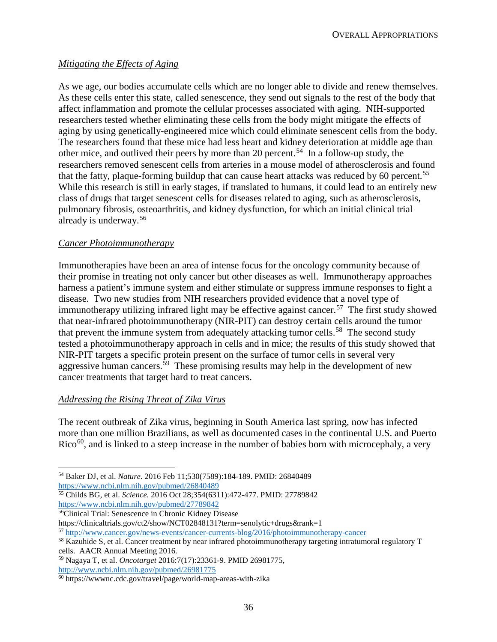# *Mitigating the Effects of Aging*

As we age, our bodies accumulate cells which are no longer able to divide and renew themselves. As these cells enter this state, called senescence, they send out signals to the rest of the body that affect inflammation and promote the cellular processes associated with aging. NIH-supported researchers tested whether eliminating these cells from the body might mitigate the effects of aging by using genetically-engineered mice which could eliminate senescent cells from the body. The researchers found that these mice had less heart and kidney deterioration at middle age than other mice, and outlived their peers by more than 20 percent.<sup>54</sup> In a follow-up study, the researchers removed senescent cells from arteries in a mouse model of atherosclerosis and found that the fatty, plaque-forming buildup that can cause heart attacks was reduced by 60 percent.<sup>55</sup> While this research is still in early stages, if translated to humans, it could lead to an entirely new class of drugs that target senescent cells for diseases related to aging, such as atherosclerosis, pulmonary fibrosis, osteoarthritis, and kidney dysfunction, for which an initial clinical trial already is underway.<sup>56</sup>

### *Cancer Photoimmunotherapy*

Immunotherapies have been an area of intense focus for the oncology community because of their promise in treating not only cancer but other diseases as well. Immunotherapy approaches harness a patient's immune system and either stimulate or suppress immune responses to fight a disease. Two new studies from NIH researchers provided evidence that a novel type of immunotherapy utilizing infrared light may be effective against cancer.<sup>57</sup> The first study showed that near-infrared photoimmunotherapy (NIR-PIT) can destroy certain cells around the tumor that prevent the immune system from adequately attacking tumor cells.<sup>58</sup> The second study tested a photoimmunotherapy approach in cells and in mice; the results of this study showed that NIR-PIT targets a specific protein present on the surface of tumor cells in several very aggressive human cancers.<sup>59</sup> These promising results may help in the development of new cancer treatments that target hard to treat cancers.

### *Addressing the Rising Threat of Zika Virus*

The recent outbreak of Zika virus, beginning in South America last spring, now has infected more than one million Brazilians, as well as documented cases in the continental U.S. and Puerto  $Rico<sup>60</sup>$ , and is linked to a steep increase in the number of babies born with microcephaly, a very

<sup>55</sup> Childs BG, et al. *Science.* 2016 Oct 28;354(6311):472-477. PMID: 27789842 https://www.ncbi.nlm.nih.gov/pubmed/27789842

56Clinical Trial: Senescence in Chronic Kidney Disease

https://clinicaltrials.gov/ct2/show/NCT02848131?term=senolytic+drugs&rank=1

<sup>57</sup> http://www.cancer.gov/news-events/cancer-currents-blog/2016/photoimmunotherapy-cancer

<sup>59</sup> Nagaya T, et al. *Oncotarget* 2016:7(17):23361-9. PMID 26981775, http://www.ncbi.nlm.nih.gov/pubmed/26981775

 <sup>54</sup> Baker DJ, et al. *Nature*. 2016 Feb 11;530(7589):184-189. PMID: 26840489 https://www.ncbi.nlm.nih.gov/pubmed/26840489

<sup>58</sup> Kazuhide S, et al. Cancer treatment by near infrared photoimmunotherapy targeting intratumoral regulatory T cells. AACR Annual Meeting 2016.

<sup>60</sup> https://wwwnc.cdc.gov/travel/page/world-map-areas-with-zika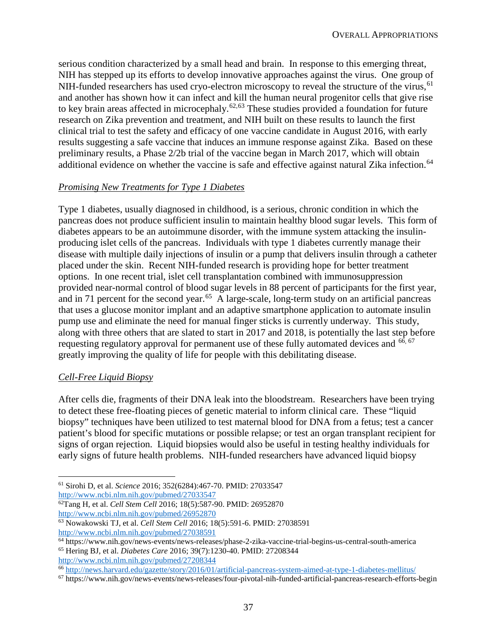serious condition characterized by a small head and brain. In response to this emerging threat, NIH has stepped up its efforts to develop innovative approaches against the virus. One group of NIH-funded researchers has used cryo-electron microscopy to reveal the structure of the virus, <sup>61</sup> and another has shown how it can infect and kill the human neural progenitor cells that give rise to key brain areas affected in microcephaly.<sup>62,63</sup> These studies provided a foundation for future research on Zika prevention and treatment, and NIH built on these results to launch the first clinical trial to test the safety and efficacy of one vaccine candidate in August 2016, with early results suggesting a safe vaccine that induces an immune response against Zika. Based on these preliminary results, a Phase 2/2b trial of the vaccine began in March 2017, which will obtain additional evidence on whether the vaccine is safe and effective against natural Zika infection.<sup>64</sup>

### *Promising New Treatments for Type 1 Diabetes*

Type 1 diabetes, usually diagnosed in childhood, is a serious, chronic condition in which the pancreas does not produce sufficient insulin to maintain healthy blood sugar levels. This form of diabetes appears to be an autoimmune disorder, with the immune system attacking the insulinproducing islet cells of the pancreas. Individuals with type 1 diabetes currently manage their disease with multiple daily injections of insulin or a pump that delivers insulin through a catheter placed under the skin. Recent NIH-funded research is providing hope for better treatment options. In one recent trial, islet cell transplantation combined with immunosuppression provided near-normal control of blood sugar levels in 88 percent of participants for the first year, and in 71 percent for the second year.<sup>65</sup> A large-scale, long-term study on an artificial pancreas that uses a glucose monitor implant and an adaptive smartphone application to automate insulin pump use and eliminate the need for manual finger sticks is currently underway. This study, along with three others that are slated to start in 2017 and 2018, is potentially the last step before requesting regulatory approval for permanent use of these fully automated devices and <sup>66, 67</sup> greatly improving the quality of life for people with this debilitating disease.

#### *Cell-Free Liquid Biopsy*

After cells die, fragments of their DNA leak into the bloodstream. Researchers have been trying to detect these free-floating pieces of genetic material to inform clinical care. These "liquid biopsy" techniques have been utilized to test maternal blood for DNA from a fetus; test a cancer patient's blood for specific mutations or possible relapse; or test an organ transplant recipient for signs of organ rejection. Liquid biopsies would also be useful in testing healthy individuals for early signs of future health problems. NIH-funded researchers have advanced liquid biopsy

http://www.ncbi.nlm.nih.gov/pubmed/27033547

http://www.ncbi.nlm.nih.gov/pubmed/27208344

 <sup>61</sup> Sirohi D, et al. *Science* 2016; 352(6284):467-70. PMID: 27033547

<sup>62</sup>Tang H, et al. *Cell Stem Cell* 2016; 18(5):587-90. PMID: 26952870 http://www.ncbi.nlm.nih.gov/pubmed/26952870

<sup>63</sup> Nowakowski TJ, et al. *Cell Stem Cell* 2016; 18(5):591-6. PMID: 27038591

http://www.ncbi.nlm.nih.gov/pubmed/27038591

<sup>64</sup> https://www.nih.gov/news-events/news-releases/phase-2-zika-vaccine-trial-begins-us-central-south-america <sup>65</sup> Hering BJ, et al. *Diabetes Care* 2016; 39(7):1230-40. PMID: 27208344

<sup>66</sup> http://news.harvard.edu/gazette/story/2016/01/artificial-pancreas-system-aimed-at-type-1-diabetes-mellitus/

<sup>67</sup> https://www.nih.gov/news-events/news-releases/four-pivotal-nih-funded-artificial-pancreas-research-efforts-begin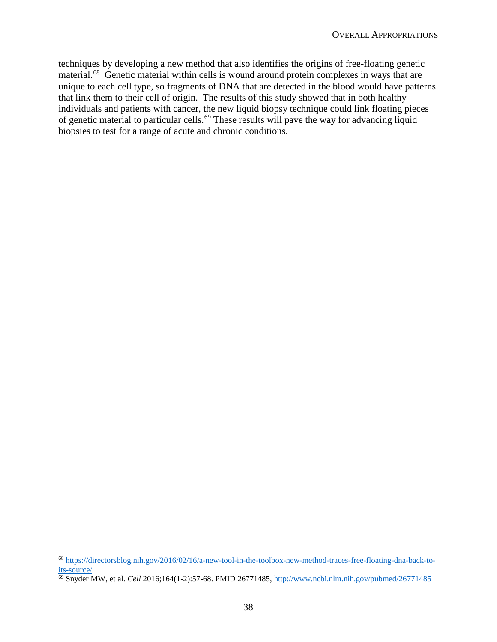techniques by developing a new method that also identifies the origins of free-floating genetic material.<sup>68</sup> Genetic material within cells is wound around protein complexes in ways that are unique to each cell type, so fragments of DNA that are detected in the blood would have patterns that link them to their cell of origin. The results of this study showed that in both healthy individuals and patients with cancer, the new liquid biopsy technique could link floating pieces of genetic material to particular cells.<sup>69</sup> These results will pave the way for advancing liquid biopsies to test for a range of acute and chronic conditions.

 <sup>68</sup> https://directorsblog.nih.gov/2016/02/16/a-new-tool-in-the-toolbox-new-method-traces-free-floating-dna-back-toits-source/

<sup>69</sup> Snyder MW, et al. *Cell* 2016;164(1-2):57-68. PMID 26771485, http://www.ncbi.nlm.nih.gov/pubmed/26771485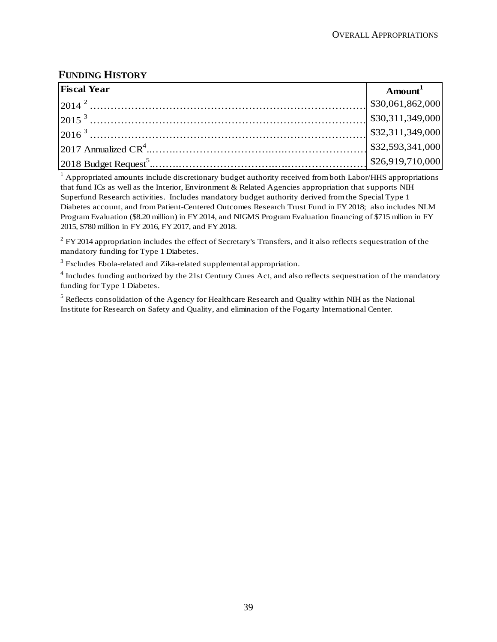# **FUNDING HISTORY**

| <b>Fiscal Year</b>                                                                                                                                                                                               | $A$ mount $^1$ |
|------------------------------------------------------------------------------------------------------------------------------------------------------------------------------------------------------------------|----------------|
|                                                                                                                                                                                                                  |                |
|                                                                                                                                                                                                                  |                |
|                                                                                                                                                                                                                  |                |
| 2014 <sup>2</sup><br>2015 <sup>3</sup><br>2015 <sup>3</sup><br>2016 <sup>3</sup><br>2016 <sup>3</sup><br>2017 Annualized CR <sup>4</sup><br>2018 Budget Request <sup>5</sup><br>2018 Budget Request <sup>5</sup> |                |
|                                                                                                                                                                                                                  |                |

<sup>1</sup> Appropriated amounts include discretionary budget authority received from both Labor/HHS appropriations that fund ICs as well as the Interior, Environment & Related Agencies appropriation that supports NIH Superfund Research activities. Includes mandatory budget authority derived from the Special Type 1 Diabetes account, and from Patient-Centered Outcomes Research Trust Fund in FY 2018; also includes NLM Program Evaluation (\$8.20 million) in FY 2014, and NIGMS Program Evaluation financing of \$715 mllion in FY 2015, \$780 million in FY 2016, FY 2017, and FY 2018.

 $2$  FY 2014 appropriation includes the effect of Secretary's Transfers, and it also reflects sequestration of the mandatory funding for Type 1 Diabetes.

 $3$  Excludes Ebola-related and Zika-related supplemental appropriation.

<sup>4</sup> Includes funding authorized by the 21st Century Cures Act, and also reflects sequestration of the mandatory funding for Type 1 Diabetes.

<sup>5</sup> Reflects consolidation of the Agency for Healthcare Research and Quality within NIH as the National Institute for Research on Safety and Quality, and elimination of the Fogarty International Center.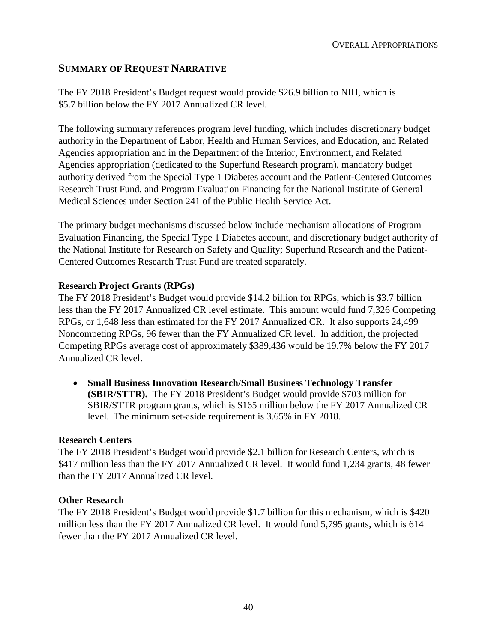# **SUMMARY OF REQUEST NARRATIVE**

The FY 2018 President's Budget request would provide \$26.9 billion to NIH, which is \$5.7 billion below the FY 2017 Annualized CR level.

The following summary references program level funding, which includes discretionary budget authority in the Department of Labor, Health and Human Services, and Education, and Related Agencies appropriation and in the Department of the Interior, Environment, and Related Agencies appropriation (dedicated to the Superfund Research program), mandatory budget authority derived from the Special Type 1 Diabetes account and the Patient-Centered Outcomes Research Trust Fund, and Program Evaluation Financing for the National Institute of General Medical Sciences under Section 241 of the Public Health Service Act.

The primary budget mechanisms discussed below include mechanism allocations of Program Evaluation Financing, the Special Type 1 Diabetes account, and discretionary budget authority of the National Institute for Research on Safety and Quality; Superfund Research and the Patient-Centered Outcomes Research Trust Fund are treated separately.

#### **Research Project Grants (RPGs)**

The FY 2018 President's Budget would provide \$14.2 billion for RPGs, which is \$3.7 billion less than the FY 2017 Annualized CR level estimate. This amount would fund 7,326 Competing RPGs, or 1,648 less than estimated for the FY 2017 Annualized CR. It also supports 24,499 Noncompeting RPGs, 96 fewer than the FY Annualized CR level. In addition, the projected Competing RPGs average cost of approximately \$389,436 would be 19.7% below the FY 2017 Annualized CR level.

• **Small Business Innovation Research/Small Business Technology Transfer (SBIR/STTR).** The FY 2018 President's Budget would provide \$703 million for SBIR/STTR program grants, which is \$165 million below the FY 2017 Annualized CR level. The minimum set-aside requirement is 3.65% in FY 2018.

#### **Research Centers**

The FY 2018 President's Budget would provide \$2.1 billion for Research Centers, which is \$417 million less than the FY 2017 Annualized CR level. It would fund 1,234 grants, 48 fewer than the FY 2017 Annualized CR level.

#### **Other Research**

The FY 2018 President's Budget would provide \$1.7 billion for this mechanism, which is \$420 million less than the FY 2017 Annualized CR level. It would fund 5,795 grants, which is 614 fewer than the FY 2017 Annualized CR level.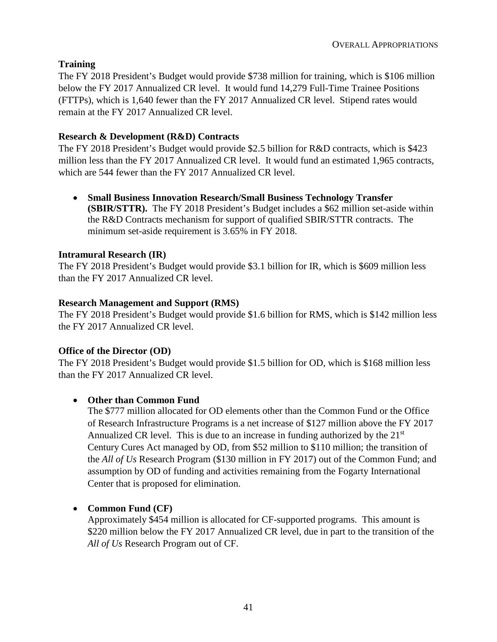# **Training**

The FY 2018 President's Budget would provide \$738 million for training, which is \$106 million below the FY 2017 Annualized CR level. It would fund 14,279 Full-Time Trainee Positions (FTTPs), which is 1,640 fewer than the FY 2017 Annualized CR level. Stipend rates would remain at the FY 2017 Annualized CR level.

# **Research & Development (R&D) Contracts**

The FY 2018 President's Budget would provide \$2.5 billion for R&D contracts, which is \$423 million less than the FY 2017 Annualized CR level. It would fund an estimated 1,965 contracts, which are 544 fewer than the FY 2017 Annualized CR level.

• **Small Business Innovation Research/Small Business Technology Transfer (SBIR/STTR).** The FY 2018 President's Budget includes a \$62 million set-aside within the R&D Contracts mechanism for support of qualified SBIR/STTR contracts. The minimum set-aside requirement is 3.65% in FY 2018.

# **Intramural Research (IR)**

The FY 2018 President's Budget would provide \$3.1 billion for IR, which is \$609 million less than the FY 2017 Annualized CR level.

# **Research Management and Support (RMS)**

The FY 2018 President's Budget would provide \$1.6 billion for RMS, which is \$142 million less the FY 2017 Annualized CR level.

### **Office of the Director (OD)**

The FY 2018 President's Budget would provide \$1.5 billion for OD, which is \$168 million less than the FY 2017 Annualized CR level.

# • **Other than Common Fund**

The \$777 million allocated for OD elements other than the Common Fund or the Office of Research Infrastructure Programs is a net increase of \$127 million above the FY 2017 Annualized CR level. This is due to an increase in funding authorized by the  $21<sup>st</sup>$ Century Cures Act managed by OD, from \$52 million to \$110 million; the transition of the *All of Us* Research Program (\$130 million in FY 2017) out of the Common Fund; and assumption by OD of funding and activities remaining from the Fogarty International Center that is proposed for elimination.

# • **Common Fund (CF)**

Approximately \$454 million is allocated for CF-supported programs. This amount is \$220 million below the FY 2017 Annualized CR level, due in part to the transition of the *All of Us* Research Program out of CF.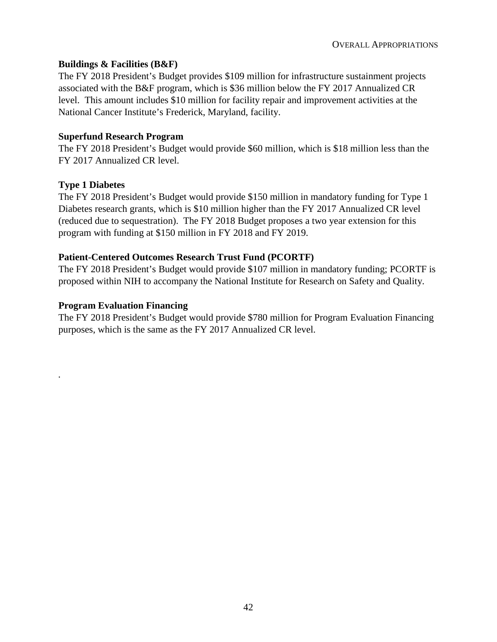#### **Buildings & Facilities (B&F)**

The FY 2018 President's Budget provides \$109 million for infrastructure sustainment projects associated with the B&F program, which is \$36 million below the FY 2017 Annualized CR level. This amount includes \$10 million for facility repair and improvement activities at the National Cancer Institute's Frederick, Maryland, facility.

#### **Superfund Research Program**

The FY 2018 President's Budget would provide \$60 million, which is \$18 million less than the FY 2017 Annualized CR level.

#### **Type 1 Diabetes**

*.*

The FY 2018 President's Budget would provide \$150 million in mandatory funding for Type 1 Diabetes research grants, which is \$10 million higher than the FY 2017 Annualized CR level (reduced due to sequestration). The FY 2018 Budget proposes a two year extension for this program with funding at \$150 million in FY 2018 and FY 2019.

#### **Patient-Centered Outcomes Research Trust Fund (PCORTF)**

The FY 2018 President's Budget would provide \$107 million in mandatory funding; PCORTF is proposed within NIH to accompany the National Institute for Research on Safety and Quality.

#### **Program Evaluation Financing**

The FY 2018 President's Budget would provide \$780 million for Program Evaluation Financing purposes, which is the same as the FY 2017 Annualized CR level.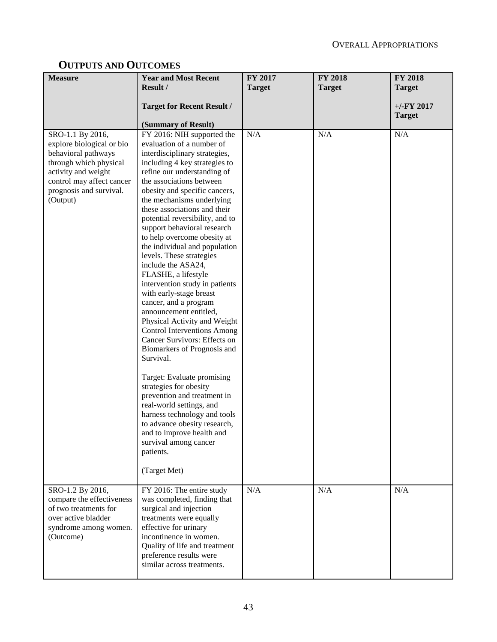# **OUTPUTS AND OUTCOMES**

| <b>Measure</b>                                                                                                                                                                            | <b>Year and Most Recent</b>                                                                                                                                                                                                                                                                                                                                                                                                                                                                                                                                                                                                                                                                                                                                                                                                                                                                                                                                                                                                           | FY 2017       | <b>FY 2018</b> | <b>FY 2018</b>                |
|-------------------------------------------------------------------------------------------------------------------------------------------------------------------------------------------|---------------------------------------------------------------------------------------------------------------------------------------------------------------------------------------------------------------------------------------------------------------------------------------------------------------------------------------------------------------------------------------------------------------------------------------------------------------------------------------------------------------------------------------------------------------------------------------------------------------------------------------------------------------------------------------------------------------------------------------------------------------------------------------------------------------------------------------------------------------------------------------------------------------------------------------------------------------------------------------------------------------------------------------|---------------|----------------|-------------------------------|
|                                                                                                                                                                                           | Result /                                                                                                                                                                                                                                                                                                                                                                                                                                                                                                                                                                                                                                                                                                                                                                                                                                                                                                                                                                                                                              | <b>Target</b> | <b>Target</b>  | <b>Target</b>                 |
|                                                                                                                                                                                           | <b>Target for Recent Result /</b><br>(Summary of Result)                                                                                                                                                                                                                                                                                                                                                                                                                                                                                                                                                                                                                                                                                                                                                                                                                                                                                                                                                                              |               |                | $+/-FY$ 2017<br><b>Target</b> |
| SRO-1.1 By 2016,<br>explore biological or bio<br>behavioral pathways<br>through which physical<br>activity and weight<br>control may affect cancer<br>prognosis and survival.<br>(Output) | FY 2016: NIH supported the<br>evaluation of a number of<br>interdisciplinary strategies,<br>including 4 key strategies to<br>refine our understanding of<br>the associations between<br>obesity and specific cancers,<br>the mechanisms underlying<br>these associations and their<br>potential reversibility, and to<br>support behavioral research<br>to help overcome obesity at<br>the individual and population<br>levels. These strategies<br>include the ASA24,<br>FLASHE, a lifestyle<br>intervention study in patients<br>with early-stage breast<br>cancer, and a program<br>announcement entitled,<br>Physical Activity and Weight<br><b>Control Interventions Among</b><br>Cancer Survivors: Effects on<br>Biomarkers of Prognosis and<br>Survival.<br>Target: Evaluate promising<br>strategies for obesity<br>prevention and treatment in<br>real-world settings, and<br>harness technology and tools<br>to advance obesity research,<br>and to improve health and<br>survival among cancer<br>patients.<br>(Target Met) | N/A           | N/A            | N/A                           |
| SRO-1.2 By 2016,<br>compare the effectiveness<br>of two treatments for<br>over active bladder<br>syndrome among women.<br>(Outcome)                                                       | FY 2016: The entire study<br>was completed, finding that<br>surgical and injection<br>treatments were equally<br>effective for urinary<br>incontinence in women.<br>Quality of life and treatment<br>preference results were<br>similar across treatments.                                                                                                                                                                                                                                                                                                                                                                                                                                                                                                                                                                                                                                                                                                                                                                            | N/A           | N/A            | N/A                           |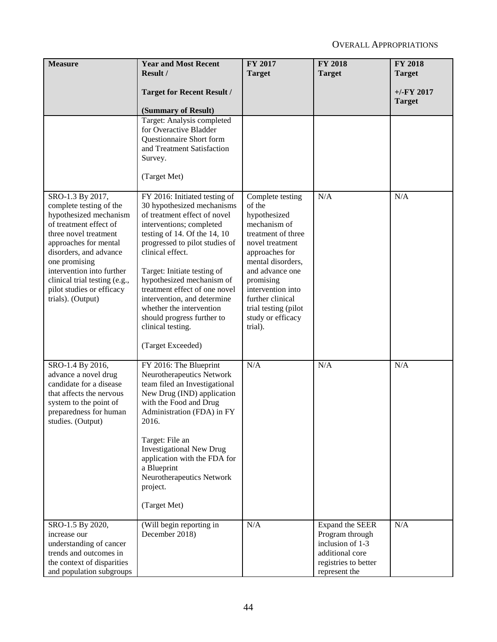| <b>Measure</b>                                                                                                                                                                                                                                                                                               | <b>Year and Most Recent</b>                                                                                                                                                                                                                                                                                                                                                                                                                   | FY 2017                                                                                                                                                                                                                                                                     | <b>FY 2018</b>                                                                                                     | <b>FY 2018</b>                 |
|--------------------------------------------------------------------------------------------------------------------------------------------------------------------------------------------------------------------------------------------------------------------------------------------------------------|-----------------------------------------------------------------------------------------------------------------------------------------------------------------------------------------------------------------------------------------------------------------------------------------------------------------------------------------------------------------------------------------------------------------------------------------------|-----------------------------------------------------------------------------------------------------------------------------------------------------------------------------------------------------------------------------------------------------------------------------|--------------------------------------------------------------------------------------------------------------------|--------------------------------|
|                                                                                                                                                                                                                                                                                                              | Result /                                                                                                                                                                                                                                                                                                                                                                                                                                      | <b>Target</b>                                                                                                                                                                                                                                                               | <b>Target</b>                                                                                                      | <b>Target</b>                  |
|                                                                                                                                                                                                                                                                                                              | <b>Target for Recent Result /</b>                                                                                                                                                                                                                                                                                                                                                                                                             |                                                                                                                                                                                                                                                                             |                                                                                                                    | $+/-$ FY 2017<br><b>Target</b> |
|                                                                                                                                                                                                                                                                                                              | (Summary of Result)                                                                                                                                                                                                                                                                                                                                                                                                                           |                                                                                                                                                                                                                                                                             |                                                                                                                    |                                |
|                                                                                                                                                                                                                                                                                                              | Target: Analysis completed<br>for Overactive Bladder<br>Questionnaire Short form<br>and Treatment Satisfaction<br>Survey.<br>(Target Met)                                                                                                                                                                                                                                                                                                     |                                                                                                                                                                                                                                                                             |                                                                                                                    |                                |
| SRO-1.3 By 2017,<br>complete testing of the<br>hypothesized mechanism<br>of treatment effect of<br>three novel treatment<br>approaches for mental<br>disorders, and advance<br>one promising<br>intervention into further<br>clinical trial testing (e.g.,<br>pilot studies or efficacy<br>trials). (Output) | FY 2016: Initiated testing of<br>30 hypothesized mechanisms<br>of treatment effect of novel<br>interventions; completed<br>testing of 14. Of the 14, 10<br>progressed to pilot studies of<br>clinical effect.<br>Target: Initiate testing of<br>hypothesized mechanism of<br>treatment effect of one novel<br>intervention, and determine<br>whether the intervention<br>should progress further to<br>clinical testing.<br>(Target Exceeded) | Complete testing<br>of the<br>hypothesized<br>mechanism of<br>treatment of three<br>novel treatment<br>approaches for<br>mental disorders,<br>and advance one<br>promising<br>intervention into<br>further clinical<br>trial testing (pilot<br>study or efficacy<br>trial). | N/A                                                                                                                | N/A                            |
| SRO-1.4 By 2016,<br>advance a novel drug<br>candidate for a disease<br>that affects the nervous<br>system to the point of<br>preparedness for human<br>studies. (Output)                                                                                                                                     | FY 2016: The Blueprint<br>Neurotherapeutics Network<br>team filed an Investigational<br>New Drug (IND) application<br>with the Food and Drug<br>Administration (FDA) in FY<br>2016.<br>Target: File an<br><b>Investigational New Drug</b><br>application with the FDA for<br>a Blueprint<br>Neurotherapeutics Network<br>project.<br>(Target Met)                                                                                             | N/A                                                                                                                                                                                                                                                                         | N/A                                                                                                                | N/A                            |
| SRO-1.5 By 2020,<br>increase our<br>understanding of cancer<br>trends and outcomes in<br>the context of disparities<br>and population subgroups                                                                                                                                                              | (Will begin reporting in<br>December 2018)                                                                                                                                                                                                                                                                                                                                                                                                    | N/A                                                                                                                                                                                                                                                                         | Expand the SEER<br>Program through<br>inclusion of 1-3<br>additional core<br>registries to better<br>represent the | N/A                            |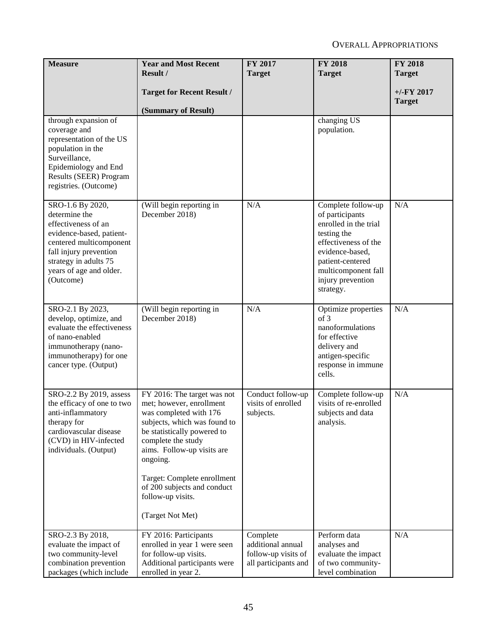| <b>Measure</b>                                       | <b>Year and Most Recent</b>                         | FY 2017                         | <b>FY 2018</b>                             | <b>FY 2018</b> |
|------------------------------------------------------|-----------------------------------------------------|---------------------------------|--------------------------------------------|----------------|
|                                                      | Result /                                            | <b>Target</b>                   | <b>Target</b>                              | <b>Target</b>  |
|                                                      | <b>Target for Recent Result /</b>                   |                                 |                                            | $+/-$ FY 2017  |
|                                                      |                                                     |                                 |                                            | <b>Target</b>  |
| through expansion of                                 | (Summary of Result)                                 |                                 | changing US                                |                |
| coverage and                                         |                                                     |                                 | population.                                |                |
| representation of the US                             |                                                     |                                 |                                            |                |
| population in the                                    |                                                     |                                 |                                            |                |
| Surveillance,                                        |                                                     |                                 |                                            |                |
| Epidemiology and End<br>Results (SEER) Program       |                                                     |                                 |                                            |                |
| registries. (Outcome)                                |                                                     |                                 |                                            |                |
|                                                      |                                                     |                                 |                                            |                |
| SRO-1.6 By 2020,                                     | (Will begin reporting in                            | N/A                             | Complete follow-up                         | N/A            |
| determine the<br>effectiveness of an                 | December 2018)                                      |                                 | of participants<br>enrolled in the trial   |                |
| evidence-based, patient-                             |                                                     |                                 | testing the                                |                |
| centered multicomponent                              |                                                     |                                 | effectiveness of the                       |                |
| fall injury prevention                               |                                                     |                                 | evidence-based,                            |                |
| strategy in adults 75<br>years of age and older.     |                                                     |                                 | patient-centered                           |                |
| (Outcome)                                            |                                                     |                                 | multicomponent fall<br>injury prevention   |                |
|                                                      |                                                     |                                 | strategy.                                  |                |
|                                                      |                                                     |                                 |                                            |                |
| SRO-2.1 By 2023,                                     | (Will begin reporting in<br>December 2018)          | N/A                             | Optimize properties<br>of 3                | N/A            |
| develop, optimize, and<br>evaluate the effectiveness |                                                     |                                 | nanoformulations                           |                |
| of nano-enabled                                      |                                                     |                                 | for effective                              |                |
| immunotherapy (nano-                                 |                                                     |                                 | delivery and                               |                |
| immunotherapy) for one<br>cancer type. (Output)      |                                                     |                                 | antigen-specific<br>response in immune     |                |
|                                                      |                                                     |                                 | cells.                                     |                |
|                                                      |                                                     |                                 |                                            |                |
| SRO-2.2 By 2019, assess                              | FY 2016: The target was not                         | Conduct follow-up               | Complete follow-up                         | N/A            |
| the efficacy of one to two<br>anti-inflammatory      | met; however, enrollment<br>was completed with 176  | visits of enrolled<br>subjects. | visits of re-enrolled<br>subjects and data |                |
| therapy for                                          | subjects, which was found to                        |                                 | analysis.                                  |                |
| cardiovascular disease                               | be statistically powered to                         |                                 |                                            |                |
| (CVD) in HIV-infected                                | complete the study                                  |                                 |                                            |                |
| individuals. (Output)                                | aims. Follow-up visits are<br>ongoing.              |                                 |                                            |                |
|                                                      |                                                     |                                 |                                            |                |
|                                                      | Target: Complete enrollment                         |                                 |                                            |                |
|                                                      | of 200 subjects and conduct                         |                                 |                                            |                |
|                                                      | follow-up visits.                                   |                                 |                                            |                |
|                                                      | (Target Not Met)                                    |                                 |                                            |                |
| SRO-2.3 By 2018,                                     | FY 2016: Participants                               | Complete                        | Perform data                               | N/A            |
| evaluate the impact of                               | enrolled in year 1 were seen                        | additional annual               | analyses and                               |                |
| two community-level                                  | for follow-up visits.                               | follow-up visits of             | evaluate the impact                        |                |
| combination prevention<br>packages (which include    | Additional participants were<br>enrolled in year 2. | all participants and            | of two community-<br>level combination     |                |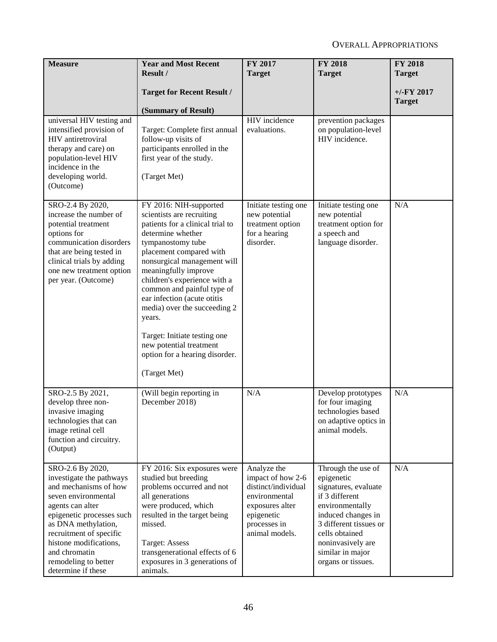| <b>Measure</b>                                                                                                                                                                                                                                                                           | <b>Year and Most Recent</b><br>Result /                                                                                                                                                                                                                                                                                                                                                                                                                                 | FY 2017<br><b>Target</b>                                                                                                                    | <b>FY 2018</b><br><b>Target</b>                                                                                                                                                                                                | <b>FY 2018</b><br><b>Target</b> |
|------------------------------------------------------------------------------------------------------------------------------------------------------------------------------------------------------------------------------------------------------------------------------------------|-------------------------------------------------------------------------------------------------------------------------------------------------------------------------------------------------------------------------------------------------------------------------------------------------------------------------------------------------------------------------------------------------------------------------------------------------------------------------|---------------------------------------------------------------------------------------------------------------------------------------------|--------------------------------------------------------------------------------------------------------------------------------------------------------------------------------------------------------------------------------|---------------------------------|
|                                                                                                                                                                                                                                                                                          | <b>Target for Recent Result /</b><br>(Summary of Result)                                                                                                                                                                                                                                                                                                                                                                                                                |                                                                                                                                             |                                                                                                                                                                                                                                | $+/-$ FY 2017<br><b>Target</b>  |
| universal HIV testing and<br>intensified provision of<br>HIV antiretroviral<br>therapy and care) on<br>population-level HIV<br>incidence in the<br>developing world.<br>(Outcome)                                                                                                        | Target: Complete first annual<br>follow-up visits of<br>participants enrolled in the<br>first year of the study.<br>(Target Met)                                                                                                                                                                                                                                                                                                                                        | HIV incidence<br>evaluations.                                                                                                               | prevention packages<br>on population-level<br>HIV incidence.                                                                                                                                                                   |                                 |
| SRO-2.4 By 2020,<br>increase the number of<br>potential treatment<br>options for<br>communication disorders<br>that are being tested in<br>clinical trials by adding<br>one new treatment option<br>per year. (Outcome)                                                                  | FY 2016: NIH-supported<br>scientists are recruiting<br>patients for a clinical trial to<br>determine whether<br>tympanostomy tube<br>placement compared with<br>nonsurgical management will<br>meaningfully improve<br>children's experience with a<br>common and painful type of<br>ear infection (acute otitis<br>media) over the succeeding 2<br>years.<br>Target: Initiate testing one<br>new potential treatment<br>option for a hearing disorder.<br>(Target Met) | Initiate testing one<br>new potential<br>treatment option<br>for a hearing<br>disorder.                                                     | Initiate testing one<br>new potential<br>treatment option for<br>a speech and<br>language disorder.                                                                                                                            | N/A                             |
| SRO-2.5 By 2021,<br>develop three non-<br>invasive imaging<br>technologies that can<br>image retinal cell<br>function and circuitry.<br>(Output)                                                                                                                                         | (Will begin reporting in<br>December 2018)                                                                                                                                                                                                                                                                                                                                                                                                                              | N/A                                                                                                                                         | Develop prototypes<br>for four imaging<br>technologies based<br>on adaptive optics in<br>animal models.                                                                                                                        | N/A                             |
| SRO-2.6 By 2020,<br>investigate the pathways<br>and mechanisms of how<br>seven environmental<br>agents can alter<br>epigenetic processes such<br>as DNA methylation,<br>recruitment of specific<br>histone modifications,<br>and chromatin<br>remodeling to better<br>determine if these | FY 2016: Six exposures were<br>studied but breeding<br>problems occurred and not<br>all generations<br>were produced, which<br>resulted in the target being<br>missed.<br>Target: Assess<br>transgenerational effects of 6<br>exposures in 3 generations of<br>animals.                                                                                                                                                                                                 | Analyze the<br>impact of how 2-6<br>distinct/individual<br>environmental<br>exposures alter<br>epigenetic<br>processes in<br>animal models. | Through the use of<br>epigenetic<br>signatures, evaluate<br>if 3 different<br>environmentally<br>induced changes in<br>3 different tissues or<br>cells obtained<br>noninvasively are<br>similar in major<br>organs or tissues. | N/A                             |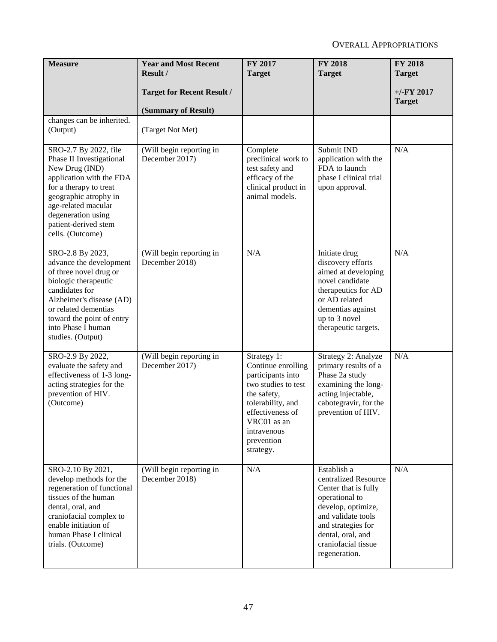| <b>Measure</b>                                                                                                                                                                                                                              | <b>Year and Most Recent</b><br>Result /                  | FY 2017<br><b>Target</b>                                                                                                                                                                       | <b>FY 2018</b><br><b>Target</b>                                                                                                                                                                              | <b>FY 2018</b><br><b>Target</b> |
|---------------------------------------------------------------------------------------------------------------------------------------------------------------------------------------------------------------------------------------------|----------------------------------------------------------|------------------------------------------------------------------------------------------------------------------------------------------------------------------------------------------------|--------------------------------------------------------------------------------------------------------------------------------------------------------------------------------------------------------------|---------------------------------|
|                                                                                                                                                                                                                                             | <b>Target for Recent Result /</b><br>(Summary of Result) |                                                                                                                                                                                                |                                                                                                                                                                                                              | $+/-$ FY 2017<br><b>Target</b>  |
| changes can be inherited.<br>(Output)                                                                                                                                                                                                       | (Target Not Met)                                         |                                                                                                                                                                                                |                                                                                                                                                                                                              |                                 |
| SRO-2.7 By 2022, file<br>Phase II Investigational<br>New Drug (IND)<br>application with the FDA<br>for a therapy to treat<br>geographic atrophy in<br>age-related macular<br>degeneration using<br>patient-derived stem<br>cells. (Outcome) | (Will begin reporting in<br>December 2017)               | Complete<br>preclinical work to<br>test safety and<br>efficacy of the<br>clinical product in<br>animal models.                                                                                 | Submit IND<br>application with the<br>FDA to launch<br>phase I clinical trial<br>upon approval.                                                                                                              | N/A                             |
| SRO-2.8 By 2023,<br>advance the development<br>of three novel drug or<br>biologic therapeutic<br>candidates for<br>Alzheimer's disease (AD)<br>or related dementias<br>toward the point of entry<br>into Phase I human<br>studies. (Output) | (Will begin reporting in<br>December 2018)               | N/A                                                                                                                                                                                            | Initiate drug<br>discovery efforts<br>aimed at developing<br>novel candidate<br>therapeutics for AD<br>or AD related<br>dementias against<br>up to 3 novel<br>therapeutic targets.                           | N/A                             |
| SRO-2.9 By 2022,<br>evaluate the safety and<br>effectiveness of 1-3 long-<br>acting strategies for the<br>prevention of HIV.<br>(Outcome)                                                                                                   | (Will begin reporting in<br>December 2017)               | Strategy 1:<br>Continue enrolling<br>participants into<br>two studies to test<br>the safety,<br>tolerability, and<br>effectiveness of<br>VRC01 as an<br>intravenous<br>prevention<br>strategy. | Strategy 2: Analyze<br>primary results of a<br>Phase 2a study<br>examining the long-<br>acting injectable,<br>cabotegravir, for the<br>prevention of HIV.                                                    | N/A                             |
| SRO-2.10 By 2021,<br>develop methods for the<br>regeneration of functional<br>tissues of the human<br>dental, oral, and<br>craniofacial complex to<br>enable initiation of<br>human Phase I clinical<br>trials. (Outcome)                   | (Will begin reporting in<br>December 2018)               | N/A                                                                                                                                                                                            | Establish a<br>centralized Resource<br>Center that is fully<br>operational to<br>develop, optimize,<br>and validate tools<br>and strategies for<br>dental, oral, and<br>craniofacial tissue<br>regeneration. | N/A                             |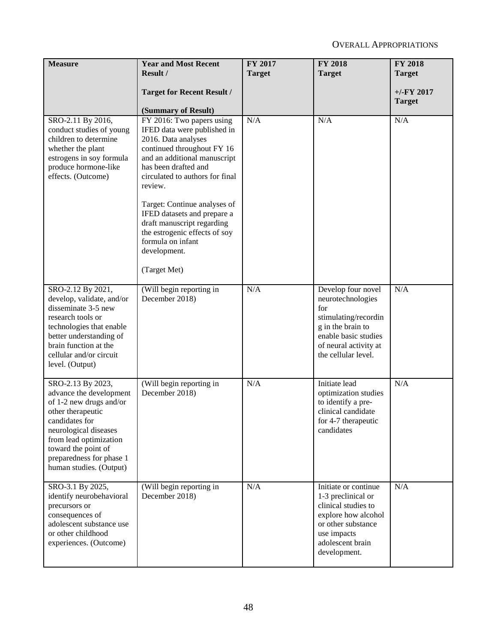| <b>Measure</b>                                                                                                                                                                                                                                  | <b>Year and Most Recent</b><br>Result /                                                                                                                                                                                                                                                                                                                                                                | FY 2017<br><b>Target</b> | <b>FY 2018</b><br><b>Target</b>                                                                                                                                     | <b>FY 2018</b><br><b>Target</b> |
|-------------------------------------------------------------------------------------------------------------------------------------------------------------------------------------------------------------------------------------------------|--------------------------------------------------------------------------------------------------------------------------------------------------------------------------------------------------------------------------------------------------------------------------------------------------------------------------------------------------------------------------------------------------------|--------------------------|---------------------------------------------------------------------------------------------------------------------------------------------------------------------|---------------------------------|
|                                                                                                                                                                                                                                                 | <b>Target for Recent Result /</b><br>(Summary of Result)                                                                                                                                                                                                                                                                                                                                               |                          |                                                                                                                                                                     | $+/-FY$ 2017<br><b>Target</b>   |
| SRO-2.11 By 2016,<br>conduct studies of young<br>children to determine<br>whether the plant<br>estrogens in soy formula<br>produce hormone-like<br>effects. (Outcome)                                                                           | FY 2016: Two papers using<br>IFED data were published in<br>2016. Data analyses<br>continued throughout FY 16<br>and an additional manuscript<br>has been drafted and<br>circulated to authors for final<br>review.<br>Target: Continue analyses of<br>IFED datasets and prepare a<br>draft manuscript regarding<br>the estrogenic effects of soy<br>formula on infant<br>development.<br>(Target Met) | N/A                      | N/A                                                                                                                                                                 | N/A                             |
| SRO-2.12 By 2021,<br>develop, validate, and/or<br>disseminate 3-5 new<br>research tools or<br>technologies that enable<br>better understanding of<br>brain function at the<br>cellular and/or circuit<br>level. (Output)                        | (Will begin reporting in<br>December 2018)                                                                                                                                                                                                                                                                                                                                                             | N/A                      | Develop four novel<br>neurotechnologies<br>for<br>stimulating/recordin<br>g in the brain to<br>enable basic studies<br>of neural activity at<br>the cellular level. | N/A                             |
| SRO-2.13 By 2023,<br>advance the development<br>of 1-2 new drugs and/or<br>other therapeutic<br>candidates for<br>neurological diseases<br>from lead optimization<br>toward the point of<br>preparedness for phase 1<br>human studies. (Output) | (Will begin reporting in<br>December 2018)                                                                                                                                                                                                                                                                                                                                                             | N/A                      | Initiate lead<br>optimization studies<br>to identify a pre-<br>clinical candidate<br>for 4-7 therapeutic<br>candidates                                              | N/A                             |
| SRO-3.1 By 2025,<br>identify neurobehavioral<br>precursors or<br>consequences of<br>adolescent substance use<br>or other childhood<br>experiences. (Outcome)                                                                                    | (Will begin reporting in<br>December 2018)                                                                                                                                                                                                                                                                                                                                                             | N/A                      | Initiate or continue<br>1-3 preclinical or<br>clinical studies to<br>explore how alcohol<br>or other substance<br>use impacts<br>adolescent brain<br>development.   | N/A                             |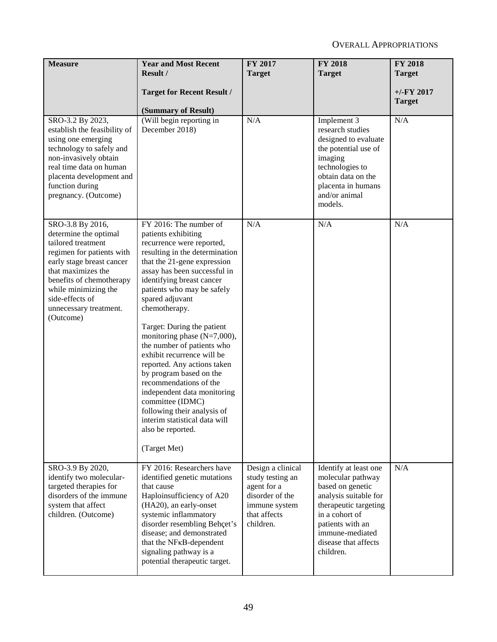| <b>Measure</b>                                                                                                                                                                                                                                                | <b>Year and Most Recent</b><br>Result /                                                                                                                                                                                                                                                                                                                                                                                                                                                                                                                                                                                                            | FY 2017<br><b>Target</b>                                                                                              | <b>FY 2018</b><br><b>Target</b>                                                                                                                                                                                | <b>FY 2018</b><br><b>Target</b> |
|---------------------------------------------------------------------------------------------------------------------------------------------------------------------------------------------------------------------------------------------------------------|----------------------------------------------------------------------------------------------------------------------------------------------------------------------------------------------------------------------------------------------------------------------------------------------------------------------------------------------------------------------------------------------------------------------------------------------------------------------------------------------------------------------------------------------------------------------------------------------------------------------------------------------------|-----------------------------------------------------------------------------------------------------------------------|----------------------------------------------------------------------------------------------------------------------------------------------------------------------------------------------------------------|---------------------------------|
|                                                                                                                                                                                                                                                               | <b>Target for Recent Result /</b><br>(Summary of Result)                                                                                                                                                                                                                                                                                                                                                                                                                                                                                                                                                                                           |                                                                                                                       |                                                                                                                                                                                                                | $+/-$ FY 2017<br><b>Target</b>  |
| SRO-3.2 By 2023,<br>establish the feasibility of<br>using one emerging<br>technology to safely and<br>non-invasively obtain<br>real time data on human<br>placenta development and<br>function during<br>pregnancy. (Outcome)                                 | (Will begin reporting in<br>December 2018)                                                                                                                                                                                                                                                                                                                                                                                                                                                                                                                                                                                                         | N/A                                                                                                                   | Implement 3<br>research studies<br>designed to evaluate<br>the potential use of<br>imaging<br>technologies to<br>obtain data on the<br>placenta in humans<br>and/or animal<br>models.                          | N/A                             |
| SRO-3.8 By 2016,<br>determine the optimal<br>tailored treatment<br>regimen for patients with<br>early stage breast cancer<br>that maximizes the<br>benefits of chemotherapy<br>while minimizing the<br>side-effects of<br>unnecessary treatment.<br>(Outcome) | FY 2016: The number of<br>patients exhibiting<br>recurrence were reported,<br>resulting in the determination<br>that the 21-gene expression<br>assay has been successful in<br>identifying breast cancer<br>patients who may be safely<br>spared adjuvant<br>chemotherapy.<br>Target: During the patient<br>monitoring phase $(N=7,000)$ ,<br>the number of patients who<br>exhibit recurrence will be<br>reported. Any actions taken<br>by program based on the<br>recommendations of the<br>independent data monitoring<br>committee (IDMC)<br>following their analysis of<br>interim statistical data will<br>also be reported.<br>(Target Met) | N/A                                                                                                                   | N/A                                                                                                                                                                                                            | N/A                             |
| SRO-3.9 By 2020,<br>identify two molecular-<br>targeted therapies for<br>disorders of the immune<br>system that affect<br>children. (Outcome)                                                                                                                 | FY 2016: Researchers have<br>identified genetic mutations<br>that cause<br>Haploinsufficiency of A20<br>(HA20), an early-onset<br>systemic inflammatory<br>disorder resembling Behçet's<br>disease; and demonstrated<br>that the NF <sub>K</sub> B-dependent<br>signaling pathway is a<br>potential therapeutic target.                                                                                                                                                                                                                                                                                                                            | Design a clinical<br>study testing an<br>agent for a<br>disorder of the<br>immune system<br>that affects<br>children. | Identify at least one<br>molecular pathway<br>based on genetic<br>analysis suitable for<br>therapeutic targeting<br>in a cohort of<br>patients with an<br>immune-mediated<br>disease that affects<br>children. | N/A                             |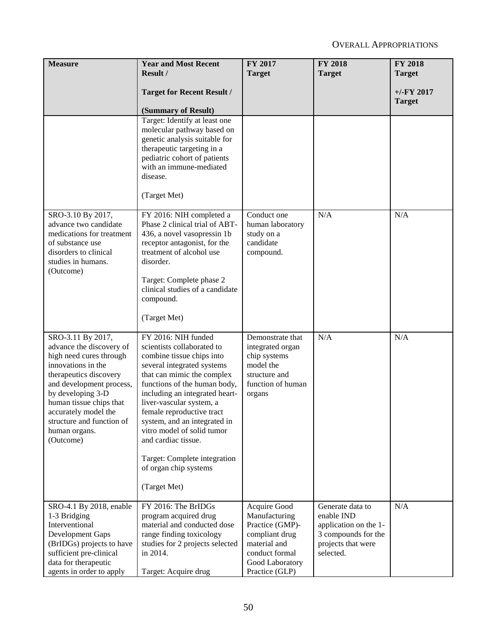| <b>Measure</b>                                                                                                                                                                                                                                                                          | <b>Year and Most Recent</b>                                                                                                                                                                                                                                                                                                                                                                                                         | FY 2017                                                                                                                                   | <b>FY 2018</b>                                                                                                    | <b>FY 2018</b> |
|-----------------------------------------------------------------------------------------------------------------------------------------------------------------------------------------------------------------------------------------------------------------------------------------|-------------------------------------------------------------------------------------------------------------------------------------------------------------------------------------------------------------------------------------------------------------------------------------------------------------------------------------------------------------------------------------------------------------------------------------|-------------------------------------------------------------------------------------------------------------------------------------------|-------------------------------------------------------------------------------------------------------------------|----------------|
|                                                                                                                                                                                                                                                                                         | Result /                                                                                                                                                                                                                                                                                                                                                                                                                            | <b>Target</b>                                                                                                                             | <b>Target</b>                                                                                                     | <b>Target</b>  |
|                                                                                                                                                                                                                                                                                         | <b>Target for Recent Result /</b>                                                                                                                                                                                                                                                                                                                                                                                                   |                                                                                                                                           |                                                                                                                   | $+/-$ FY 2017  |
|                                                                                                                                                                                                                                                                                         | (Summary of Result)                                                                                                                                                                                                                                                                                                                                                                                                                 |                                                                                                                                           |                                                                                                                   | <b>Target</b>  |
| SRO-3.10 By 2017,<br>advance two candidate<br>medications for treatment<br>of substance use<br>disorders to clinical<br>studies in humans.<br>(Outcome)                                                                                                                                 | Target: Identify at least one<br>molecular pathway based on<br>genetic analysis suitable for<br>therapeutic targeting in a<br>pediatric cohort of patients<br>with an immune-mediated<br>disease.<br>(Target Met)<br>FY 2016: NIH completed a<br>Phase 2 clinical trial of ABT-<br>436, a novel vasopressin 1b<br>receptor antagonist, for the<br>treatment of alcohol use<br>disorder.                                             | Conduct one<br>human laboratory<br>study on a<br>candidate<br>compound.                                                                   | N/A                                                                                                               | N/A            |
|                                                                                                                                                                                                                                                                                         | Target: Complete phase 2<br>clinical studies of a candidate<br>compound.<br>(Target Met)                                                                                                                                                                                                                                                                                                                                            |                                                                                                                                           |                                                                                                                   |                |
| SRO-3.11 By 2017,<br>advance the discovery of<br>high need cures through<br>innovations in the<br>therapeutics discovery<br>and development process,<br>by developing 3-D<br>human tissue chips that<br>accurately model the<br>structure and function of<br>human organs.<br>(Outcome) | FY 2016: NIH funded<br>scientists collaborated to<br>combine tissue chips into<br>several integrated systems<br>that can mimic the complex<br>functions of the human body,<br>including an integrated heart-<br>liver-vascular system, a<br>female reproductive tract<br>system, and an integrated in<br>vitro model of solid tumor<br>and cardiac tissue.<br>Target: Complete integration<br>of organ chip systems<br>(Target Met) | Demonstrate that<br>integrated organ<br>chip systems<br>model the<br>structure and<br>function of human<br>organs                         | N/A                                                                                                               | N/A            |
| SRO-4.1 By 2018, enable<br>1-3 Bridging<br>Interventional<br>Development Gaps<br>(BrIDGs) projects to have<br>sufficient pre-clinical<br>data for therapeutic<br>agents in order to apply                                                                                               | FY 2016: The BrIDGs<br>program acquired drug<br>material and conducted dose<br>range finding toxicology<br>studies for 2 projects selected<br>in 2014.<br>Target: Acquire drug                                                                                                                                                                                                                                                      | Acquire Good<br>Manufacturing<br>Practice (GMP)-<br>compliant drug<br>material and<br>conduct formal<br>Good Laboratory<br>Practice (GLP) | Generate data to<br>enable IND<br>application on the 1-<br>3 compounds for the<br>projects that were<br>selected. | N/A            |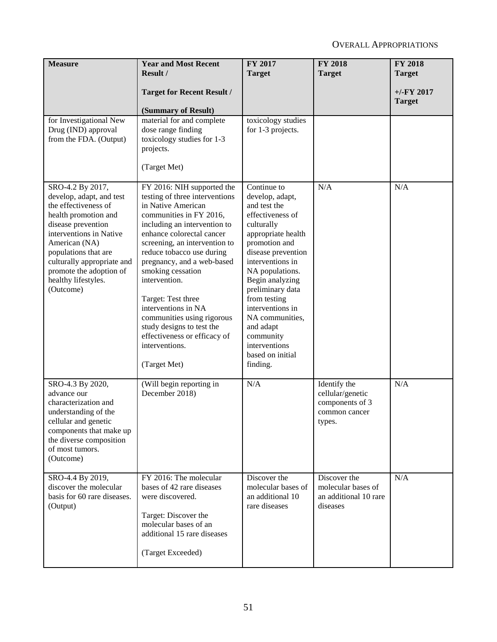| <b>Measure</b>                                                                                                                                                                                                                                                                      | <b>Year and Most Recent</b><br>Result /                                                                                                                                                                                                                                                                                                                                                                                                                                                | <b>FY 2017</b><br><b>Target</b>                                                                                                                                                                                                                                                                                                                               | <b>FY 2018</b><br><b>Target</b>                                                | <b>FY 2018</b><br><b>Target</b> |
|-------------------------------------------------------------------------------------------------------------------------------------------------------------------------------------------------------------------------------------------------------------------------------------|----------------------------------------------------------------------------------------------------------------------------------------------------------------------------------------------------------------------------------------------------------------------------------------------------------------------------------------------------------------------------------------------------------------------------------------------------------------------------------------|---------------------------------------------------------------------------------------------------------------------------------------------------------------------------------------------------------------------------------------------------------------------------------------------------------------------------------------------------------------|--------------------------------------------------------------------------------|---------------------------------|
|                                                                                                                                                                                                                                                                                     | <b>Target for Recent Result /</b><br>(Summary of Result)                                                                                                                                                                                                                                                                                                                                                                                                                               |                                                                                                                                                                                                                                                                                                                                                               |                                                                                | $+/-$ FY 2017<br><b>Target</b>  |
| for Investigational New<br>Drug (IND) approval<br>from the FDA. (Output)                                                                                                                                                                                                            | material for and complete<br>dose range finding<br>toxicology studies for 1-3<br>projects.<br>(Target Met)                                                                                                                                                                                                                                                                                                                                                                             | toxicology studies<br>for 1-3 projects.                                                                                                                                                                                                                                                                                                                       |                                                                                |                                 |
| SRO-4.2 By 2017,<br>develop, adapt, and test<br>the effectiveness of<br>health promotion and<br>disease prevention<br>interventions in Native<br>American (NA)<br>populations that are<br>culturally appropriate and<br>promote the adoption of<br>healthy lifestyles.<br>(Outcome) | FY 2016: NIH supported the<br>testing of three interventions<br>in Native American<br>communities in FY 2016,<br>including an intervention to<br>enhance colorectal cancer<br>screening, an intervention to<br>reduce tobacco use during<br>pregnancy, and a web-based<br>smoking cessation<br>intervention.<br>Target: Test three<br>interventions in NA<br>communities using rigorous<br>study designs to test the<br>effectiveness or efficacy of<br>interventions.<br>(Target Met) | Continue to<br>develop, adapt,<br>and test the<br>effectiveness of<br>culturally<br>appropriate health<br>promotion and<br>disease prevention<br>interventions in<br>NA populations.<br>Begin analyzing<br>preliminary data<br>from testing<br>interventions in<br>NA communities,<br>and adapt<br>community<br>interventions<br>based on initial<br>finding. | N/A                                                                            | N/A                             |
| SRO-4.3 By 2020,<br>advance our<br>characterization and<br>understanding of the<br>cellular and genetic<br>components that make up<br>the diverse composition<br>of most tumors.<br>(Outcome)                                                                                       | (Will begin reporting in<br>December 2018)                                                                                                                                                                                                                                                                                                                                                                                                                                             | N/A                                                                                                                                                                                                                                                                                                                                                           | Identify the<br>cellular/genetic<br>components of 3<br>common cancer<br>types. | N/A                             |
| SRO-4.4 By 2019,<br>discover the molecular<br>basis for 60 rare diseases.<br>(Output)                                                                                                                                                                                               | FY 2016: The molecular<br>bases of 42 rare diseases<br>were discovered.<br>Target: Discover the<br>molecular bases of an<br>additional 15 rare diseases<br>(Target Exceeded)                                                                                                                                                                                                                                                                                                           | Discover the<br>molecular bases of<br>an additional 10<br>rare diseases                                                                                                                                                                                                                                                                                       | Discover the<br>molecular bases of<br>an additional 10 rare<br>diseases        | N/A                             |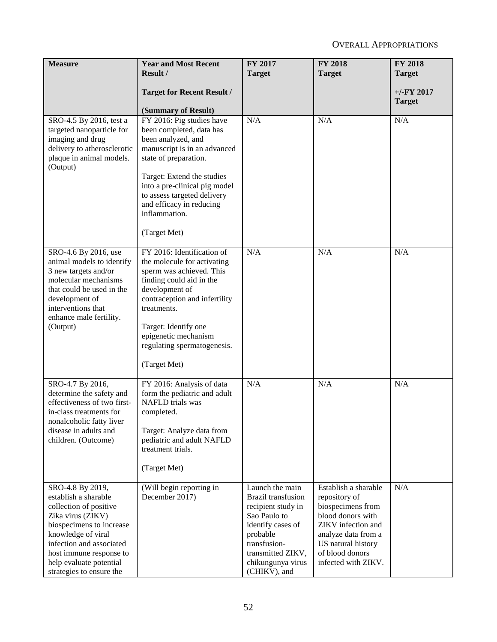| <b>Measure</b>                                                                                                                                                                                                                                          | <b>Year and Most Recent</b><br>Result /                                                                                                                                                                                                                                                         | <b>FY 2017</b><br><b>Target</b>                                                                                                                                                        | <b>FY 2018</b><br><b>Target</b>                                                                                                                                                              | <b>FY 2018</b><br><b>Target</b> |
|---------------------------------------------------------------------------------------------------------------------------------------------------------------------------------------------------------------------------------------------------------|-------------------------------------------------------------------------------------------------------------------------------------------------------------------------------------------------------------------------------------------------------------------------------------------------|----------------------------------------------------------------------------------------------------------------------------------------------------------------------------------------|----------------------------------------------------------------------------------------------------------------------------------------------------------------------------------------------|---------------------------------|
|                                                                                                                                                                                                                                                         | <b>Target for Recent Result /</b><br>(Summary of Result)                                                                                                                                                                                                                                        |                                                                                                                                                                                        |                                                                                                                                                                                              | $+/-$ FY 2017<br><b>Target</b>  |
| SRO-4.5 By 2016, test a<br>targeted nanoparticle for<br>imaging and drug<br>delivery to atherosclerotic<br>plaque in animal models.<br>(Output)                                                                                                         | FY 2016: Pig studies have<br>been completed, data has<br>been analyzed, and<br>manuscript is in an advanced<br>state of preparation.<br>Target: Extend the studies<br>into a pre-clinical pig model<br>to assess targeted delivery<br>and efficacy in reducing<br>inflammation.<br>(Target Met) | N/A                                                                                                                                                                                    | N/A                                                                                                                                                                                          | N/A                             |
| SRO-4.6 By 2016, use<br>animal models to identify<br>3 new targets and/or<br>molecular mechanisms<br>that could be used in the<br>development of<br>interventions that<br>enhance male fertility.<br>(Output)                                           | FY 2016: Identification of<br>the molecule for activating<br>sperm was achieved. This<br>finding could aid in the<br>development of<br>contraception and infertility<br>treatments.<br>Target: Identify one<br>epigenetic mechanism<br>regulating spermatogenesis.<br>(Target Met)              | N/A                                                                                                                                                                                    | N/A                                                                                                                                                                                          | N/A                             |
| SRO-4.7 By 2016,<br>determine the safety and<br>effectiveness of two first-<br>in-class treatments for<br>nonalcoholic fatty liver<br>disease in adults and<br>children. (Outcome)                                                                      | FY 2016: Analysis of data<br>form the pediatric and adult<br>NAFLD trials was<br>completed.<br>Target: Analyze data from<br>pediatric and adult NAFLD<br>treatment trials.<br>(Target Met)                                                                                                      | N/A                                                                                                                                                                                    | N/A                                                                                                                                                                                          | N/A                             |
| SRO-4.8 By 2019,<br>establish a sharable<br>collection of positive<br>Zika virus (ZIKV)<br>biospecimens to increase<br>knowledge of viral<br>infection and associated<br>host immune response to<br>help evaluate potential<br>strategies to ensure the | (Will begin reporting in<br>December 2017)                                                                                                                                                                                                                                                      | Launch the main<br>Brazil transfusion<br>recipient study in<br>Sao Paulo to<br>identify cases of<br>probable<br>transfusion-<br>transmitted ZIKV,<br>chikungunya virus<br>(CHIKV), and | Establish a sharable<br>repository of<br>biospecimens from<br>blood donors with<br>ZIKV infection and<br>analyze data from a<br>US natural history<br>of blood donors<br>infected with ZIKV. | N/A                             |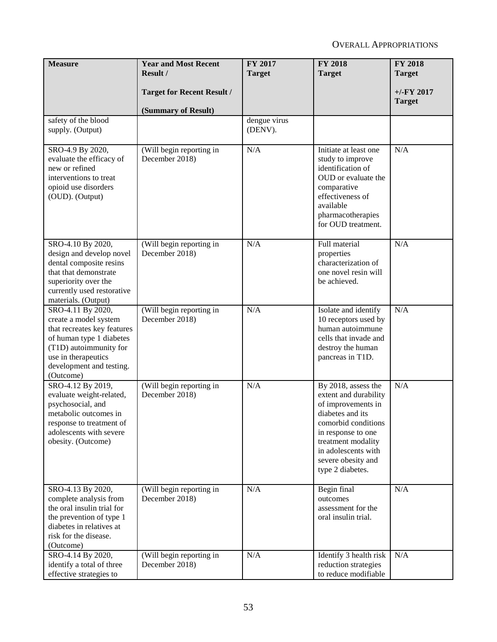| <b>Measure</b>                                                                                                                                                                                  | <b>Year and Most Recent</b><br>Result /                  | FY 2017<br><b>Target</b> | <b>FY 2018</b><br><b>Target</b>                                                                                                                                                                                            | <b>FY 2018</b><br><b>Target</b> |
|-------------------------------------------------------------------------------------------------------------------------------------------------------------------------------------------------|----------------------------------------------------------|--------------------------|----------------------------------------------------------------------------------------------------------------------------------------------------------------------------------------------------------------------------|---------------------------------|
|                                                                                                                                                                                                 | <b>Target for Recent Result /</b><br>(Summary of Result) |                          |                                                                                                                                                                                                                            | $+/-$ FY 2017<br><b>Target</b>  |
| safety of the blood<br>supply. (Output)                                                                                                                                                         |                                                          | dengue virus<br>(DENV).  |                                                                                                                                                                                                                            |                                 |
| SRO-4.9 By 2020,<br>evaluate the efficacy of<br>new or refined<br>interventions to treat<br>opioid use disorders<br>(OUD). (Output)                                                             | (Will begin reporting in<br>December 2018)               | N/A                      | Initiate at least one<br>study to improve<br>identification of<br>OUD or evaluate the<br>comparative<br>effectiveness of<br>available<br>pharmacotherapies<br>for OUD treatment.                                           | N/A                             |
| SRO-4.10 By 2020,<br>design and develop novel<br>dental composite resins<br>that that demonstrate<br>superiority over the<br>currently used restorative<br>materials. (Output)                  | (Will begin reporting in<br>December 2018)               | N/A                      | Full material<br>properties<br>characterization of<br>one novel resin will<br>be achieved.                                                                                                                                 | N/A                             |
| SRO-4.11 By 2020,<br>create a model system<br>that recreates key features<br>of human type 1 diabetes<br>(T1D) autoimmunity for<br>use in therapeutics<br>development and testing.<br>(Outcome) | (Will begin reporting in<br>December 2018)               | N/A                      | Isolate and identify<br>10 receptors used by<br>human autoimmune<br>cells that invade and<br>destroy the human<br>pancreas in T1D.                                                                                         | N/A                             |
| SRO-4.12 By 2019,<br>evaluate weight-related,<br>psychosocial, and<br>metabolic outcomes in<br>response to treatment of<br>adolescents with severe<br>obesity. (Outcome)                        | (Will begin reporting in<br>December 2018)               | N/A                      | By 2018, assess the<br>extent and durability<br>of improvements in<br>diabetes and its<br>comorbid conditions<br>in response to one<br>treatment modality<br>in adolescents with<br>severe obesity and<br>type 2 diabetes. | N/A                             |
| SRO-4.13 By 2020,<br>complete analysis from<br>the oral insulin trial for<br>the prevention of type 1<br>diabetes in relatives at<br>risk for the disease.<br>(Outcome)                         | (Will begin reporting in<br>December 2018)               | N/A                      | Begin final<br>outcomes<br>assessment for the<br>oral insulin trial.                                                                                                                                                       | N/A                             |
| SRO-4.14 By 2020,<br>identify a total of three<br>effective strategies to                                                                                                                       | (Will begin reporting in<br>December 2018)               | N/A                      | Identify 3 health risk<br>reduction strategies<br>to reduce modifiable                                                                                                                                                     | N/A                             |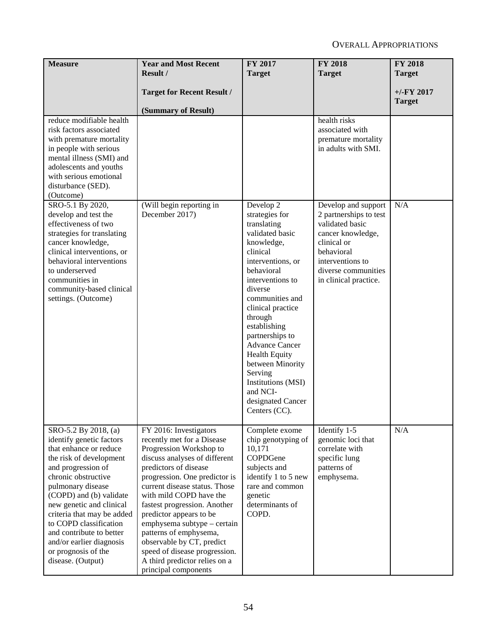| <b>Measure</b>                                                                                                                                                                                                                                                                                                                                                                             | <b>Year and Most Recent</b>                                                                                                                                                                                                                                                                                                                                                                                                                                                       | FY 2017                                                                                                                                                                                                                                                                                                                                                                                                                     | <b>FY 2018</b>                                                                                                                                                                         | <b>FY 2018</b>                 |
|--------------------------------------------------------------------------------------------------------------------------------------------------------------------------------------------------------------------------------------------------------------------------------------------------------------------------------------------------------------------------------------------|-----------------------------------------------------------------------------------------------------------------------------------------------------------------------------------------------------------------------------------------------------------------------------------------------------------------------------------------------------------------------------------------------------------------------------------------------------------------------------------|-----------------------------------------------------------------------------------------------------------------------------------------------------------------------------------------------------------------------------------------------------------------------------------------------------------------------------------------------------------------------------------------------------------------------------|----------------------------------------------------------------------------------------------------------------------------------------------------------------------------------------|--------------------------------|
|                                                                                                                                                                                                                                                                                                                                                                                            | Result /                                                                                                                                                                                                                                                                                                                                                                                                                                                                          | <b>Target</b>                                                                                                                                                                                                                                                                                                                                                                                                               | <b>Target</b>                                                                                                                                                                          | <b>Target</b>                  |
|                                                                                                                                                                                                                                                                                                                                                                                            | <b>Target for Recent Result /</b><br>(Summary of Result)                                                                                                                                                                                                                                                                                                                                                                                                                          |                                                                                                                                                                                                                                                                                                                                                                                                                             |                                                                                                                                                                                        | $+/-$ FY 2017<br><b>Target</b> |
| reduce modifiable health<br>risk factors associated<br>with premature mortality<br>in people with serious<br>mental illness (SMI) and<br>adolescents and youths<br>with serious emotional<br>disturbance (SED).<br>(Outcome)                                                                                                                                                               |                                                                                                                                                                                                                                                                                                                                                                                                                                                                                   |                                                                                                                                                                                                                                                                                                                                                                                                                             | health risks<br>associated with<br>premature mortality<br>in adults with SMI.                                                                                                          |                                |
| SRO-5.1 By 2020,<br>develop and test the<br>effectiveness of two<br>strategies for translating<br>cancer knowledge,<br>clinical interventions, or<br>behavioral interventions<br>to underserved<br>communities in<br>community-based clinical<br>settings. (Outcome)                                                                                                                       | (Will begin reporting in<br>December 2017)                                                                                                                                                                                                                                                                                                                                                                                                                                        | Develop $\overline{2}$<br>strategies for<br>translating<br>validated basic<br>knowledge,<br>clinical<br>interventions, or<br>behavioral<br>interventions to<br>diverse<br>communities and<br>clinical practice<br>through<br>establishing<br>partnerships to<br><b>Advance Cancer</b><br><b>Health Equity</b><br>between Minority<br>Serving<br><b>Institutions (MSI)</b><br>and NCI-<br>designated Cancer<br>Centers (CC). | Develop and support<br>2 partnerships to test<br>validated basic<br>cancer knowledge,<br>clinical or<br>behavioral<br>interventions to<br>diverse communities<br>in clinical practice. | N/A                            |
| SRO-5.2 By 2018, (a)<br>identify genetic factors<br>that enhance or reduce<br>the risk of development<br>and progression of<br>chronic obstructive<br>pulmonary disease<br>(COPD) and (b) validate<br>new genetic and clinical<br>criteria that may be added<br>to COPD classification<br>and contribute to better<br>and/or earlier diagnosis<br>or prognosis of the<br>disease. (Output) | FY 2016: Investigators<br>recently met for a Disease<br>Progression Workshop to<br>discuss analyses of different<br>predictors of disease<br>progression. One predictor is<br>current disease status. Those<br>with mild COPD have the<br>fastest progression. Another<br>predictor appears to be<br>emphysema subtype - certain<br>patterns of emphysema,<br>observable by CT, predict<br>speed of disease progression.<br>A third predictor relies on a<br>principal components | Complete exome<br>chip genotyping of<br>10,171<br>COPDGene<br>subjects and<br>identify 1 to 5 new<br>rare and common<br>genetic<br>determinants of<br>COPD.                                                                                                                                                                                                                                                                 | Identify 1-5<br>genomic loci that<br>correlate with<br>specific lung<br>patterns of<br>emphysema.                                                                                      | N/A                            |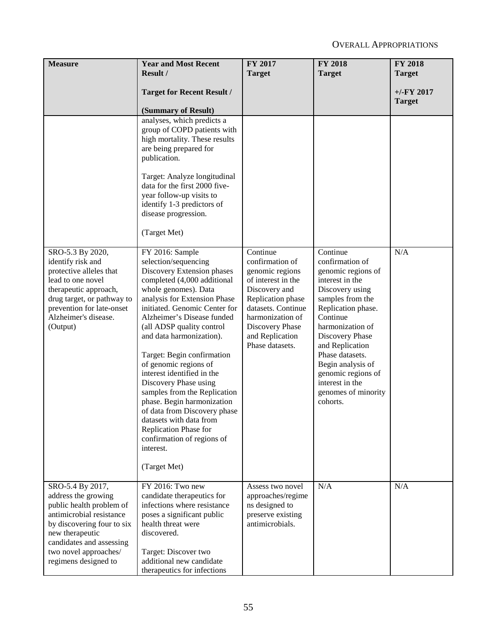| <b>Measure</b>                                                                                                                                                                                                                | <b>Year and Most Recent</b><br>Result /                                                                                                                                                                                                                                                                                                                                                                                                                                                                                                                                                                         | FY 2017<br><b>Target</b>                                                                                                                                                                                      | <b>FY 2018</b><br><b>Target</b>                                                                                                                                                                                                                                                                                             | <b>FY 2018</b><br><b>Target</b> |
|-------------------------------------------------------------------------------------------------------------------------------------------------------------------------------------------------------------------------------|-----------------------------------------------------------------------------------------------------------------------------------------------------------------------------------------------------------------------------------------------------------------------------------------------------------------------------------------------------------------------------------------------------------------------------------------------------------------------------------------------------------------------------------------------------------------------------------------------------------------|---------------------------------------------------------------------------------------------------------------------------------------------------------------------------------------------------------------|-----------------------------------------------------------------------------------------------------------------------------------------------------------------------------------------------------------------------------------------------------------------------------------------------------------------------------|---------------------------------|
|                                                                                                                                                                                                                               | <b>Target for Recent Result /</b><br>(Summary of Result)                                                                                                                                                                                                                                                                                                                                                                                                                                                                                                                                                        |                                                                                                                                                                                                               |                                                                                                                                                                                                                                                                                                                             | $+/-FY$ 2017<br><b>Target</b>   |
|                                                                                                                                                                                                                               | analyses, which predicts a<br>group of COPD patients with<br>high mortality. These results<br>are being prepared for<br>publication.<br>Target: Analyze longitudinal<br>data for the first 2000 five-<br>year follow-up visits to<br>identify 1-3 predictors of<br>disease progression.<br>(Target Met)                                                                                                                                                                                                                                                                                                         |                                                                                                                                                                                                               |                                                                                                                                                                                                                                                                                                                             |                                 |
| SRO-5.3 By 2020,<br>identify risk and<br>protective alleles that<br>lead to one novel<br>therapeutic approach,<br>drug target, or pathway to<br>prevention for late-onset<br>Alzheimer's disease.<br>(Output)                 | FY 2016: Sample<br>selection/sequencing<br>Discovery Extension phases<br>completed (4,000 additional<br>whole genomes). Data<br>analysis for Extension Phase<br>initiated. Genomic Center for<br>Alzheimer's Disease funded<br>(all ADSP quality control<br>and data harmonization).<br>Target: Begin confirmation<br>of genomic regions of<br>interest identified in the<br>Discovery Phase using<br>samples from the Replication<br>phase. Begin harmonization<br>of data from Discovery phase<br>datasets with data from<br>Replication Phase for<br>confirmation of regions of<br>interest.<br>(Target Met) | Continue<br>confirmation of<br>genomic regions<br>of interest in the<br>Discovery and<br>Replication phase<br>datasets. Continue<br>harmonization of<br>Discovery Phase<br>and Replication<br>Phase datasets. | Continue<br>confirmation of<br>genomic regions of<br>interest in the<br>Discovery using<br>samples from the<br>Replication phase.<br>Continue<br>harmonization of<br>Discovery Phase<br>and Replication<br>Phase datasets.<br>Begin analysis of<br>genomic regions of<br>interest in the<br>genomes of minority<br>cohorts. | N/A                             |
| SRO-5.4 By 2017,<br>address the growing<br>public health problem of<br>antimicrobial resistance<br>by discovering four to six<br>new therapeutic<br>candidates and assessing<br>two novel approaches/<br>regimens designed to | FY 2016: Two new<br>candidate therapeutics for<br>infections where resistance<br>poses a significant public<br>health threat were<br>discovered.<br>Target: Discover two<br>additional new candidate<br>therapeutics for infections                                                                                                                                                                                                                                                                                                                                                                             | Assess two novel<br>approaches/regime<br>ns designed to<br>preserve existing<br>antimicrobials.                                                                                                               | N/A                                                                                                                                                                                                                                                                                                                         | N/A                             |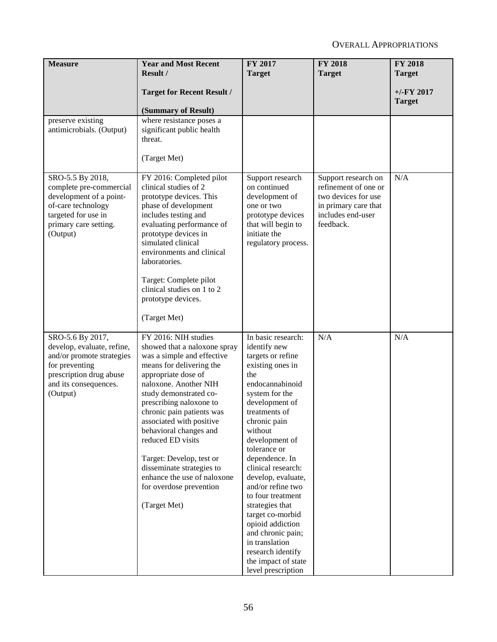| <b>Measure</b>                                                                                                                                                | <b>Year and Most Recent</b><br>Result /                                                                                                                                                                                                                                                                                                                                                                                                                        | FY 2017<br><b>Target</b>                                                                                                                                                                                                                                                                                                                                                                                                                                                                            | <b>FY 2018</b><br><b>Target</b>                                                                                              | <b>FY 2018</b><br><b>Target</b> |
|---------------------------------------------------------------------------------------------------------------------------------------------------------------|----------------------------------------------------------------------------------------------------------------------------------------------------------------------------------------------------------------------------------------------------------------------------------------------------------------------------------------------------------------------------------------------------------------------------------------------------------------|-----------------------------------------------------------------------------------------------------------------------------------------------------------------------------------------------------------------------------------------------------------------------------------------------------------------------------------------------------------------------------------------------------------------------------------------------------------------------------------------------------|------------------------------------------------------------------------------------------------------------------------------|---------------------------------|
|                                                                                                                                                               |                                                                                                                                                                                                                                                                                                                                                                                                                                                                |                                                                                                                                                                                                                                                                                                                                                                                                                                                                                                     |                                                                                                                              |                                 |
|                                                                                                                                                               | <b>Target for Recent Result /</b>                                                                                                                                                                                                                                                                                                                                                                                                                              |                                                                                                                                                                                                                                                                                                                                                                                                                                                                                                     |                                                                                                                              | $+/-$ FY 2017<br><b>Target</b>  |
|                                                                                                                                                               | (Summary of Result)                                                                                                                                                                                                                                                                                                                                                                                                                                            |                                                                                                                                                                                                                                                                                                                                                                                                                                                                                                     |                                                                                                                              |                                 |
| preserve existing<br>antimicrobials. (Output)                                                                                                                 | where resistance poses a<br>significant public health<br>threat.                                                                                                                                                                                                                                                                                                                                                                                               |                                                                                                                                                                                                                                                                                                                                                                                                                                                                                                     |                                                                                                                              |                                 |
|                                                                                                                                                               | (Target Met)                                                                                                                                                                                                                                                                                                                                                                                                                                                   |                                                                                                                                                                                                                                                                                                                                                                                                                                                                                                     |                                                                                                                              |                                 |
| SRO-5.5 By 2018,<br>complete pre-commercial<br>development of a point-<br>of-care technology<br>targeted for use in<br>primary care setting.<br>(Output)      | FY 2016: Completed pilot<br>clinical studies of 2<br>prototype devices. This<br>phase of development<br>includes testing and<br>evaluating performance of<br>prototype devices in<br>simulated clinical<br>environments and clinical<br>laboratories.<br>Target: Complete pilot<br>clinical studies on 1 to 2<br>prototype devices.<br>(Target Met)                                                                                                            | Support research<br>on continued<br>development of<br>one or two<br>prototype devices<br>that will begin to<br>initiate the<br>regulatory process.                                                                                                                                                                                                                                                                                                                                                  | Support research on<br>refinement of one or<br>two devices for use<br>in primary care that<br>includes end-user<br>feedback. | N/A                             |
|                                                                                                                                                               |                                                                                                                                                                                                                                                                                                                                                                                                                                                                |                                                                                                                                                                                                                                                                                                                                                                                                                                                                                                     |                                                                                                                              |                                 |
| SRO-5.6 By 2017,<br>develop, evaluate, refine,<br>and/or promote strategies<br>for preventing<br>prescription drug abuse<br>and its consequences.<br>(Output) | FY 2016: NIH studies<br>showed that a naloxone spray<br>was a simple and effective<br>means for delivering the<br>appropriate dose of<br>naloxone. Another NIH<br>study demonstrated co-<br>prescribing naloxone to<br>chronic pain patients was<br>associated with positive<br>behavioral changes and<br>reduced ED visits<br>Target: Develop, test or<br>disseminate strategies to<br>enhance the use of naloxone<br>for overdose prevention<br>(Target Met) | In basic research:<br>identify new<br>targets or refine<br>existing ones in<br>the<br>endocannabinoid<br>system for the<br>development of<br>treatments of<br>chronic pain<br>without<br>development of<br>tolerance or<br>dependence. In<br>clinical research:<br>develop, evaluate,<br>and/or refine two<br>to four treatment<br>strategies that<br>target co-morbid<br>opioid addiction<br>and chronic pain;<br>in translation<br>research identify<br>the impact of state<br>level prescription | N/A                                                                                                                          | N/A                             |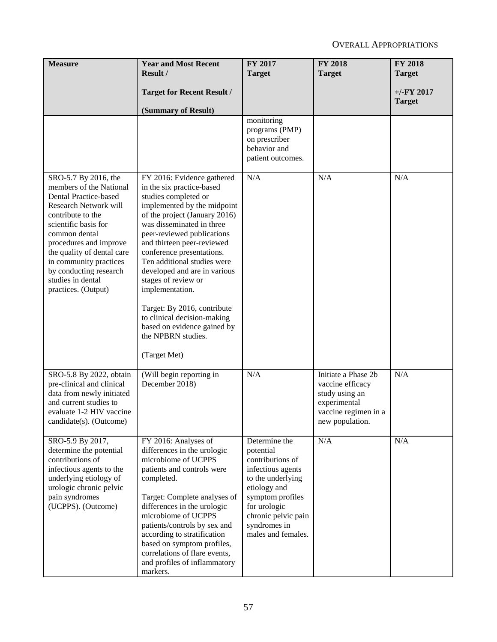| <b>Measure</b>                                                                                                                                                                                                                                                                                                          | <b>Year and Most Recent</b><br>Result /                                                                                                                                                                                                                                                                                                                                                                                                                                                                           | FY 2017<br><b>Target</b>                                                                                                                                                                                  | <b>FY 2018</b><br><b>Target</b>                                                                                      | <b>FY 2018</b><br><b>Target</b> |
|-------------------------------------------------------------------------------------------------------------------------------------------------------------------------------------------------------------------------------------------------------------------------------------------------------------------------|-------------------------------------------------------------------------------------------------------------------------------------------------------------------------------------------------------------------------------------------------------------------------------------------------------------------------------------------------------------------------------------------------------------------------------------------------------------------------------------------------------------------|-----------------------------------------------------------------------------------------------------------------------------------------------------------------------------------------------------------|----------------------------------------------------------------------------------------------------------------------|---------------------------------|
|                                                                                                                                                                                                                                                                                                                         | <b>Target for Recent Result /</b><br>(Summary of Result)                                                                                                                                                                                                                                                                                                                                                                                                                                                          |                                                                                                                                                                                                           |                                                                                                                      | $+/-$ FY 2017<br><b>Target</b>  |
|                                                                                                                                                                                                                                                                                                                         |                                                                                                                                                                                                                                                                                                                                                                                                                                                                                                                   | monitoring<br>programs (PMP)<br>on prescriber<br>behavior and<br>patient outcomes.                                                                                                                        |                                                                                                                      |                                 |
| SRO-5.7 By 2016, the<br>members of the National<br>Dental Practice-based<br>Research Network will<br>contribute to the<br>scientific basis for<br>common dental<br>procedures and improve<br>the quality of dental care<br>in community practices<br>by conducting research<br>studies in dental<br>practices. (Output) | FY 2016: Evidence gathered<br>in the six practice-based<br>studies completed or<br>implemented by the midpoint<br>of the project (January 2016)<br>was disseminated in three<br>peer-reviewed publications<br>and thirteen peer-reviewed<br>conference presentations.<br>Ten additional studies were<br>developed and are in various<br>stages of review or<br>implementation.<br>Target: By 2016, contribute<br>to clinical decision-making<br>based on evidence gained by<br>the NPBRN studies.<br>(Target Met) | N/A                                                                                                                                                                                                       | N/A                                                                                                                  | N/A                             |
| SRO-5.8 By 2022, obtain<br>pre-clinical and clinical<br>data from newly initiated<br>and current studies to<br>evaluate 1-2 HIV vaccine<br>candidate(s). (Outcome)                                                                                                                                                      | (Will begin reporting in<br>December 2018)                                                                                                                                                                                                                                                                                                                                                                                                                                                                        | N/A                                                                                                                                                                                                       | Initiate a Phase 2b<br>vaccine efficacy<br>study using an<br>experimental<br>vaccine regimen in a<br>new population. | N/A                             |
| SRO-5.9 By 2017,<br>determine the potential<br>contributions of<br>infectious agents to the<br>underlying etiology of<br>urologic chronic pelvic<br>pain syndromes<br>(UCPPS). (Outcome)                                                                                                                                | FY 2016: Analyses of<br>differences in the urologic<br>microbiome of UCPPS<br>patients and controls were<br>completed.<br>Target: Complete analyses of<br>differences in the urologic<br>microbiome of UCPPS<br>patients/controls by sex and<br>according to stratification<br>based on symptom profiles,<br>correlations of flare events,<br>and profiles of inflammatory<br>markers.                                                                                                                            | Determine the<br>potential<br>contributions of<br>infectious agents<br>to the underlying<br>etiology and<br>symptom profiles<br>for urologic<br>chronic pelvic pain<br>syndromes in<br>males and females. | N/A                                                                                                                  | N/A                             |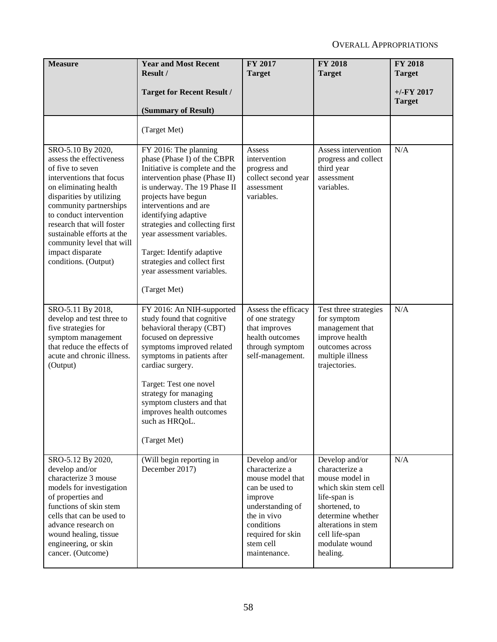| <b>Measure</b>                                                                                                                                                                                                                                                                                                                              | <b>Year and Most Recent</b><br>Result /                                                                                                                                                                                                                                                                                                                                                                     | FY 2017<br><b>Target</b>                                                                                                                                                             | <b>FY 2018</b><br><b>Target</b>                                                                                                                                                                         | <b>FY 2018</b><br><b>Target</b> |
|---------------------------------------------------------------------------------------------------------------------------------------------------------------------------------------------------------------------------------------------------------------------------------------------------------------------------------------------|-------------------------------------------------------------------------------------------------------------------------------------------------------------------------------------------------------------------------------------------------------------------------------------------------------------------------------------------------------------------------------------------------------------|--------------------------------------------------------------------------------------------------------------------------------------------------------------------------------------|---------------------------------------------------------------------------------------------------------------------------------------------------------------------------------------------------------|---------------------------------|
|                                                                                                                                                                                                                                                                                                                                             | <b>Target for Recent Result /</b><br>(Summary of Result)                                                                                                                                                                                                                                                                                                                                                    |                                                                                                                                                                                      |                                                                                                                                                                                                         | $+/-$ FY 2017<br><b>Target</b>  |
|                                                                                                                                                                                                                                                                                                                                             | (Target Met)                                                                                                                                                                                                                                                                                                                                                                                                |                                                                                                                                                                                      |                                                                                                                                                                                                         |                                 |
| SRO-5.10 By 2020,<br>assess the effectiveness<br>of five to seven<br>interventions that focus<br>on eliminating health<br>disparities by utilizing<br>community partnerships<br>to conduct intervention<br>research that will foster<br>sustainable efforts at the<br>community level that will<br>impact disparate<br>conditions. (Output) | FY 2016: The planning<br>phase (Phase I) of the CBPR<br>Initiative is complete and the<br>intervention phase (Phase II)<br>is underway. The 19 Phase II<br>projects have begun<br>interventions and are<br>identifying adaptive<br>strategies and collecting first<br>year assessment variables.<br>Target: Identify adaptive<br>strategies and collect first<br>year assessment variables.<br>(Target Met) | Assess<br>intervention<br>progress and<br>collect second year<br>assessment<br>variables.                                                                                            | Assess intervention<br>progress and collect<br>third year<br>assessment<br>variables.                                                                                                                   | N/A                             |
| SRO-5.11 By 2018,<br>develop and test three to<br>five strategies for<br>symptom management<br>that reduce the effects of<br>acute and chronic illness.<br>(Output)                                                                                                                                                                         | FY 2016: An NIH-supported<br>study found that cognitive<br>behavioral therapy (CBT)<br>focused on depressive<br>symptoms improved related<br>symptoms in patients after<br>cardiac surgery.<br>Target: Test one novel<br>strategy for managing<br>symptom clusters and that<br>improves health outcomes<br>such as HRQoL.<br>(Target Met)                                                                   | Assess the efficacy<br>of one strategy<br>that improves<br>health outcomes<br>through symptom<br>self-management.                                                                    | Test three strategies<br>for symptom<br>management that<br>improve health<br>outcomes across<br>multiple illness<br>trajectories.                                                                       | N/A                             |
| SRO-5.12 By 2020,<br>develop and/or<br>characterize 3 mouse<br>models for investigation<br>of properties and<br>functions of skin stem<br>cells that can be used to<br>advance research on<br>wound healing, tissue<br>engineering, or skin<br>cancer. (Outcome)                                                                            | (Will begin reporting in<br>December 2017)                                                                                                                                                                                                                                                                                                                                                                  | Develop and/or<br>characterize a<br>mouse model that<br>can be used to<br>improve<br>understanding of<br>the in vivo<br>conditions<br>required for skin<br>stem cell<br>maintenance. | Develop and/or<br>characterize a<br>mouse model in<br>which skin stem cell<br>life-span is<br>shortened, to<br>determine whether<br>alterations in stem<br>cell life-span<br>modulate wound<br>healing. | N/A                             |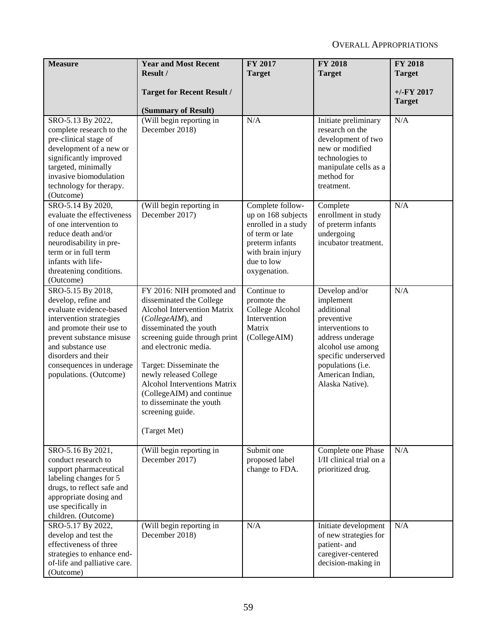| <b>Measure</b>                                                                                                                                                                                                                                           | <b>Year and Most Recent</b>                                                                                                                                                                                                                                                                                                                                                                   | FY 2017                                                                                                                                                | <b>FY 2018</b>                                                                                                                                                                                           | <b>FY 2018</b>                 |
|----------------------------------------------------------------------------------------------------------------------------------------------------------------------------------------------------------------------------------------------------------|-----------------------------------------------------------------------------------------------------------------------------------------------------------------------------------------------------------------------------------------------------------------------------------------------------------------------------------------------------------------------------------------------|--------------------------------------------------------------------------------------------------------------------------------------------------------|----------------------------------------------------------------------------------------------------------------------------------------------------------------------------------------------------------|--------------------------------|
|                                                                                                                                                                                                                                                          | Result /                                                                                                                                                                                                                                                                                                                                                                                      | <b>Target</b>                                                                                                                                          | <b>Target</b>                                                                                                                                                                                            | <b>Target</b>                  |
|                                                                                                                                                                                                                                                          | <b>Target for Recent Result /</b><br>(Summary of Result)                                                                                                                                                                                                                                                                                                                                      |                                                                                                                                                        |                                                                                                                                                                                                          | $+/-$ FY 2017<br><b>Target</b> |
| SRO-5.13 By 2022,<br>complete research to the<br>pre-clinical stage of<br>development of a new or<br>significantly improved<br>targeted, minimally<br>invasive biomodulation<br>technology for therapy.<br>(Outcome)                                     | (Will begin reporting in<br>December 2018)                                                                                                                                                                                                                                                                                                                                                    | N/A                                                                                                                                                    | Initiate preliminary<br>research on the<br>development of two<br>new or modified<br>technologies to<br>manipulate cells as a<br>method for<br>treatment.                                                 | N/A                            |
| SRO-5.14 By 2020,<br>evaluate the effectiveness<br>of one intervention to<br>reduce death and/or<br>neurodisability in pre-<br>term or in full term<br>infants with life-<br>threatening conditions.<br>(Outcome)                                        | (Will begin reporting in<br>December 2017)                                                                                                                                                                                                                                                                                                                                                    | Complete follow-<br>up on 168 subjects<br>enrolled in a study<br>of term or late<br>preterm infants<br>with brain injury<br>due to low<br>oxygenation. | Complete<br>enrollment in study<br>of preterm infants<br>undergoing<br>incubator treatment.                                                                                                              | N/A                            |
| SRO-5.15 By 2018,<br>develop, refine and<br>evaluate evidence-based<br>intervention strategies<br>and promote their use to<br>prevent substance misuse<br>and substance use<br>disorders and their<br>consequences in underage<br>populations. (Outcome) | FY 2016: NIH promoted and<br>disseminated the College<br><b>Alcohol Intervention Matrix</b><br>(CollegeAIM), and<br>disseminated the youth<br>screening guide through print<br>and electronic media.<br>Target: Disseminate the<br>newly released College<br><b>Alcohol Interventions Matrix</b><br>(CollegeAIM) and continue<br>to disseminate the youth<br>screening guide.<br>(Target Met) | Continue to<br>promote the<br>College Alcohol<br>Intervention<br>Matrix<br>(CollegeAIM)                                                                | Develop and/or<br>implement<br>additional<br>preventive<br>interventions to<br>address underage<br>alcohol use among<br>specific underserved<br>populations (i.e.<br>American Indian,<br>Alaska Native). | N/A                            |
| SRO-5.16 By 2021,<br>conduct research to<br>support pharmaceutical<br>labeling changes for 5<br>drugs, to reflect safe and<br>appropriate dosing and<br>use specifically in<br>children. (Outcome)                                                       | (Will begin reporting in<br>December 2017)                                                                                                                                                                                                                                                                                                                                                    | Submit one<br>proposed label<br>change to FDA.                                                                                                         | Complete one Phase<br>I/II clinical trial on a<br>prioritized drug.                                                                                                                                      | N/A                            |
| SRO-5.17 By 2022,<br>develop and test the<br>effectiveness of three<br>strategies to enhance end-<br>of-life and palliative care.<br>(Outcome)                                                                                                           | (Will begin reporting in<br>December 2018)                                                                                                                                                                                                                                                                                                                                                    | N/A                                                                                                                                                    | Initiate development<br>of new strategies for<br>patient- and<br>caregiver-centered<br>decision-making in                                                                                                | N/A                            |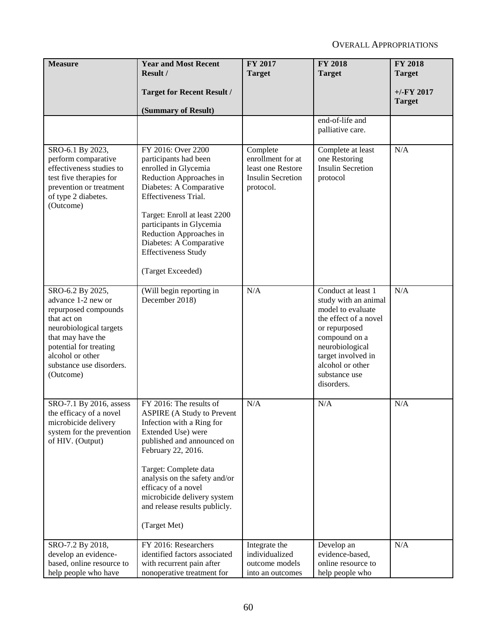| <b>Measure</b>                                                                                                                                                                                                       | <b>Year and Most Recent</b><br>Result /                                                                                                                                                                                                                                                                                              | FY 2017                                                                                     | <b>FY 2018</b>                                                                                                                                                                                                         | <b>FY 2018</b>                 |
|----------------------------------------------------------------------------------------------------------------------------------------------------------------------------------------------------------------------|--------------------------------------------------------------------------------------------------------------------------------------------------------------------------------------------------------------------------------------------------------------------------------------------------------------------------------------|---------------------------------------------------------------------------------------------|------------------------------------------------------------------------------------------------------------------------------------------------------------------------------------------------------------------------|--------------------------------|
|                                                                                                                                                                                                                      |                                                                                                                                                                                                                                                                                                                                      | <b>Target</b>                                                                               | <b>Target</b>                                                                                                                                                                                                          | <b>Target</b>                  |
|                                                                                                                                                                                                                      | <b>Target for Recent Result /</b>                                                                                                                                                                                                                                                                                                    |                                                                                             |                                                                                                                                                                                                                        | $+/-$ FY 2017<br><b>Target</b> |
|                                                                                                                                                                                                                      | (Summary of Result)                                                                                                                                                                                                                                                                                                                  |                                                                                             |                                                                                                                                                                                                                        |                                |
|                                                                                                                                                                                                                      |                                                                                                                                                                                                                                                                                                                                      |                                                                                             | end-of-life and<br>palliative care.                                                                                                                                                                                    |                                |
| SRO-6.1 By 2023,<br>perform comparative<br>effectiveness studies to<br>test five therapies for<br>prevention or treatment<br>of type 2 diabetes.<br>(Outcome)                                                        | FY 2016: Over 2200<br>participants had been<br>enrolled in Glycemia<br>Reduction Approaches in<br>Diabetes: A Comparative<br>Effectiveness Trial.<br>Target: Enroll at least 2200<br>participants in Glycemia<br>Reduction Approaches in<br>Diabetes: A Comparative<br><b>Effectiveness Study</b><br>(Target Exceeded)               | Complete<br>enrollment for at<br>least one Restore<br><b>Insulin Secretion</b><br>protocol. | Complete at least<br>one Restoring<br><b>Insulin Secretion</b><br>protocol                                                                                                                                             | N/A                            |
| SRO-6.2 By 2025,<br>advance 1-2 new or<br>repurposed compounds<br>that act on<br>neurobiological targets<br>that may have the<br>potential for treating<br>alcohol or other<br>substance use disorders.<br>(Outcome) | (Will begin reporting in<br>December 2018)                                                                                                                                                                                                                                                                                           | N/A                                                                                         | Conduct at least 1<br>study with an animal<br>model to evaluate<br>the effect of a novel<br>or repurposed<br>compound on a<br>neurobiological<br>target involved in<br>alcohol or other<br>substance use<br>disorders. | N/A                            |
| SRO-7.1 By 2016, assess<br>the efficacy of a novel<br>microbicide delivery<br>system for the prevention<br>of HIV. (Output)                                                                                          | FY 2016: The results of<br><b>ASPIRE</b> (A Study to Prevent<br>Infection with a Ring for<br>Extended Use) were<br>published and announced on<br>February 22, 2016.<br>Target: Complete data<br>analysis on the safety and/or<br>efficacy of a novel<br>microbicide delivery system<br>and release results publicly.<br>(Target Met) | N/A                                                                                         | N/A                                                                                                                                                                                                                    | N/A                            |
| SRO-7.2 By 2018,<br>develop an evidence-<br>based, online resource to<br>help people who have                                                                                                                        | FY 2016: Researchers<br>identified factors associated<br>with recurrent pain after<br>nonoperative treatment for                                                                                                                                                                                                                     | Integrate the<br>individualized<br>outcome models<br>into an outcomes                       | Develop an<br>evidence-based,<br>online resource to<br>help people who                                                                                                                                                 | N/A                            |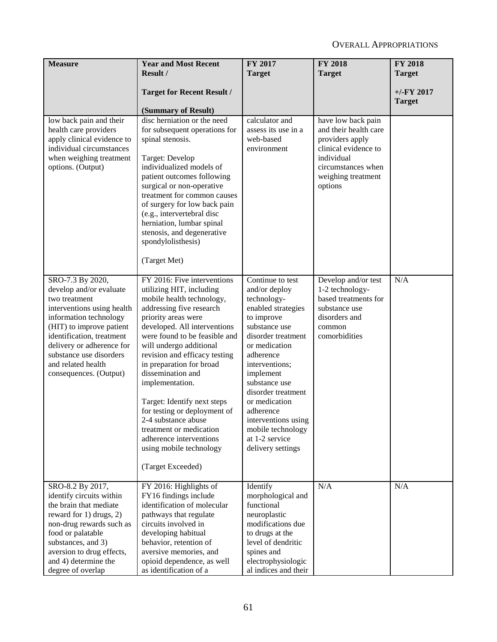| <b>Measure</b>                                                                                                                                                                                                                                                                        | <b>Year and Most Recent</b>                                                                                                                                                                                                                                                                                                                                                                                                                                                                                                          | FY 2017                                                                                                                                                                                                                                                                                                                                          | <b>FY 2018</b>                                                                                                                                              | <b>FY 2018</b> |
|---------------------------------------------------------------------------------------------------------------------------------------------------------------------------------------------------------------------------------------------------------------------------------------|--------------------------------------------------------------------------------------------------------------------------------------------------------------------------------------------------------------------------------------------------------------------------------------------------------------------------------------------------------------------------------------------------------------------------------------------------------------------------------------------------------------------------------------|--------------------------------------------------------------------------------------------------------------------------------------------------------------------------------------------------------------------------------------------------------------------------------------------------------------------------------------------------|-------------------------------------------------------------------------------------------------------------------------------------------------------------|----------------|
|                                                                                                                                                                                                                                                                                       | Result /                                                                                                                                                                                                                                                                                                                                                                                                                                                                                                                             | <b>Target</b>                                                                                                                                                                                                                                                                                                                                    | <b>Target</b>                                                                                                                                               | <b>Target</b>  |
|                                                                                                                                                                                                                                                                                       | <b>Target for Recent Result /</b>                                                                                                                                                                                                                                                                                                                                                                                                                                                                                                    |                                                                                                                                                                                                                                                                                                                                                  |                                                                                                                                                             | $+/-$ FY 2017  |
|                                                                                                                                                                                                                                                                                       | (Summary of Result)                                                                                                                                                                                                                                                                                                                                                                                                                                                                                                                  |                                                                                                                                                                                                                                                                                                                                                  |                                                                                                                                                             | <b>Target</b>  |
| low back pain and their<br>health care providers<br>apply clinical evidence to<br>individual circumstances<br>when weighing treatment<br>options. (Output)                                                                                                                            | disc herniation or the need<br>for subsequent operations for<br>spinal stenosis.<br>Target: Develop<br>individualized models of<br>patient outcomes following<br>surgical or non-operative<br>treatment for common causes<br>of surgery for low back pain<br>(e.g., intervertebral disc<br>herniation, lumbar spinal<br>stenosis, and degenerative<br>spondylolisthesis)<br>(Target Met)                                                                                                                                             | calculator and<br>assess its use in a<br>web-based<br>environment                                                                                                                                                                                                                                                                                | have low back pain<br>and their health care<br>providers apply<br>clinical evidence to<br>individual<br>circumstances when<br>weighing treatment<br>options |                |
| SRO-7.3 By 2020,<br>develop and/or evaluate<br>two treatment<br>interventions using health<br>information technology<br>(HIT) to improve patient<br>identification, treatment<br>delivery or adherence for<br>substance use disorders<br>and related health<br>consequences. (Output) | FY 2016: Five interventions<br>utilizing HIT, including<br>mobile health technology,<br>addressing five research<br>priority areas were<br>developed. All interventions<br>were found to be feasible and<br>will undergo additional<br>revision and efficacy testing<br>in preparation for broad<br>dissemination and<br>implementation.<br>Target: Identify next steps<br>for testing or deployment of<br>2-4 substance abuse<br>treatment or medication<br>adherence interventions<br>using mobile technology<br>(Target Exceeded) | Continue to test<br>and/or deploy<br>technology-<br>enabled strategies<br>to improve<br>substance use<br>disorder treatment<br>or medication<br>adherence<br>interventions;<br>implement<br>substance use<br>disorder treatment<br>or medication<br>adherence<br>interventions using<br>mobile technology<br>at 1-2 service<br>delivery settings | Develop and/or test<br>1-2 technology-<br>based treatments for<br>substance use<br>disorders and<br>common<br>comorbidities                                 | N/A            |
| SRO-8.2 By 2017,<br>identify circuits within<br>the brain that mediate<br>reward for 1) drugs, 2)<br>non-drug rewards such as<br>food or palatable<br>substances, and 3)<br>aversion to drug effects,<br>and 4) determine the<br>degree of overlap                                    | FY 2016: Highlights of<br>FY16 findings include<br>identification of molecular<br>pathways that regulate<br>circuits involved in<br>developing habitual<br>behavior, retention of<br>aversive memories, and<br>opioid dependence, as well<br>as identification of a                                                                                                                                                                                                                                                                  | Identify<br>morphological and<br>functional<br>neuroplastic<br>modifications due<br>to drugs at the<br>level of dendritic<br>spines and<br>electrophysiologic<br>al indices and their                                                                                                                                                            | N/A                                                                                                                                                         | N/A            |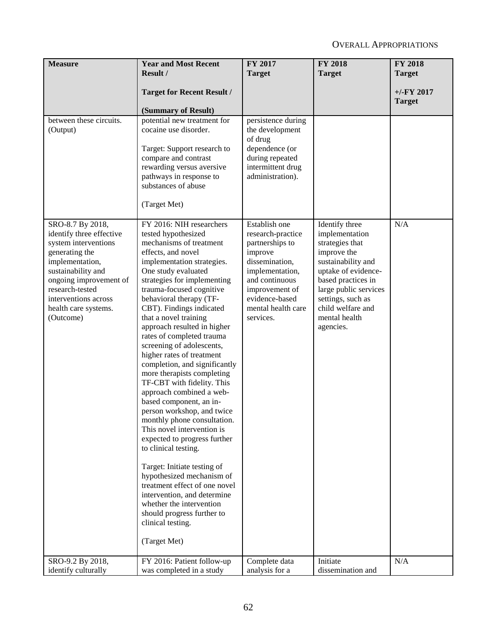| <b>Measure</b>                                                                                                                                                                                                                            | <b>Year and Most Recent</b>                                                                                                                                                                                                                                                                                                                                                                                                                                                                                                                                                                                                                                                                                                                                                                                                                                                                                                                              | FY 2017                                                                                                                                                                                        | <b>FY 2018</b>                                                                                                                                                                                                                         | <b>FY 2018</b>                 |
|-------------------------------------------------------------------------------------------------------------------------------------------------------------------------------------------------------------------------------------------|----------------------------------------------------------------------------------------------------------------------------------------------------------------------------------------------------------------------------------------------------------------------------------------------------------------------------------------------------------------------------------------------------------------------------------------------------------------------------------------------------------------------------------------------------------------------------------------------------------------------------------------------------------------------------------------------------------------------------------------------------------------------------------------------------------------------------------------------------------------------------------------------------------------------------------------------------------|------------------------------------------------------------------------------------------------------------------------------------------------------------------------------------------------|----------------------------------------------------------------------------------------------------------------------------------------------------------------------------------------------------------------------------------------|--------------------------------|
|                                                                                                                                                                                                                                           | Result /                                                                                                                                                                                                                                                                                                                                                                                                                                                                                                                                                                                                                                                                                                                                                                                                                                                                                                                                                 | <b>Target</b>                                                                                                                                                                                  | <b>Target</b>                                                                                                                                                                                                                          | <b>Target</b>                  |
|                                                                                                                                                                                                                                           | <b>Target for Recent Result /</b><br>(Summary of Result)                                                                                                                                                                                                                                                                                                                                                                                                                                                                                                                                                                                                                                                                                                                                                                                                                                                                                                 |                                                                                                                                                                                                |                                                                                                                                                                                                                                        | $+/-$ FY 2017<br><b>Target</b> |
| between these circuits.<br>(Output)                                                                                                                                                                                                       | potential new treatment for<br>cocaine use disorder.<br>Target: Support research to<br>compare and contrast<br>rewarding versus aversive<br>pathways in response to<br>substances of abuse<br>(Target Met)                                                                                                                                                                                                                                                                                                                                                                                                                                                                                                                                                                                                                                                                                                                                               | persistence during<br>the development<br>of drug<br>dependence (or<br>during repeated<br>intermittent drug<br>administration).                                                                 |                                                                                                                                                                                                                                        |                                |
| SRO-8.7 By 2018,<br>identify three effective<br>system interventions<br>generating the<br>implementation,<br>sustainability and<br>ongoing improvement of<br>research-tested<br>interventions across<br>health care systems.<br>(Outcome) | FY 2016: NIH researchers<br>tested hypothesized<br>mechanisms of treatment<br>effects, and novel<br>implementation strategies.<br>One study evaluated<br>strategies for implementing<br>trauma-focused cognitive<br>behavioral therapy (TF-<br>CBT). Findings indicated<br>that a novel training<br>approach resulted in higher<br>rates of completed trauma<br>screening of adolescents,<br>higher rates of treatment<br>completion, and significantly<br>more therapists completing<br>TF-CBT with fidelity. This<br>approach combined a web-<br>based component, an in-<br>person workshop, and twice<br>monthly phone consultation.<br>This novel intervention is<br>expected to progress further<br>to clinical testing.<br>Target: Initiate testing of<br>hypothesized mechanism of<br>treatment effect of one novel<br>intervention, and determine<br>whether the intervention<br>should progress further to<br>clinical testing.<br>(Target Met) | Establish one<br>research-practice<br>partnerships to<br>improve<br>dissemination,<br>implementation,<br>and continuous<br>improvement of<br>evidence-based<br>mental health care<br>services. | Identify three<br>implementation<br>strategies that<br>improve the<br>sustainability and<br>uptake of evidence-<br>based practices in<br>large public services<br>settings, such as<br>child welfare and<br>mental health<br>agencies. | N/A                            |
| SRO-9.2 By 2018,                                                                                                                                                                                                                          | FY 2016: Patient follow-up                                                                                                                                                                                                                                                                                                                                                                                                                                                                                                                                                                                                                                                                                                                                                                                                                                                                                                                               | Complete data                                                                                                                                                                                  | Initiate                                                                                                                                                                                                                               | N/A                            |
| identify culturally                                                                                                                                                                                                                       | was completed in a study                                                                                                                                                                                                                                                                                                                                                                                                                                                                                                                                                                                                                                                                                                                                                                                                                                                                                                                                 | analysis for a                                                                                                                                                                                 | dissemination and                                                                                                                                                                                                                      |                                |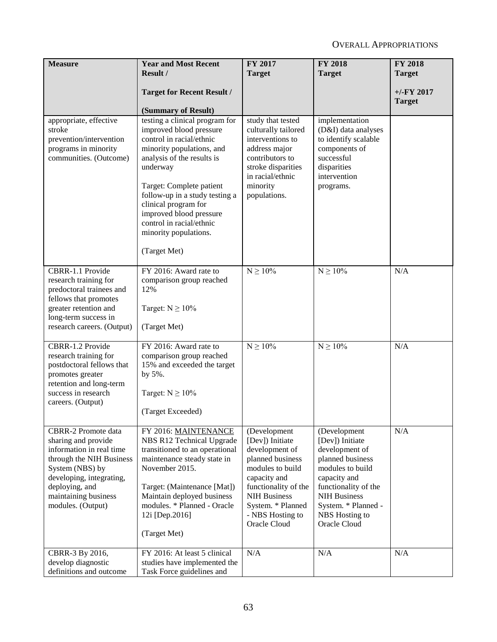| <b>Measure</b>                                                                                                                                                                                                          | <b>Year and Most Recent</b><br>Result /                                                                                                                                                                                                                                                                                                            | <b>FY 2017</b><br><b>Target</b>                                                                                                                                                                                   | <b>FY 2018</b><br><b>Target</b>                                                                                                                                                                                   | <b>FY 2018</b><br><b>Target</b> |
|-------------------------------------------------------------------------------------------------------------------------------------------------------------------------------------------------------------------------|----------------------------------------------------------------------------------------------------------------------------------------------------------------------------------------------------------------------------------------------------------------------------------------------------------------------------------------------------|-------------------------------------------------------------------------------------------------------------------------------------------------------------------------------------------------------------------|-------------------------------------------------------------------------------------------------------------------------------------------------------------------------------------------------------------------|---------------------------------|
|                                                                                                                                                                                                                         | <b>Target for Recent Result /</b><br>(Summary of Result)                                                                                                                                                                                                                                                                                           |                                                                                                                                                                                                                   |                                                                                                                                                                                                                   | $+/-$ FY 2017<br><b>Target</b>  |
| appropriate, effective<br>stroke<br>prevention/intervention<br>programs in minority<br>communities. (Outcome)                                                                                                           | testing a clinical program for<br>improved blood pressure<br>control in racial/ethnic<br>minority populations, and<br>analysis of the results is<br>underway<br>Target: Complete patient<br>follow-up in a study testing a<br>clinical program for<br>improved blood pressure<br>control in racial/ethnic<br>minority populations.<br>(Target Met) | study that tested<br>culturally tailored<br>interventions to<br>address major<br>contributors to<br>stroke disparities<br>in racial/ethnic<br>minority<br>populations.                                            | implementation<br>(D&I) data analyses<br>to identify scalable<br>components of<br>successful<br>disparities<br>intervention<br>programs.                                                                          |                                 |
| CBRR-1.1 Provide<br>research training for<br>predoctoral trainees and<br>fellows that promotes<br>greater retention and<br>long-term success in<br>research careers. (Output)                                           | FY 2016: Award rate to<br>comparison group reached<br>12%<br>Target: $N \ge 10\%$<br>(Target Met)                                                                                                                                                                                                                                                  | $N \ge 10\%$                                                                                                                                                                                                      | $N\geq 10\%$                                                                                                                                                                                                      | N/A                             |
| CBRR-1.2 Provide<br>research training for<br>postdoctoral fellows that<br>promotes greater<br>retention and long-term<br>success in research<br>careers. (Output)                                                       | FY 2016: Award rate to<br>comparison group reached<br>15% and exceeded the target<br>by 5%.<br>Target: $N \ge 10\%$<br>(Target Exceeded)                                                                                                                                                                                                           | $N \ge 10\%$                                                                                                                                                                                                      | $N\geq 10\%$                                                                                                                                                                                                      | N/A                             |
| <b>CBRR-2 Promote data</b><br>sharing and provide<br>information in real time<br>through the NIH Business<br>System (NBS) by<br>developing, integrating,<br>deploying, and<br>maintaining business<br>modules. (Output) | FY 2016: MAINTENANCE<br>NBS R12 Technical Upgrade<br>transitioned to an operational<br>maintenance steady state in<br>November 2015.<br>Target: (Maintenance [Mat])<br>Maintain deployed business<br>modules. * Planned - Oracle<br>12i [Dep.2016]<br>(Target Met)                                                                                 | (Development<br>[Dev]) Initiate<br>development of<br>planned business<br>modules to build<br>capacity and<br>functionality of the<br><b>NIH Business</b><br>System. * Planned<br>- NBS Hosting to<br>Oracle Cloud | (Development<br>[Dev]) Initiate<br>development of<br>planned business<br>modules to build<br>capacity and<br>functionality of the<br><b>NIH Business</b><br>System. * Planned -<br>NBS Hosting to<br>Oracle Cloud | N/A                             |
| CBRR-3 By 2016,<br>develop diagnostic<br>definitions and outcome                                                                                                                                                        | FY 2016: At least 5 clinical<br>studies have implemented the<br>Task Force guidelines and                                                                                                                                                                                                                                                          | N/A                                                                                                                                                                                                               | N/A                                                                                                                                                                                                               | N/A                             |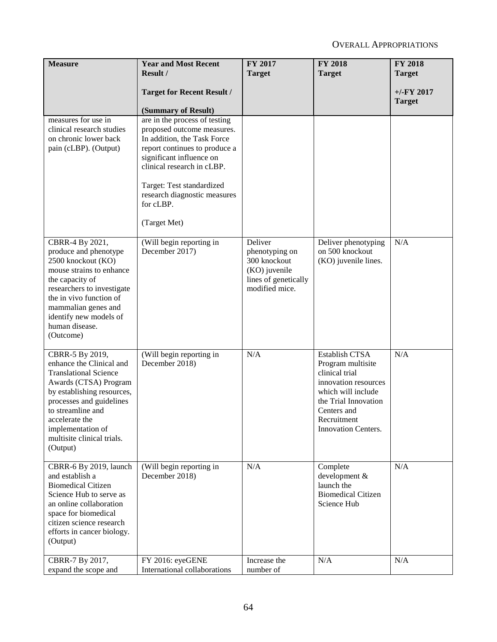| <b>Measure</b>                                                                                                                                                                                                                                                       | <b>Year and Most Recent</b><br>Result /                                                                                                                                                                                                                                         | <b>FY 2017</b><br><b>Target</b>                                                                      | <b>FY 2018</b><br><b>Target</b>                                                                                                                                                         | <b>FY 2018</b><br><b>Target</b> |
|----------------------------------------------------------------------------------------------------------------------------------------------------------------------------------------------------------------------------------------------------------------------|---------------------------------------------------------------------------------------------------------------------------------------------------------------------------------------------------------------------------------------------------------------------------------|------------------------------------------------------------------------------------------------------|-----------------------------------------------------------------------------------------------------------------------------------------------------------------------------------------|---------------------------------|
|                                                                                                                                                                                                                                                                      | <b>Target for Recent Result /</b><br>(Summary of Result)                                                                                                                                                                                                                        |                                                                                                      |                                                                                                                                                                                         | $+/-$ FY 2017<br><b>Target</b>  |
| measures for use in<br>clinical research studies<br>on chronic lower back<br>pain (cLBP). (Output)                                                                                                                                                                   | are in the process of testing<br>proposed outcome measures.<br>In addition, the Task Force<br>report continues to produce a<br>significant influence on<br>clinical research in cLBP.<br>Target: Test standardized<br>research diagnostic measures<br>for cLBP.<br>(Target Met) |                                                                                                      |                                                                                                                                                                                         |                                 |
| CBRR-4 By 2021,<br>produce and phenotype<br>2500 knockout (KO)<br>mouse strains to enhance<br>the capacity of<br>researchers to investigate<br>the in vivo function of<br>mammalian genes and<br>identify new models of<br>human disease.<br>(Outcome)               | (Will begin reporting in<br>December 2017)                                                                                                                                                                                                                                      | Deliver<br>phenotyping on<br>300 knockout<br>(KO) juvenile<br>lines of genetically<br>modified mice. | Deliver phenotyping<br>on 500 knockout<br>(KO) juvenile lines.                                                                                                                          | N/A                             |
| CBRR-5 By 2019,<br>enhance the Clinical and<br><b>Translational Science</b><br>Awards (CTSA) Program<br>by establishing resources,<br>processes and guidelines<br>to streamline and<br>accelerate the<br>implementation of<br>multisite clinical trials.<br>(Output) | (Will begin reporting in<br>December 2018)                                                                                                                                                                                                                                      | N/A                                                                                                  | <b>Establish CTSA</b><br>Program multisite<br>clinical trial<br>innovation resources<br>which will include<br>the Trial Innovation<br>Centers and<br>Recruitment<br>Innovation Centers. | N/A                             |
| CBRR-6 By 2019, launch<br>and establish a<br><b>Biomedical Citizen</b><br>Science Hub to serve as<br>an online collaboration<br>space for biomedical<br>citizen science research<br>efforts in cancer biology.<br>(Output)                                           | (Will begin reporting in<br>December 2018)                                                                                                                                                                                                                                      | N/A                                                                                                  | Complete<br>development &<br>launch the<br><b>Biomedical Citizen</b><br>Science Hub                                                                                                     | N/A                             |
| CBRR-7 By 2017,<br>expand the scope and                                                                                                                                                                                                                              | FY 2016: eyeGENE<br>International collaborations                                                                                                                                                                                                                                | Increase the<br>number of                                                                            | N/A                                                                                                                                                                                     | N/A                             |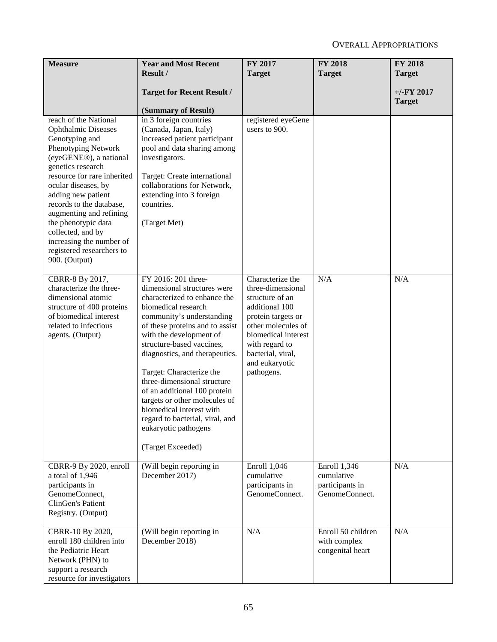| <b>Measure</b>                                                                                                                                                                                                                                                                                                                                                                                       | <b>Year and Most Recent</b>                                                                                                                                                                                                                                                                                                                                                                                                                                                                                 | FY 2017                                                                                                                                                                                                              | <b>FY 2018</b>                                                  | <b>FY 2018</b> |
|------------------------------------------------------------------------------------------------------------------------------------------------------------------------------------------------------------------------------------------------------------------------------------------------------------------------------------------------------------------------------------------------------|-------------------------------------------------------------------------------------------------------------------------------------------------------------------------------------------------------------------------------------------------------------------------------------------------------------------------------------------------------------------------------------------------------------------------------------------------------------------------------------------------------------|----------------------------------------------------------------------------------------------------------------------------------------------------------------------------------------------------------------------|-----------------------------------------------------------------|----------------|
|                                                                                                                                                                                                                                                                                                                                                                                                      | Result /                                                                                                                                                                                                                                                                                                                                                                                                                                                                                                    | <b>Target</b>                                                                                                                                                                                                        | <b>Target</b>                                                   | <b>Target</b>  |
|                                                                                                                                                                                                                                                                                                                                                                                                      | <b>Target for Recent Result /</b>                                                                                                                                                                                                                                                                                                                                                                                                                                                                           |                                                                                                                                                                                                                      |                                                                 | $+/-FY$ 2017   |
|                                                                                                                                                                                                                                                                                                                                                                                                      | (Summary of Result)                                                                                                                                                                                                                                                                                                                                                                                                                                                                                         |                                                                                                                                                                                                                      |                                                                 | <b>Target</b>  |
| reach of the National<br><b>Ophthalmic Diseases</b><br>Genotyping and<br>Phenotyping Network<br>(eyeGENE®), a national<br>genetics research<br>resource for rare inherited<br>ocular diseases, by<br>adding new patient<br>records to the database,<br>augmenting and refining<br>the phenotypic data<br>collected, and by<br>increasing the number of<br>registered researchers to<br>900. (Output) | in 3 foreign countries<br>(Canada, Japan, Italy)<br>increased patient participant<br>pool and data sharing among<br>investigators.<br>Target: Create international<br>collaborations for Network,<br>extending into 3 foreign<br>countries.<br>(Target Met)                                                                                                                                                                                                                                                 | registered eyeGene<br>users to 900.                                                                                                                                                                                  |                                                                 |                |
| CBRR-8 By 2017,<br>characterize the three-<br>dimensional atomic<br>structure of 400 proteins<br>of biomedical interest<br>related to infectious<br>agents. (Output)                                                                                                                                                                                                                                 | FY 2016: 201 three-<br>dimensional structures were<br>characterized to enhance the<br>biomedical research<br>community's understanding<br>of these proteins and to assist<br>with the development of<br>structure-based vaccines,<br>diagnostics, and therapeutics.<br>Target: Characterize the<br>three-dimensional structure<br>of an additional 100 protein<br>targets or other molecules of<br>biomedical interest with<br>regard to bacterial, viral, and<br>eukaryotic pathogens<br>(Target Exceeded) | Characterize the<br>three-dimensional<br>structure of an<br>additional 100<br>protein targets or<br>other molecules of<br>biomedical interest<br>with regard to<br>bacterial, viral,<br>and eukaryotic<br>pathogens. | N/A                                                             | N/A            |
| CBRR-9 By 2020, enroll<br>a total of 1,946<br>participants in<br>GenomeConnect,<br>ClinGen's Patient<br>Registry. (Output)                                                                                                                                                                                                                                                                           | (Will begin reporting in<br>December 2017)                                                                                                                                                                                                                                                                                                                                                                                                                                                                  | Enroll 1,046<br>cumulative<br>participants in<br>GenomeConnect.                                                                                                                                                      | Enroll 1,346<br>cumulative<br>participants in<br>GenomeConnect. | N/A            |
| CBRR-10 By 2020,<br>enroll 180 children into<br>the Pediatric Heart<br>Network (PHN) to<br>support a research<br>resource for investigators                                                                                                                                                                                                                                                          | (Will begin reporting in<br>December 2018)                                                                                                                                                                                                                                                                                                                                                                                                                                                                  | N/A                                                                                                                                                                                                                  | Enroll 50 children<br>with complex<br>congenital heart          | N/A            |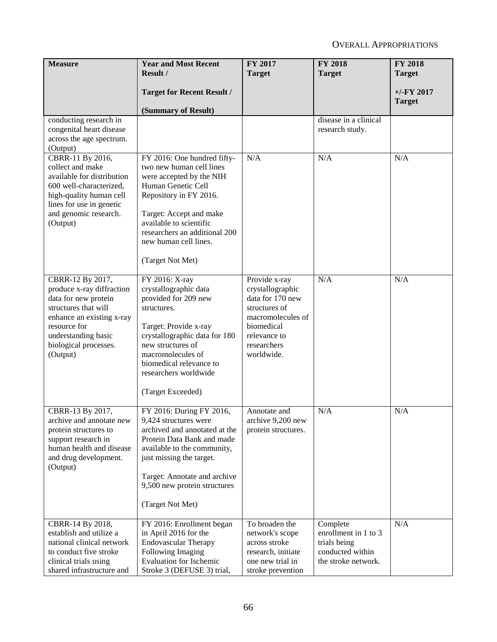| <b>Measure</b>                                                                                                                                                                                         | <b>Year and Most Recent</b><br>Result /                                                                                                                                                                                                                                 | <b>FY 2017</b>                                                                                                                                         | <b>FY 2018</b>                                                                              | <b>FY 2018</b>                 |
|--------------------------------------------------------------------------------------------------------------------------------------------------------------------------------------------------------|-------------------------------------------------------------------------------------------------------------------------------------------------------------------------------------------------------------------------------------------------------------------------|--------------------------------------------------------------------------------------------------------------------------------------------------------|---------------------------------------------------------------------------------------------|--------------------------------|
|                                                                                                                                                                                                        |                                                                                                                                                                                                                                                                         | <b>Target</b>                                                                                                                                          | <b>Target</b>                                                                               | <b>Target</b>                  |
|                                                                                                                                                                                                        | <b>Target for Recent Result /</b>                                                                                                                                                                                                                                       |                                                                                                                                                        |                                                                                             | $+/-$ FY 2017<br><b>Target</b> |
|                                                                                                                                                                                                        | (Summary of Result)                                                                                                                                                                                                                                                     |                                                                                                                                                        |                                                                                             |                                |
| conducting research in<br>congenital heart disease<br>across the age spectrum.<br>(Output)                                                                                                             |                                                                                                                                                                                                                                                                         |                                                                                                                                                        | disease in a clinical<br>research study.                                                    |                                |
| CBRR-11 By 2016,<br>collect and make<br>available for distribution<br>600 well-characterized,<br>high-quality human cell<br>lines for use in genetic<br>and genomic research.<br>(Output)              | FY 2016: One hundred fifty-<br>two new human cell lines<br>were accepted by the NIH<br>Human Genetic Cell<br>Repository in FY 2016.<br>Target: Accept and make<br>available to scientific<br>researchers an additional 200<br>new human cell lines.<br>(Target Not Met) | N/A                                                                                                                                                    | N/A                                                                                         | N/A                            |
| CBRR-12 By 2017,<br>produce x-ray diffraction<br>data for new protein<br>structures that will<br>enhance an existing x-ray<br>resource for<br>understanding basic<br>biological processes.<br>(Output) | FY 2016: X-ray<br>crystallographic data<br>provided for 209 new<br>structures.<br>Target: Provide x-ray<br>crystallographic data for 180<br>new structures of<br>macromolecules of<br>biomedical relevance to<br>researchers worldwide<br>(Target Exceeded)             | Provide x-ray<br>crystallographic<br>data for 170 new<br>structures of<br>macromolecules of<br>biomedical<br>relevance to<br>researchers<br>worldwide. | N/A                                                                                         | N/A                            |
| CBRR-13 By 2017,<br>archive and annotate new<br>protein structures to<br>support research in<br>human health and disease<br>and drug development.<br>(Output)                                          | FY 2016: During FY 2016,<br>9,424 structures were<br>archived and annotated at the<br>Protein Data Bank and made<br>available to the community,<br>just missing the target.<br>Target: Annotate and archive<br>9,500 new protein structures<br>(Target Not Met)         | Annotate and<br>archive 9,200 new<br>protein structures.                                                                                               | N/A                                                                                         | N/A                            |
| CBRR-14 By 2018,<br>establish and utilize a<br>national clinical network<br>to conduct five stroke<br>clinical trials using<br>shared infrastructure and                                               | FY 2016: Enrollment began<br>in April 2016 for the<br><b>Endovascular Therapy</b><br>Following Imaging<br>Evaluation for Ischemic<br>Stroke 3 (DEFUSE 3) trial,                                                                                                         | To broaden the<br>network's scope<br>across stroke<br>research, initiate<br>one new trial in<br>stroke prevention                                      | Complete<br>enrollment in 1 to 3<br>trials being<br>conducted within<br>the stroke network. | N/A                            |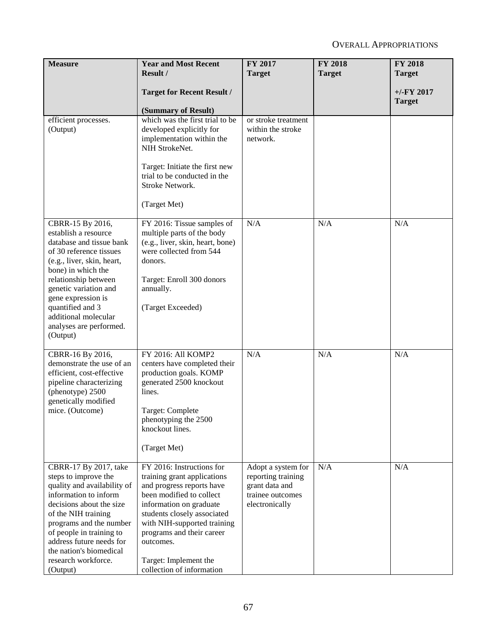| <b>Measure</b>                                                                                                                                                                                                                                                                                                | <b>Year and Most Recent</b><br>Result /                                                                                                                                                                                                                                                                    | <b>FY 2017</b><br><b>Target</b>                                                                  | <b>FY 2018</b><br><b>Target</b> | <b>FY 2018</b><br><b>Target</b> |
|---------------------------------------------------------------------------------------------------------------------------------------------------------------------------------------------------------------------------------------------------------------------------------------------------------------|------------------------------------------------------------------------------------------------------------------------------------------------------------------------------------------------------------------------------------------------------------------------------------------------------------|--------------------------------------------------------------------------------------------------|---------------------------------|---------------------------------|
|                                                                                                                                                                                                                                                                                                               | <b>Target for Recent Result /</b><br>(Summary of Result)                                                                                                                                                                                                                                                   |                                                                                                  |                                 | $+/-$ FY 2017<br><b>Target</b>  |
| efficient processes.<br>(Output)                                                                                                                                                                                                                                                                              | which was the first trial to be<br>developed explicitly for<br>implementation within the<br>NIH StrokeNet.<br>Target: Initiate the first new<br>trial to be conducted in the<br>Stroke Network.<br>(Target Met)                                                                                            | or stroke treatment<br>within the stroke<br>network.                                             |                                 |                                 |
| CBRR-15 By 2016,<br>establish a resource<br>database and tissue bank<br>of 30 reference tissues<br>(e.g., liver, skin, heart,<br>bone) in which the<br>relationship between<br>genetic variation and<br>gene expression is<br>quantified and 3<br>additional molecular<br>analyses are performed.<br>(Output) | FY 2016: Tissue samples of<br>multiple parts of the body<br>(e.g., liver, skin, heart, bone)<br>were collected from 544<br>donors.<br>Target: Enroll 300 donors<br>annually.<br>(Target Exceeded)                                                                                                          | N/A                                                                                              | N/A                             | N/A                             |
| CBRR-16 By 2016,<br>demonstrate the use of an<br>efficient, cost-effective<br>pipeline characterizing<br>(phenotype) 2500<br>genetically modified<br>mice. (Outcome)                                                                                                                                          | FY 2016: All KOMP2<br>centers have completed their<br>production goals. KOMP<br>generated 2500 knockout<br>lines.<br>Target: Complete<br>phenotyping the 2500<br>knockout lines.<br>(Target Met)                                                                                                           | N/A                                                                                              | N/A                             | N/A                             |
| CBRR-17 By 2017, take<br>steps to improve the<br>quality and availability of<br>information to inform<br>decisions about the size<br>of the NIH training<br>programs and the number<br>of people in training to<br>address future needs for<br>the nation's biomedical<br>research workforce.<br>(Output)     | FY 2016: Instructions for<br>training grant applications<br>and progress reports have<br>been modified to collect<br>information on graduate<br>students closely associated<br>with NIH-supported training<br>programs and their career<br>outcomes.<br>Target: Implement the<br>collection of information | Adopt a system for<br>reporting training<br>grant data and<br>trainee outcomes<br>electronically | N/A                             | N/A                             |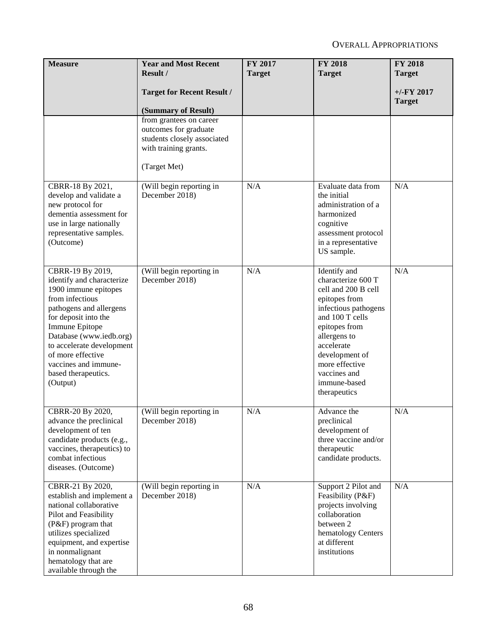| <b>Measure</b>                                                                                                                                                                                                                                                                                        | <b>Year and Most Recent</b><br>Result /                                                                                  | <b>FY 2017</b><br><b>Target</b> | <b>FY 2018</b><br><b>Target</b>                                                                                                                                                                                                                          | <b>FY 2018</b><br><b>Target</b> |
|-------------------------------------------------------------------------------------------------------------------------------------------------------------------------------------------------------------------------------------------------------------------------------------------------------|--------------------------------------------------------------------------------------------------------------------------|---------------------------------|----------------------------------------------------------------------------------------------------------------------------------------------------------------------------------------------------------------------------------------------------------|---------------------------------|
|                                                                                                                                                                                                                                                                                                       | <b>Target for Recent Result /</b><br>(Summary of Result)                                                                 |                                 |                                                                                                                                                                                                                                                          | $+/-$ FY 2017<br><b>Target</b>  |
|                                                                                                                                                                                                                                                                                                       | from grantees on career<br>outcomes for graduate<br>students closely associated<br>with training grants.<br>(Target Met) |                                 |                                                                                                                                                                                                                                                          |                                 |
| CBRR-18 By 2021,<br>develop and validate a<br>new protocol for<br>dementia assessment for<br>use in large nationally<br>representative samples.<br>(Outcome)                                                                                                                                          | (Will begin reporting in<br>December 2018)                                                                               | N/A                             | Evaluate data from<br>the initial<br>administration of a<br>harmonized<br>cognitive<br>assessment protocol<br>in a representative<br>US sample.                                                                                                          | N/A                             |
| CBRR-19 By 2019,<br>identify and characterize<br>1900 immune epitopes<br>from infectious<br>pathogens and allergens<br>for deposit into the<br>Immune Epitope<br>Database (www.iedb.org)<br>to accelerate development<br>of more effective<br>vaccines and immune-<br>based therapeutics.<br>(Output) | (Will begin reporting in<br>December 2018)                                                                               | N/A                             | Identify and<br>characterize 600 T<br>cell and 200 B cell<br>epitopes from<br>infectious pathogens<br>and 100 T cells<br>epitopes from<br>allergens to<br>accelerate<br>development of<br>more effective<br>vaccines and<br>immune-based<br>therapeutics | N/A                             |
| CBRR-20 By 2020,<br>advance the preclinical<br>development of ten<br>candidate products (e.g.,<br>vaccines, therapeutics) to<br>combat infectious<br>diseases. (Outcome)                                                                                                                              | (Will begin reporting in<br>December 2018)                                                                               | N/A                             | Advance the<br>preclinical<br>development of<br>three vaccine and/or<br>therapeutic<br>candidate products.                                                                                                                                               | N/A                             |
| CBRR-21 By 2020,<br>establish and implement a<br>national collaborative<br>Pilot and Feasibility<br>(P&F) program that<br>utilizes specialized<br>equipment, and expertise<br>in nonmalignant<br>hematology that are<br>available through the                                                         | (Will begin reporting in<br>December 2018)                                                                               | N/A                             | Support 2 Pilot and<br>Feasibility (P&F)<br>projects involving<br>collaboration<br>between 2<br>hematology Centers<br>at different<br>institutions                                                                                                       | N/A                             |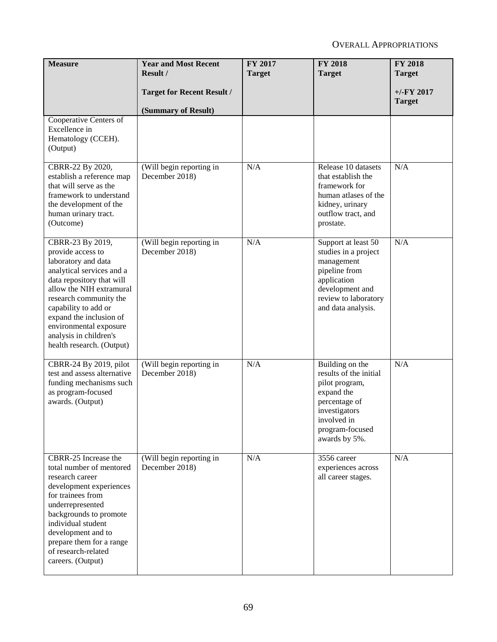| <b>Measure</b>                                                                                                                                                                                                                                                                                                   | <b>Year and Most Recent</b><br>Result /                  | FY 2017<br><b>Target</b> | <b>FY 2018</b><br><b>Target</b>                                                                                                                                | FY 2018<br><b>Target</b>       |
|------------------------------------------------------------------------------------------------------------------------------------------------------------------------------------------------------------------------------------------------------------------------------------------------------------------|----------------------------------------------------------|--------------------------|----------------------------------------------------------------------------------------------------------------------------------------------------------------|--------------------------------|
|                                                                                                                                                                                                                                                                                                                  | <b>Target for Recent Result /</b><br>(Summary of Result) |                          |                                                                                                                                                                | $+/-$ FY 2017<br><b>Target</b> |
| Cooperative Centers of<br>Excellence in<br>Hematology (CCEH).<br>(Output)                                                                                                                                                                                                                                        |                                                          |                          |                                                                                                                                                                |                                |
| CBRR-22 By 2020,<br>establish a reference map<br>that will serve as the<br>framework to understand<br>the development of the<br>human urinary tract.<br>(Outcome)                                                                                                                                                | (Will begin reporting in<br>December 2018)               | N/A                      | Release 10 datasets<br>that establish the<br>framework for<br>human atlases of the<br>kidney, urinary<br>outflow tract, and<br>prostate.                       | N/A                            |
| CBRR-23 By 2019,<br>provide access to<br>laboratory and data<br>analytical services and a<br>data repository that will<br>allow the NIH extramural<br>research community the<br>capability to add or<br>expand the inclusion of<br>environmental exposure<br>analysis in children's<br>health research. (Output) | (Will begin reporting in<br>December 2018)               | N/A                      | Support at least 50<br>studies in a project<br>management<br>pipeline from<br>application<br>development and<br>review to laboratory<br>and data analysis.     | N/A                            |
| CBRR-24 By 2019, pilot<br>test and assess alternative<br>funding mechanisms such<br>as program-focused<br>awards. (Output)                                                                                                                                                                                       | (Will begin reporting in<br>December 2018)               | N/A                      | Building on the<br>results of the initial<br>pilot program,<br>expand the<br>percentage of<br>investigators<br>involved in<br>program-focused<br>awards by 5%. | N/A                            |
| CBRR-25 Increase the<br>total number of mentored<br>research career<br>development experiences<br>for trainees from<br>underrepresented<br>backgrounds to promote<br>individual student<br>development and to<br>prepare them for a range<br>of research-related<br>careers. (Output)                            | (Will begin reporting in<br>December 2018)               | N/A                      | 3556 career<br>experiences across<br>all career stages.                                                                                                        | N/A                            |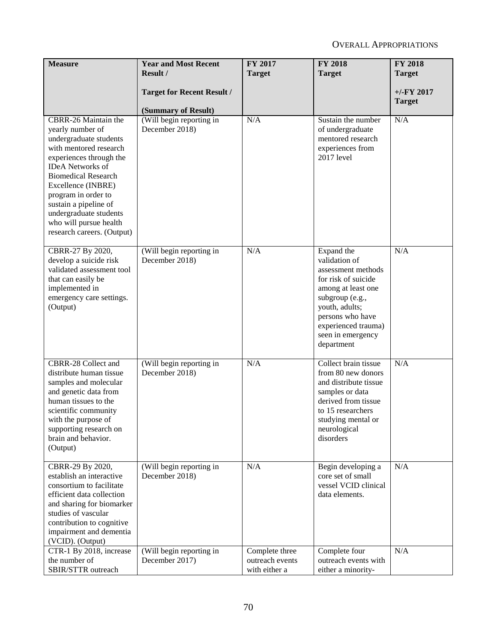| <b>Measure</b>                                                                                                                                                                                                                                                                                                                           | <b>Year and Most Recent</b><br>Result /                  | FY 2017<br><b>Target</b>                           | <b>FY 2018</b><br><b>Target</b>                                                                                                                                                                                   | <b>FY 2018</b><br><b>Target</b> |
|------------------------------------------------------------------------------------------------------------------------------------------------------------------------------------------------------------------------------------------------------------------------------------------------------------------------------------------|----------------------------------------------------------|----------------------------------------------------|-------------------------------------------------------------------------------------------------------------------------------------------------------------------------------------------------------------------|---------------------------------|
|                                                                                                                                                                                                                                                                                                                                          | <b>Target for Recent Result /</b><br>(Summary of Result) |                                                    |                                                                                                                                                                                                                   | $+/-$ FY 2017<br><b>Target</b>  |
| CBRR-26 Maintain the<br>yearly number of<br>undergraduate students<br>with mentored research<br>experiences through the<br><b>IDeA</b> Networks of<br><b>Biomedical Research</b><br>Excellence (INBRE)<br>program in order to<br>sustain a pipeline of<br>undergraduate students<br>who will pursue health<br>research careers. (Output) | (Will begin reporting in<br>December 2018)               | N/A                                                | Sustain the number<br>of undergraduate<br>mentored research<br>experiences from<br>2017 level                                                                                                                     | N/A                             |
| CBRR-27 By 2020,<br>develop a suicide risk<br>validated assessment tool<br>that can easily be<br>implemented in<br>emergency care settings.<br>(Output)                                                                                                                                                                                  | (Will begin reporting in<br>December 2018)               | N/A                                                | Expand the<br>validation of<br>assessment methods<br>for risk of suicide<br>among at least one<br>subgroup (e.g.,<br>youth, adults;<br>persons who have<br>experienced trauma)<br>seen in emergency<br>department | N/A                             |
| CBRR-28 Collect and<br>distribute human tissue<br>samples and molecular<br>and genetic data from<br>human tissues to the<br>scientific community<br>with the purpose of<br>supporting research on<br>brain and behavior.<br>(Output)                                                                                                     | (Will begin reporting in<br>December 2018)               | N/A                                                | Collect brain tissue<br>from 80 new donors<br>and distribute tissue<br>samples or data<br>derived from tissue<br>to 15 researchers<br>studying mental or<br>neurological<br>disorders                             | N/A                             |
| CBRR-29 By 2020,<br>establish an interactive<br>consortium to facilitate<br>efficient data collection<br>and sharing for biomarker<br>studies of vascular<br>contribution to cognitive<br>impairment and dementia<br>(VCID). (Output)                                                                                                    | (Will begin reporting in<br>December 2018)               | N/A                                                | Begin developing a<br>core set of small<br>vessel VCID clinical<br>data elements.                                                                                                                                 | N/A                             |
| CTR-1 By 2018, increase<br>the number of<br>SBIR/STTR outreach                                                                                                                                                                                                                                                                           | (Will begin reporting in<br>December 2017)               | Complete three<br>outreach events<br>with either a | Complete four<br>outreach events with<br>either a minority-                                                                                                                                                       | N/A                             |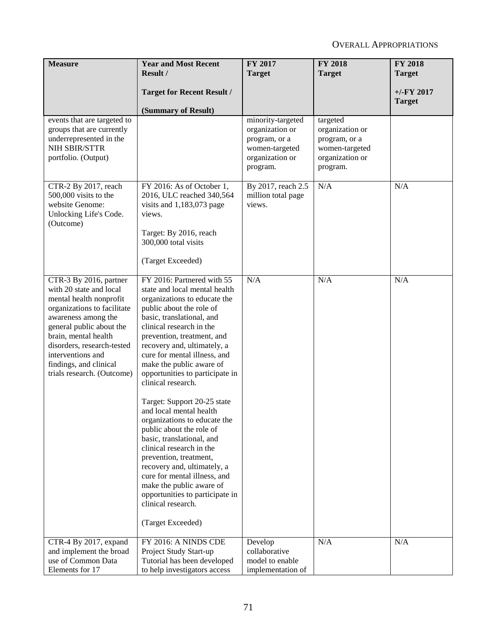| <b>Measure</b>                                                                                                                                                                                                                                                                                    | <b>Year and Most Recent</b>                                                                                                                                                                                                                                                                                                                                                                                                                                                                                                                                                                                                                                                                                                                          | <b>FY 2017</b>                                                                                         | <b>FY 2018</b>                                                                                | <b>FY 2018</b> |
|---------------------------------------------------------------------------------------------------------------------------------------------------------------------------------------------------------------------------------------------------------------------------------------------------|------------------------------------------------------------------------------------------------------------------------------------------------------------------------------------------------------------------------------------------------------------------------------------------------------------------------------------------------------------------------------------------------------------------------------------------------------------------------------------------------------------------------------------------------------------------------------------------------------------------------------------------------------------------------------------------------------------------------------------------------------|--------------------------------------------------------------------------------------------------------|-----------------------------------------------------------------------------------------------|----------------|
|                                                                                                                                                                                                                                                                                                   | Result /                                                                                                                                                                                                                                                                                                                                                                                                                                                                                                                                                                                                                                                                                                                                             | <b>Target</b>                                                                                          | <b>Target</b>                                                                                 | <b>Target</b>  |
|                                                                                                                                                                                                                                                                                                   | <b>Target for Recent Result /</b>                                                                                                                                                                                                                                                                                                                                                                                                                                                                                                                                                                                                                                                                                                                    |                                                                                                        |                                                                                               | $+/-$ FY 2017  |
|                                                                                                                                                                                                                                                                                                   | (Summary of Result)                                                                                                                                                                                                                                                                                                                                                                                                                                                                                                                                                                                                                                                                                                                                  |                                                                                                        |                                                                                               | <b>Target</b>  |
| events that are targeted to<br>groups that are currently<br>underrepresented in the<br>NIH SBIR/STTR<br>portfolio. (Output)                                                                                                                                                                       |                                                                                                                                                                                                                                                                                                                                                                                                                                                                                                                                                                                                                                                                                                                                                      | minority-targeted<br>organization or<br>program, or a<br>women-targeted<br>organization or<br>program. | targeted<br>organization or<br>program, or a<br>women-targeted<br>organization or<br>program. |                |
| CTR-2 By 2017, reach<br>500,000 visits to the<br>website Genome:<br>Unlocking Life's Code.<br>(Outcome)                                                                                                                                                                                           | FY 2016: As of October 1,<br>2016, ULC reached 340,564<br>visits and $1,183,073$ page<br>views.<br>Target: By 2016, reach<br>300,000 total visits<br>(Target Exceeded)                                                                                                                                                                                                                                                                                                                                                                                                                                                                                                                                                                               | By 2017, reach 2.5<br>million total page<br>views.                                                     | N/A                                                                                           | N/A            |
| CTR-3 By 2016, partner<br>with 20 state and local<br>mental health nonprofit<br>organizations to facilitate<br>awareness among the<br>general public about the<br>brain, mental health<br>disorders, research-tested<br>interventions and<br>findings, and clinical<br>trials research. (Outcome) | FY 2016: Partnered with 55<br>state and local mental health<br>organizations to educate the<br>public about the role of<br>basic, translational, and<br>clinical research in the<br>prevention, treatment, and<br>recovery and, ultimately, a<br>cure for mental illness, and<br>make the public aware of<br>opportunities to participate in<br>clinical research.<br>Target: Support 20-25 state<br>and local mental health<br>organizations to educate the<br>public about the role of<br>basic, translational, and<br>clinical research in the<br>prevention, treatment,<br>recovery and, ultimately, a<br>cure for mental illness, and<br>make the public aware of<br>opportunities to participate in<br>clinical research.<br>(Target Exceeded) | N/A                                                                                                    | N/A                                                                                           | N/A            |
| CTR-4 By 2017, expand<br>and implement the broad<br>use of Common Data<br>Elements for 17                                                                                                                                                                                                         | FY 2016: A NINDS CDE<br>Project Study Start-up<br>Tutorial has been developed<br>to help investigators access                                                                                                                                                                                                                                                                                                                                                                                                                                                                                                                                                                                                                                        | Develop<br>collaborative<br>model to enable<br>implementation of                                       | N/A                                                                                           | N/A            |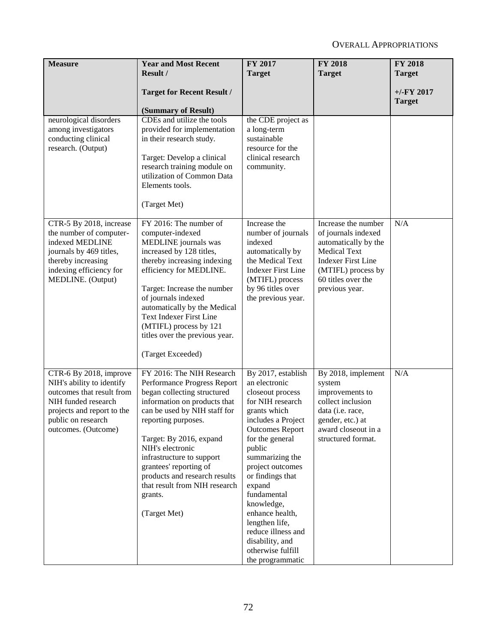| <b>Measure</b>                                                                                                                                                                     | <b>Year and Most Recent</b>                                                                                                                                                                                                                                                                                                                                                       | FY 2017                                                                                                                                                                                                                                                                                                                                                                                           | <b>FY 2018</b>                                                                                                                                                                       | <b>FY 2018</b>                 |
|------------------------------------------------------------------------------------------------------------------------------------------------------------------------------------|-----------------------------------------------------------------------------------------------------------------------------------------------------------------------------------------------------------------------------------------------------------------------------------------------------------------------------------------------------------------------------------|---------------------------------------------------------------------------------------------------------------------------------------------------------------------------------------------------------------------------------------------------------------------------------------------------------------------------------------------------------------------------------------------------|--------------------------------------------------------------------------------------------------------------------------------------------------------------------------------------|--------------------------------|
|                                                                                                                                                                                    | Result /                                                                                                                                                                                                                                                                                                                                                                          | <b>Target</b>                                                                                                                                                                                                                                                                                                                                                                                     | <b>Target</b>                                                                                                                                                                        | <b>Target</b>                  |
|                                                                                                                                                                                    | <b>Target for Recent Result /</b>                                                                                                                                                                                                                                                                                                                                                 |                                                                                                                                                                                                                                                                                                                                                                                                   |                                                                                                                                                                                      | $+/-$ FY 2017<br><b>Target</b> |
|                                                                                                                                                                                    | (Summary of Result)                                                                                                                                                                                                                                                                                                                                                               |                                                                                                                                                                                                                                                                                                                                                                                                   |                                                                                                                                                                                      |                                |
| neurological disorders<br>among investigators<br>conducting clinical<br>research. (Output)                                                                                         | CDEs and utilize the tools<br>provided for implementation<br>in their research study.<br>Target: Develop a clinical<br>research training module on<br>utilization of Common Data<br>Elements tools.<br>(Target Met)                                                                                                                                                               | the CDE project as<br>a long-term<br>sustainable<br>resource for the<br>clinical research<br>community.                                                                                                                                                                                                                                                                                           |                                                                                                                                                                                      |                                |
| CTR-5 By 2018, increase<br>the number of computer-<br>indexed MEDLINE<br>journals by 469 titles,<br>thereby increasing<br>indexing efficiency for<br>MEDLINE. (Output)             | FY 2016: The number of<br>computer-indexed<br>MEDLINE journals was<br>increased by 128 titles,<br>thereby increasing indexing<br>efficiency for MEDLINE.<br>Target: Increase the number<br>of journals indexed<br>automatically by the Medical<br><b>Text Indexer First Line</b><br>(MTIFL) process by 121<br>titles over the previous year.<br>(Target Exceeded)                 | Increase the<br>number of journals<br>indexed<br>automatically by<br>the Medical Text<br><b>Indexer First Line</b><br>(MTIFL) process<br>by 96 titles over<br>the previous year.                                                                                                                                                                                                                  | Increase the number<br>of journals indexed<br>automatically by the<br><b>Medical Text</b><br><b>Indexer First Line</b><br>(MTIFL) process by<br>60 titles over the<br>previous year. | N/A                            |
| CTR-6 By 2018, improve<br>NIH's ability to identify<br>outcomes that result from<br>NIH funded research<br>projects and report to the<br>public on research<br>outcomes. (Outcome) | FY 2016: The NIH Research<br>Performance Progress Report<br>began collecting structured<br>information on products that<br>can be used by NIH staff for<br>reporting purposes.<br>Target: By 2016, expand<br>NIH's electronic<br>infrastructure to support<br>grantees' reporting of<br>products and research results<br>that result from NIH research<br>grants.<br>(Target Met) | By 2017, establish<br>an electronic<br>closeout process<br>for NIH research<br>grants which<br>includes a Project<br><b>Outcomes Report</b><br>for the general<br>public<br>summarizing the<br>project outcomes<br>or findings that<br>expand<br>fundamental<br>knowledge,<br>enhance health,<br>lengthen life,<br>reduce illness and<br>disability, and<br>otherwise fulfill<br>the programmatic | By 2018, implement<br>system<br>improvements to<br>collect inclusion<br>data ( <i>i.e.</i> race,<br>gender, etc.) at<br>award closeout in a<br>structured format.                    | N/A                            |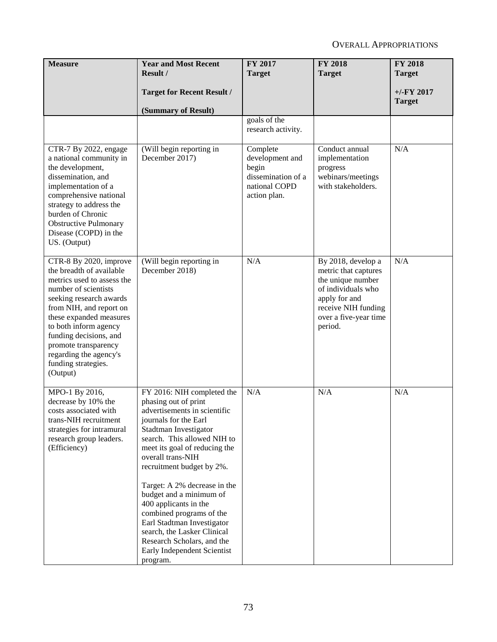| <b>Measure</b>                                                                                                                                                                                                                                                                                                                    | <b>Year and Most Recent</b>                                                                                                                                                                                                                                                                                                                                                                                                                                                                                  | FY 2017                                                                                     | <b>FY 2018</b>                                                                                                                                                    | <b>FY 2018</b>                 |
|-----------------------------------------------------------------------------------------------------------------------------------------------------------------------------------------------------------------------------------------------------------------------------------------------------------------------------------|--------------------------------------------------------------------------------------------------------------------------------------------------------------------------------------------------------------------------------------------------------------------------------------------------------------------------------------------------------------------------------------------------------------------------------------------------------------------------------------------------------------|---------------------------------------------------------------------------------------------|-------------------------------------------------------------------------------------------------------------------------------------------------------------------|--------------------------------|
|                                                                                                                                                                                                                                                                                                                                   | Result /                                                                                                                                                                                                                                                                                                                                                                                                                                                                                                     | <b>Target</b>                                                                               | <b>Target</b>                                                                                                                                                     | <b>Target</b>                  |
|                                                                                                                                                                                                                                                                                                                                   | <b>Target for Recent Result /</b>                                                                                                                                                                                                                                                                                                                                                                                                                                                                            |                                                                                             |                                                                                                                                                                   | $+/-$ FY 2017<br><b>Target</b> |
|                                                                                                                                                                                                                                                                                                                                   | (Summary of Result)                                                                                                                                                                                                                                                                                                                                                                                                                                                                                          |                                                                                             |                                                                                                                                                                   |                                |
|                                                                                                                                                                                                                                                                                                                                   |                                                                                                                                                                                                                                                                                                                                                                                                                                                                                                              | goals of the<br>research activity.                                                          |                                                                                                                                                                   |                                |
| CTR-7 By 2022, engage<br>a national community in<br>the development,<br>dissemination, and<br>implementation of a<br>comprehensive national<br>strategy to address the<br>burden of Chronic<br><b>Obstructive Pulmonary</b><br>Disease (COPD) in the<br>US. (Output)                                                              | $\sqrt{\text{Will}}$ begin reporting in<br>December 2017)                                                                                                                                                                                                                                                                                                                                                                                                                                                    | Complete<br>development and<br>begin<br>dissemination of a<br>national COPD<br>action plan. | Conduct annual<br>implementation<br>progress<br>webinars/meetings<br>with stakeholders.                                                                           | N/A                            |
| CTR-8 By 2020, improve<br>the breadth of available<br>metrics used to assess the<br>number of scientists<br>seeking research awards<br>from NIH, and report on<br>these expanded measures<br>to both inform agency<br>funding decisions, and<br>promote transparency<br>regarding the agency's<br>funding strategies.<br>(Output) | (Will begin reporting in<br>December 2018)                                                                                                                                                                                                                                                                                                                                                                                                                                                                   | N/A                                                                                         | By 2018, develop a<br>metric that captures<br>the unique number<br>of individuals who<br>apply for and<br>receive NIH funding<br>over a five-year time<br>period. | N/A                            |
| MPO-1 By 2016,<br>decrease by 10% the<br>costs associated with<br>trans-NIH recruitment<br>strategies for intramural<br>research group leaders.<br>(Efficiency)                                                                                                                                                                   | FY 2016: NIH completed the<br>phasing out of print<br>advertisements in scientific<br>journals for the Earl<br>Stadtman Investigator<br>search. This allowed NIH to<br>meet its goal of reducing the<br>overall trans-NIH<br>recruitment budget by 2%.<br>Target: A 2% decrease in the<br>budget and a minimum of<br>400 applicants in the<br>combined programs of the<br>Earl Stadtman Investigator<br>search, the Lasker Clinical<br>Research Scholars, and the<br>Early Independent Scientist<br>program. | N/A                                                                                         | N/A                                                                                                                                                               | N/A                            |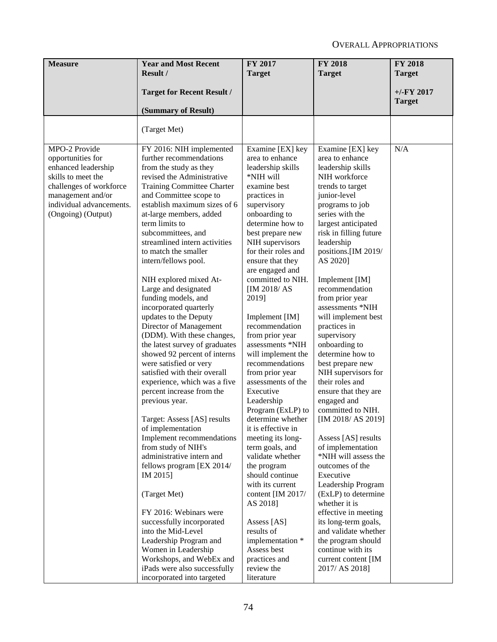| <b>Measure</b>                                                                                                                                                                    | <b>Year and Most Recent</b><br>Result /                                                                                                                                                                                                                                                                                                                                                                                                                                                                                                                                                                                                                                                                                                                                                                                                                                                                                                                                                                                                                                                                                                                                      | FY 2017<br><b>Target</b>                                                                                                                                                                                                                                                                                                                                                                                                                                                                                                                                                                                                                                                                                                                                                                                                             | <b>FY 2018</b><br><b>Target</b>                                                                                                                                                                                                                                                                                                                                                                                                                                                                                                                                                                                                                                                                                                                                                                                                                                                                           | <b>FY 2018</b><br><b>Target</b> |
|-----------------------------------------------------------------------------------------------------------------------------------------------------------------------------------|------------------------------------------------------------------------------------------------------------------------------------------------------------------------------------------------------------------------------------------------------------------------------------------------------------------------------------------------------------------------------------------------------------------------------------------------------------------------------------------------------------------------------------------------------------------------------------------------------------------------------------------------------------------------------------------------------------------------------------------------------------------------------------------------------------------------------------------------------------------------------------------------------------------------------------------------------------------------------------------------------------------------------------------------------------------------------------------------------------------------------------------------------------------------------|--------------------------------------------------------------------------------------------------------------------------------------------------------------------------------------------------------------------------------------------------------------------------------------------------------------------------------------------------------------------------------------------------------------------------------------------------------------------------------------------------------------------------------------------------------------------------------------------------------------------------------------------------------------------------------------------------------------------------------------------------------------------------------------------------------------------------------------|-----------------------------------------------------------------------------------------------------------------------------------------------------------------------------------------------------------------------------------------------------------------------------------------------------------------------------------------------------------------------------------------------------------------------------------------------------------------------------------------------------------------------------------------------------------------------------------------------------------------------------------------------------------------------------------------------------------------------------------------------------------------------------------------------------------------------------------------------------------------------------------------------------------|---------------------------------|
|                                                                                                                                                                                   |                                                                                                                                                                                                                                                                                                                                                                                                                                                                                                                                                                                                                                                                                                                                                                                                                                                                                                                                                                                                                                                                                                                                                                              |                                                                                                                                                                                                                                                                                                                                                                                                                                                                                                                                                                                                                                                                                                                                                                                                                                      |                                                                                                                                                                                                                                                                                                                                                                                                                                                                                                                                                                                                                                                                                                                                                                                                                                                                                                           |                                 |
|                                                                                                                                                                                   | <b>Target for Recent Result /</b>                                                                                                                                                                                                                                                                                                                                                                                                                                                                                                                                                                                                                                                                                                                                                                                                                                                                                                                                                                                                                                                                                                                                            |                                                                                                                                                                                                                                                                                                                                                                                                                                                                                                                                                                                                                                                                                                                                                                                                                                      |                                                                                                                                                                                                                                                                                                                                                                                                                                                                                                                                                                                                                                                                                                                                                                                                                                                                                                           | $+/-$ FY 2017<br><b>Target</b>  |
|                                                                                                                                                                                   | (Summary of Result)                                                                                                                                                                                                                                                                                                                                                                                                                                                                                                                                                                                                                                                                                                                                                                                                                                                                                                                                                                                                                                                                                                                                                          |                                                                                                                                                                                                                                                                                                                                                                                                                                                                                                                                                                                                                                                                                                                                                                                                                                      |                                                                                                                                                                                                                                                                                                                                                                                                                                                                                                                                                                                                                                                                                                                                                                                                                                                                                                           |                                 |
|                                                                                                                                                                                   | (Target Met)                                                                                                                                                                                                                                                                                                                                                                                                                                                                                                                                                                                                                                                                                                                                                                                                                                                                                                                                                                                                                                                                                                                                                                 |                                                                                                                                                                                                                                                                                                                                                                                                                                                                                                                                                                                                                                                                                                                                                                                                                                      |                                                                                                                                                                                                                                                                                                                                                                                                                                                                                                                                                                                                                                                                                                                                                                                                                                                                                                           |                                 |
| MPO-2 Provide<br>opportunities for<br>enhanced leadership<br>skills to meet the<br>challenges of workforce<br>management and/or<br>individual advancements.<br>(Ongoing) (Output) | FY 2016: NIH implemented<br>further recommendations<br>from the study as they<br>revised the Administrative<br>Training Committee Charter<br>and Committee scope to<br>establish maximum sizes of 6<br>at-large members, added<br>term limits to<br>subcommittees, and<br>streamlined intern activities<br>to match the smaller<br>intern/fellows pool.<br>NIH explored mixed At-<br>Large and designated<br>funding models, and<br>incorporated quarterly<br>updates to the Deputy<br>Director of Management<br>(DDM). With these changes,<br>the latest survey of graduates<br>showed 92 percent of interns<br>were satisfied or very<br>satisfied with their overall<br>experience, which was a five<br>percent increase from the<br>previous year.<br>Target: Assess [AS] results<br>of implementation<br>Implement recommendations<br>from study of NIH's<br>administrative intern and<br>fellows program [EX 2014/<br>IM 2015]<br>(Target Met)<br>FY 2016: Webinars were<br>successfully incorporated<br>into the Mid-Level<br>Leadership Program and<br>Women in Leadership<br>Workshops, and WebEx and<br>iPads were also successfully<br>incorporated into targeted | Examine [EX] key<br>area to enhance<br>leadership skills<br>*NIH will<br>examine best<br>practices in<br>supervisory<br>onboarding to<br>determine how to<br>best prepare new<br>NIH supervisors<br>for their roles and<br>ensure that they<br>are engaged and<br>committed to NIH.<br>[IM 2018/AS]<br>2019]<br>Implement [IM]<br>recommendation<br>from prior year<br>assessments *NIH<br>will implement the<br>recommendations<br>from prior year<br>assessments of the<br>Executive<br>Leadership<br>Program (ExLP) to<br>determine whether<br>it is effective in<br>meeting its long-<br>term goals, and<br>validate whether<br>the program<br>should continue<br>with its current<br>content [IM 2017/<br>AS 2018]<br>Assess [AS]<br>results of<br>implementation *<br>Assess best<br>practices and<br>review the<br>literature | Examine [EX] key<br>area to enhance<br>leadership skills<br>NIH workforce<br>trends to target<br>junior-level<br>programs to job<br>series with the<br>largest anticipated<br>risk in filling future<br>leadership<br>positions.[IM 2019/<br>AS 2020]<br>Implement [IM]<br>recommendation<br>from prior year<br>assessments *NIH<br>will implement best<br>practices in<br>supervisory<br>onboarding to<br>determine how to<br>best prepare new<br>NIH supervisors for<br>their roles and<br>ensure that they are<br>engaged and<br>committed to NIH.<br>[IM 2018/ AS 2019]<br>Assess [AS] results<br>of implementation<br>*NIH will assess the<br>outcomes of the<br>Executive<br>Leadership Program<br>(ExLP) to determine<br>whether it is<br>effective in meeting<br>its long-term goals,<br>and validate whether<br>the program should<br>continue with its<br>current content [IM<br>2017/ AS 2018] | N/A                             |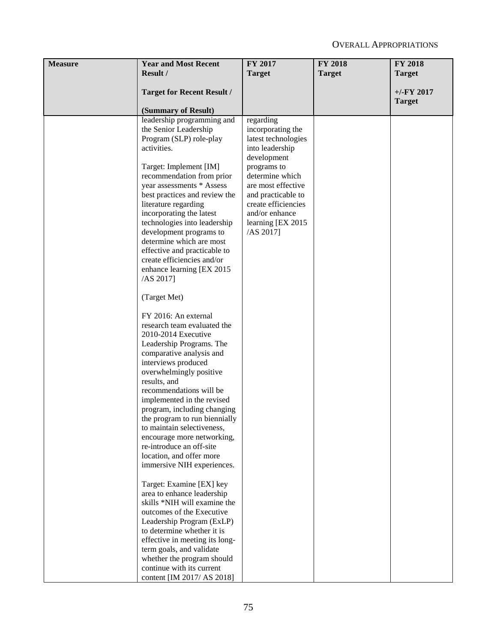| <b>Measure</b> | <b>Year and Most Recent</b>                               | <b>FY 2017</b>                 | <b>FY 2018</b> | <b>FY 2018</b> |
|----------------|-----------------------------------------------------------|--------------------------------|----------------|----------------|
|                | Result /                                                  | <b>Target</b>                  | <b>Target</b>  | <b>Target</b>  |
|                | <b>Target for Recent Result /</b>                         |                                |                | $+/-FY$ 2017   |
|                |                                                           |                                |                | <b>Target</b>  |
|                | (Summary of Result)                                       |                                |                |                |
|                | leadership programming and                                | regarding                      |                |                |
|                | the Senior Leadership                                     | incorporating the              |                |                |
|                | Program (SLP) role-play                                   | latest technologies            |                |                |
|                | activities.                                               | into leadership                |                |                |
|                |                                                           | development                    |                |                |
|                | Target: Implement [IM]<br>recommendation from prior       | programs to<br>determine which |                |                |
|                | year assessments * Assess                                 | are most effective             |                |                |
|                | best practices and review the                             | and practicable to             |                |                |
|                | literature regarding                                      | create efficiencies            |                |                |
|                | incorporating the latest                                  | and/or enhance                 |                |                |
|                | technologies into leadership                              | learning [EX 2015]             |                |                |
|                | development programs to                                   | $/AS$ 2017]                    |                |                |
|                | determine which are most                                  |                                |                |                |
|                | effective and practicable to                              |                                |                |                |
|                | create efficiencies and/or                                |                                |                |                |
|                | enhance learning [EX 2015                                 |                                |                |                |
|                | $/AS$ 2017]                                               |                                |                |                |
|                | (Target Met)                                              |                                |                |                |
|                | FY 2016: An external                                      |                                |                |                |
|                | research team evaluated the<br>2010-2014 Executive        |                                |                |                |
|                | Leadership Programs. The                                  |                                |                |                |
|                | comparative analysis and                                  |                                |                |                |
|                | interviews produced                                       |                                |                |                |
|                | overwhelmingly positive                                   |                                |                |                |
|                | results, and                                              |                                |                |                |
|                | recommendations will be                                   |                                |                |                |
|                | implemented in the revised<br>program, including changing |                                |                |                |
|                | the program to run biennially                             |                                |                |                |
|                | to maintain selectiveness,                                |                                |                |                |
|                | encourage more networking,                                |                                |                |                |
|                | re-introduce an off-site                                  |                                |                |                |
|                | location, and offer more                                  |                                |                |                |
|                | immersive NIH experiences.                                |                                |                |                |
|                | Target: Examine [EX] key                                  |                                |                |                |
|                | area to enhance leadership                                |                                |                |                |
|                | skills *NIH will examine the                              |                                |                |                |
|                | outcomes of the Executive                                 |                                |                |                |
|                | Leadership Program (ExLP)                                 |                                |                |                |
|                | to determine whether it is                                |                                |                |                |
|                | effective in meeting its long-                            |                                |                |                |
|                | term goals, and validate                                  |                                |                |                |
|                | whether the program should<br>continue with its current   |                                |                |                |
|                | content [IM 2017/ AS 2018]                                |                                |                |                |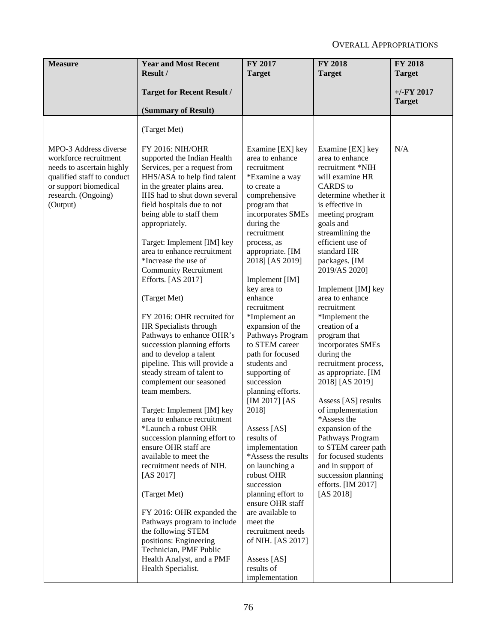| <b>Measure</b>                                                                                                                                                        | <b>Year and Most Recent</b><br>Result /                                                                                                                                                                                                                                                                                                                                                                                                                                                                                                                                                                                                                                                                                                                                                                                                                                                                                                                                                                                                                                                                     | FY 2017<br><b>Target</b>                                                                                                                                                                                                                                                                                                                                                                                                                                                                                                                                                                                                                                                                                                                                                    | <b>FY 2018</b><br><b>Target</b>                                                                                                                                                                                                                                                                                                                                                                                                                                                                                                                                                                                                                                                                                    | <b>FY 2018</b><br><b>Target</b> |
|-----------------------------------------------------------------------------------------------------------------------------------------------------------------------|-------------------------------------------------------------------------------------------------------------------------------------------------------------------------------------------------------------------------------------------------------------------------------------------------------------------------------------------------------------------------------------------------------------------------------------------------------------------------------------------------------------------------------------------------------------------------------------------------------------------------------------------------------------------------------------------------------------------------------------------------------------------------------------------------------------------------------------------------------------------------------------------------------------------------------------------------------------------------------------------------------------------------------------------------------------------------------------------------------------|-----------------------------------------------------------------------------------------------------------------------------------------------------------------------------------------------------------------------------------------------------------------------------------------------------------------------------------------------------------------------------------------------------------------------------------------------------------------------------------------------------------------------------------------------------------------------------------------------------------------------------------------------------------------------------------------------------------------------------------------------------------------------------|--------------------------------------------------------------------------------------------------------------------------------------------------------------------------------------------------------------------------------------------------------------------------------------------------------------------------------------------------------------------------------------------------------------------------------------------------------------------------------------------------------------------------------------------------------------------------------------------------------------------------------------------------------------------------------------------------------------------|---------------------------------|
|                                                                                                                                                                       |                                                                                                                                                                                                                                                                                                                                                                                                                                                                                                                                                                                                                                                                                                                                                                                                                                                                                                                                                                                                                                                                                                             |                                                                                                                                                                                                                                                                                                                                                                                                                                                                                                                                                                                                                                                                                                                                                                             |                                                                                                                                                                                                                                                                                                                                                                                                                                                                                                                                                                                                                                                                                                                    |                                 |
|                                                                                                                                                                       | <b>Target for Recent Result /</b>                                                                                                                                                                                                                                                                                                                                                                                                                                                                                                                                                                                                                                                                                                                                                                                                                                                                                                                                                                                                                                                                           |                                                                                                                                                                                                                                                                                                                                                                                                                                                                                                                                                                                                                                                                                                                                                                             |                                                                                                                                                                                                                                                                                                                                                                                                                                                                                                                                                                                                                                                                                                                    | $+/-$ FY 2017<br><b>Target</b>  |
|                                                                                                                                                                       | (Summary of Result)                                                                                                                                                                                                                                                                                                                                                                                                                                                                                                                                                                                                                                                                                                                                                                                                                                                                                                                                                                                                                                                                                         |                                                                                                                                                                                                                                                                                                                                                                                                                                                                                                                                                                                                                                                                                                                                                                             |                                                                                                                                                                                                                                                                                                                                                                                                                                                                                                                                                                                                                                                                                                                    |                                 |
|                                                                                                                                                                       | (Target Met)                                                                                                                                                                                                                                                                                                                                                                                                                                                                                                                                                                                                                                                                                                                                                                                                                                                                                                                                                                                                                                                                                                |                                                                                                                                                                                                                                                                                                                                                                                                                                                                                                                                                                                                                                                                                                                                                                             |                                                                                                                                                                                                                                                                                                                                                                                                                                                                                                                                                                                                                                                                                                                    |                                 |
| MPO-3 Address diverse<br>workforce recruitment<br>needs to ascertain highly<br>qualified staff to conduct<br>or support biomedical<br>research. (Ongoing)<br>(Output) | FY 2016: NIH/OHR<br>supported the Indian Health<br>Services, per a request from<br>HHS/ASA to help find talent<br>in the greater plains area.<br>IHS had to shut down several<br>field hospitals due to not<br>being able to staff them<br>appropriately.<br>Target: Implement [IM] key<br>area to enhance recruitment<br>*Increase the use of<br><b>Community Recruitment</b><br>Efforts. [AS 2017]<br>(Target Met)<br>FY 2016: OHR recruited for<br>HR Specialists through<br>Pathways to enhance OHR's<br>succession planning efforts<br>and to develop a talent<br>pipeline. This will provide a<br>steady stream of talent to<br>complement our seasoned<br>team members.<br>Target: Implement [IM] key<br>area to enhance recruitment<br>*Launch a robust OHR<br>succession planning effort to<br>ensure OHR staff are<br>available to meet the<br>recruitment needs of NIH.<br>[AS $2017$ ]<br>(Target Met)<br>FY 2016: OHR expanded the<br>Pathways program to include<br>the following STEM<br>positions: Engineering<br>Technician, PMF Public<br>Health Analyst, and a PMF<br>Health Specialist. | Examine [EX] key<br>area to enhance<br>recruitment<br>*Examine a way<br>to create a<br>comprehensive<br>program that<br>incorporates SMEs<br>during the<br>recruitment<br>process, as<br>appropriate. [IM<br>2018] [AS 2019]<br>Implement [IM]<br>key area to<br>enhance<br>recruitment<br>*Implement an<br>expansion of the<br>Pathways Program<br>to STEM career<br>path for focused<br>students and<br>supporting of<br>succession<br>planning efforts.<br>[IM 2017] [AS<br>2018]<br>Assess [AS]<br>results of<br>implementation<br>*Assess the results<br>on launching a<br>robust OHR<br>succession<br>planning effort to<br>ensure OHR staff<br>are available to<br>meet the<br>recruitment needs<br>of NIH. [AS 2017]<br>Assess [AS]<br>results of<br>implementation | Examine [EX] key<br>area to enhance<br>recruitment *NIH<br>will examine HR<br><b>CARDS</b> to<br>determine whether it<br>is effective in<br>meeting program<br>goals and<br>streamlining the<br>efficient use of<br>standard HR<br>packages. [IM<br>2019/AS 2020]<br>Implement [IM] key<br>area to enhance<br>recruitment<br>*Implement the<br>creation of a<br>program that<br>incorporates SMEs<br>during the<br>recruitment process,<br>as appropriate. [IM<br>2018] [AS 2019]<br>Assess [AS] results<br>of implementation<br>*Assess the<br>expansion of the<br>Pathways Program<br>to STEM career path<br>for focused students<br>and in support of<br>succession planning<br>efforts. [IM 2017]<br>[AS 2018] | N/A                             |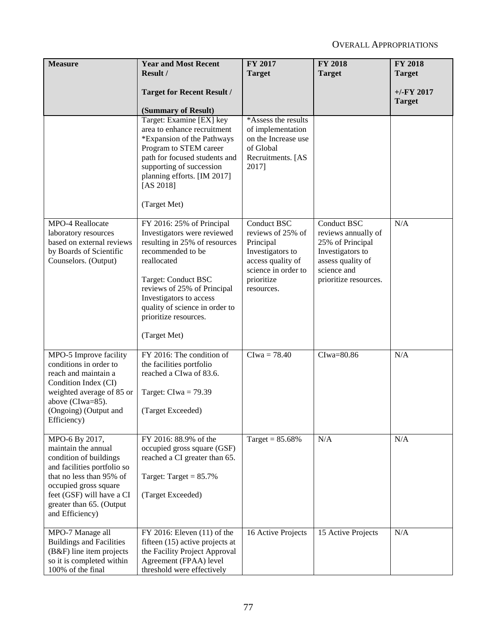| <b>Measure</b>                                        | <b>Year and Most Recent</b>                                  | FY 2017                           | <b>FY 2018</b>                          | <b>FY 2018</b> |
|-------------------------------------------------------|--------------------------------------------------------------|-----------------------------------|-----------------------------------------|----------------|
|                                                       | Result /                                                     | <b>Target</b>                     | <b>Target</b>                           | <b>Target</b>  |
|                                                       | <b>Target for Recent Result /</b>                            |                                   |                                         | $+/-FY$ 2017   |
|                                                       |                                                              |                                   |                                         | <b>Target</b>  |
|                                                       | (Summary of Result)<br>Target: Examine [EX] key              | *Assess the results               |                                         |                |
|                                                       | area to enhance recruitment                                  | of implementation                 |                                         |                |
|                                                       | *Expansion of the Pathways                                   | on the Increase use               |                                         |                |
|                                                       | Program to STEM career                                       | of Global                         |                                         |                |
|                                                       | path for focused students and<br>supporting of succession    | Recruitments. [AS<br>2017]        |                                         |                |
|                                                       | planning efforts. [IM 2017]                                  |                                   |                                         |                |
|                                                       | [AS 2018]                                                    |                                   |                                         |                |
|                                                       | (Target Met)                                                 |                                   |                                         |                |
|                                                       |                                                              |                                   |                                         |                |
| MPO-4 Reallocate                                      | FY 2016: 25% of Principal                                    | Conduct BSC                       | Conduct BSC                             | N/A            |
| laboratory resources<br>based on external reviews     | Investigators were reviewed<br>resulting in 25% of resources | reviews of 25% of<br>Principal    | reviews annually of<br>25% of Principal |                |
| by Boards of Scientific                               | recommended to be                                            | Investigators to                  | Investigators to                        |                |
| Counselors. (Output)                                  | reallocated                                                  | access quality of                 | assess quality of                       |                |
|                                                       | Target: Conduct BSC                                          | science in order to<br>prioritize | science and<br>prioritize resources.    |                |
|                                                       | reviews of 25% of Principal                                  | resources.                        |                                         |                |
|                                                       | Investigators to access                                      |                                   |                                         |                |
|                                                       | quality of science in order to                               |                                   |                                         |                |
|                                                       | prioritize resources.                                        |                                   |                                         |                |
|                                                       | (Target Met)                                                 |                                   |                                         |                |
| MPO-5 Improve facility                                | FY 2016: The condition of                                    | $Clwa = 78.40$                    | CIwa=80.86                              | N/A            |
| conditions in order to<br>reach and maintain a        | the facilities portfolio<br>reached a CIwa of 83.6.          |                                   |                                         |                |
| Condition Index (CI)                                  |                                                              |                                   |                                         |                |
| weighted average of 85 or                             | Target: $Clwa = 79.39$                                       |                                   |                                         |                |
| above (CIwa=85).                                      | (Target Exceeded)                                            |                                   |                                         |                |
| (Ongoing) (Output and<br>Efficiency)                  |                                                              |                                   |                                         |                |
|                                                       |                                                              |                                   |                                         |                |
| MPO-6 By 2017,<br>maintain the annual                 | FY 2016: 88.9% of the<br>occupied gross square (GSF)         | Target = $85.68\%$                | N/A                                     | N/A            |
| condition of buildings                                | reached a CI greater than 65.                                |                                   |                                         |                |
| and facilities portfolio so                           |                                                              |                                   |                                         |                |
| that no less than 95% of<br>occupied gross square     | Target: Target = $85.7\%$                                    |                                   |                                         |                |
| feet (GSF) will have a CI                             | (Target Exceeded)                                            |                                   |                                         |                |
| greater than 65. (Output                              |                                                              |                                   |                                         |                |
| and Efficiency)                                       |                                                              |                                   |                                         |                |
| MPO-7 Manage all                                      | FY 2016: Eleven (11) of the                                  | 16 Active Projects                | 15 Active Projects                      | N/A            |
| <b>Buildings and Facilities</b>                       | fifteen (15) active projects at                              |                                   |                                         |                |
| (B&F) line item projects<br>so it is completed within | the Facility Project Approval<br>Agreement (FPAA) level      |                                   |                                         |                |
| 100% of the final                                     | threshold were effectively                                   |                                   |                                         |                |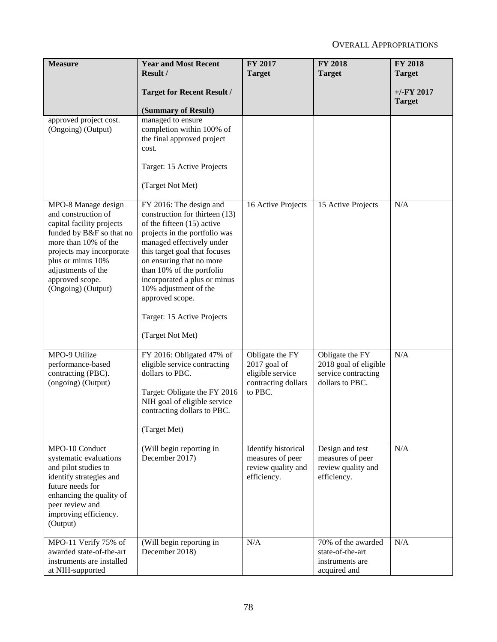| <b>Measure</b>                                                                                                                                                                                                                              | <b>Year and Most Recent</b><br>Result /                                                                                                                                                                                                                                                                                                                                       | FY 2017<br><b>Target</b>                                                              | <b>FY 2018</b><br><b>Target</b>                                                    | <b>FY 2018</b><br><b>Target</b> |
|---------------------------------------------------------------------------------------------------------------------------------------------------------------------------------------------------------------------------------------------|-------------------------------------------------------------------------------------------------------------------------------------------------------------------------------------------------------------------------------------------------------------------------------------------------------------------------------------------------------------------------------|---------------------------------------------------------------------------------------|------------------------------------------------------------------------------------|---------------------------------|
|                                                                                                                                                                                                                                             | <b>Target for Recent Result /</b><br>(Summary of Result)                                                                                                                                                                                                                                                                                                                      |                                                                                       |                                                                                    | $+/-FY$ 2017<br><b>Target</b>   |
| approved project cost.<br>(Ongoing) (Output)                                                                                                                                                                                                | managed to ensure<br>completion within 100% of<br>the final approved project<br>cost.<br>Target: 15 Active Projects<br>(Target Not Met)                                                                                                                                                                                                                                       |                                                                                       |                                                                                    |                                 |
| MPO-8 Manage design<br>and construction of<br>capital facility projects<br>funded by B&F so that no<br>more than 10% of the<br>projects may incorporate<br>plus or minus 10%<br>adjustments of the<br>approved scope.<br>(Ongoing) (Output) | FY 2016: The design and<br>construction for thirteen (13)<br>of the fifteen (15) active<br>projects in the portfolio was<br>managed effectively under<br>this target goal that focuses<br>on ensuring that no more<br>than 10% of the portfolio<br>incorporated a plus or minus<br>10% adjustment of the<br>approved scope.<br>Target: 15 Active Projects<br>(Target Not Met) | 16 Active Projects                                                                    | 15 Active Projects                                                                 | N/A                             |
| MPO-9 Utilize<br>performance-based<br>contracting (PBC).<br>(ongoing) (Output)                                                                                                                                                              | FY 2016: Obligated 47% of<br>eligible service contracting<br>dollars to PBC.<br>Target: Obligate the FY 2016<br>NIH goal of eligible service<br>contracting dollars to PBC.<br>(Target Met)                                                                                                                                                                                   | Obligate the FY<br>2017 goal of<br>eligible service<br>contracting dollars<br>to PBC. | Obligate the FY<br>2018 goal of eligible<br>service contracting<br>dollars to PBC. | N/A                             |
| MPO-10 Conduct<br>systematic evaluations<br>and pilot studies to<br>identify strategies and<br>future needs for<br>enhancing the quality of<br>peer review and<br>improving efficiency.<br>(Output)                                         | (Will begin reporting in<br>December 2017)                                                                                                                                                                                                                                                                                                                                    | Identify historical<br>measures of peer<br>review quality and<br>efficiency.          | Design and test<br>measures of peer<br>review quality and<br>efficiency.           | N/A                             |
| MPO-11 Verify 75% of<br>awarded state-of-the-art<br>instruments are installed<br>at NIH-supported                                                                                                                                           | (Will begin reporting in<br>December 2018)                                                                                                                                                                                                                                                                                                                                    | N/A                                                                                   | 70% of the awarded<br>state-of-the-art<br>instruments are<br>acquired and          | N/A                             |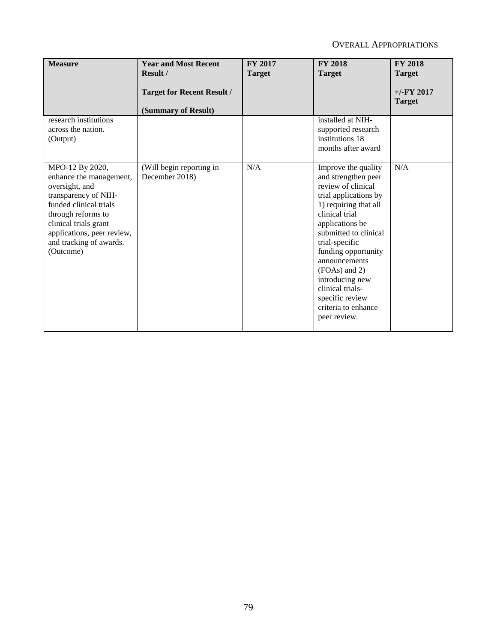| <b>Measure</b>                                                                                                                                                                                                                      | <b>Year and Most Recent</b><br>Result /                  | FY 2017<br><b>Target</b> | <b>FY 2018</b><br><b>Target</b>                                                                                                                                                                                                                                                                                                                              | <b>FY 2018</b><br><b>Target</b> |
|-------------------------------------------------------------------------------------------------------------------------------------------------------------------------------------------------------------------------------------|----------------------------------------------------------|--------------------------|--------------------------------------------------------------------------------------------------------------------------------------------------------------------------------------------------------------------------------------------------------------------------------------------------------------------------------------------------------------|---------------------------------|
|                                                                                                                                                                                                                                     | <b>Target for Recent Result /</b><br>(Summary of Result) |                          |                                                                                                                                                                                                                                                                                                                                                              | $+/-$ FY 2017<br><b>Target</b>  |
| research institutions<br>across the nation.<br>(Output)                                                                                                                                                                             |                                                          |                          | installed at NIH-<br>supported research<br>institutions 18<br>months after award                                                                                                                                                                                                                                                                             |                                 |
| MPO-12 By 2020,<br>enhance the management,<br>oversight, and<br>transparency of NIH-<br>funded clinical trials<br>through reforms to<br>clinical trials grant<br>applications, peer review,<br>and tracking of awards.<br>(Outcome) | (Will begin reporting in<br>December 2018)               | N/A                      | Improve the quality<br>and strengthen peer<br>review of clinical<br>trial applications by<br>1) requiring that all<br>clinical trial<br>applications be<br>submitted to clinical<br>trial-specific<br>funding opportunity<br>announcements<br>(FOAs) and 2)<br>introducing new<br>clinical trials-<br>specific review<br>criteria to enhance<br>peer review. | N/A                             |